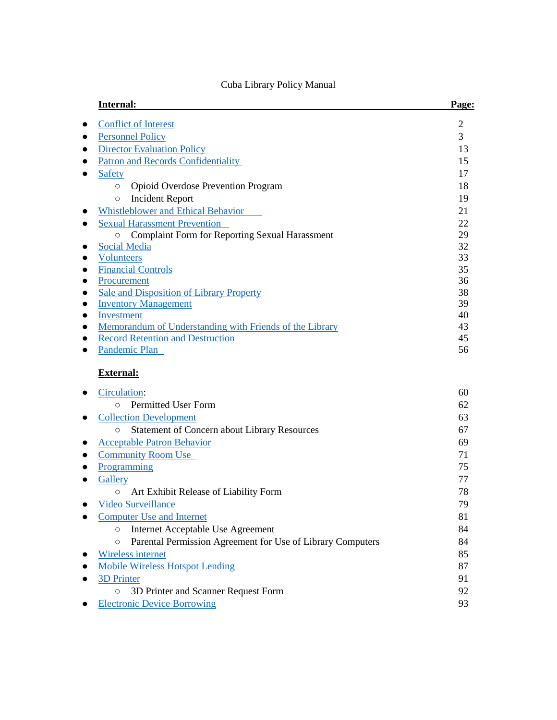| Internal:                                                                   | Page:             |
|-----------------------------------------------------------------------------|-------------------|
| <b>Conflict of Interest</b>                                                 | $\overline{2}$    |
| <b>Personnel Policy</b>                                                     | 3                 |
| <b>Director Evaluation Policy</b>                                           | 13                |
| <b>Patron and Records Confidentiality</b>                                   | 15                |
| <b>Safety</b>                                                               | 17                |
| <b>Opioid Overdose Prevention Program</b><br>$\circ$                        | 18                |
| <b>Incident Report</b><br>$\circ$                                           | 19                |
| <b>Whistleblower and Ethical Behavior</b>                                   | 21                |
| <b>Sexual Harassment Prevention</b>                                         | 22                |
| <b>Complaint Form for Reporting Sexual Harassment</b><br>$\circ$            | 29                |
| <b>Social Media</b>                                                         | 32                |
| <b>Volunteers</b>                                                           | 33                |
| <b>Financial Controls</b>                                                   | 35                |
| Procurement                                                                 | 36                |
| Sale and Disposition of Library Property                                    | 38                |
| <b>Inventory Management</b>                                                 | 39                |
| Investment                                                                  | 40                |
| Memorandum of Understanding with Friends of the Library                     | 43                |
| <b>Record Retention and Destruction</b>                                     | 45                |
| Pandemic Plan                                                               | 56                |
| <b>External:</b>                                                            |                   |
| Circulation:                                                                | 60                |
| <b>Permitted User Form</b><br>$\circ$                                       | 62                |
| <b>Collection Development</b>                                               | 63                |
| <b>Statement of Concern about Library Resources</b><br>$\circ$              | 67                |
| <b>Acceptable Patron Behavior</b>                                           | 69                |
| <b>Community Room Use</b>                                                   | 71                |
| Programming                                                                 | 75                |
| Gallery                                                                     | 77                |
| $\lambda$ and $\lambda$ in the state of $\lambda$ in the state of $\lambda$ | $\neg$ $\bigcirc$ |

# Cuba Library Policy Manual

| Gallery                                                               |    |
|-----------------------------------------------------------------------|----|
| Art Exhibit Release of Liability Form<br>$\circ$                      | 78 |
| <b>Video Surveillance</b>                                             | 79 |
| <b>Computer Use and Internet</b>                                      | 81 |
| Internet Acceptable Use Agreement<br>O                                | 84 |
| Parental Permission Agreement for Use of Library Computers<br>$\circ$ | 84 |
| Wireless internet                                                     | 85 |
| <b>Mobile Wireless Hotspot Lending</b>                                | 87 |
| <b>3D Printer</b>                                                     | 91 |
| 3D Printer and Scanner Request Form<br>O                              | 92 |
| <b>Electronic Device Borrowing</b>                                    | 93 |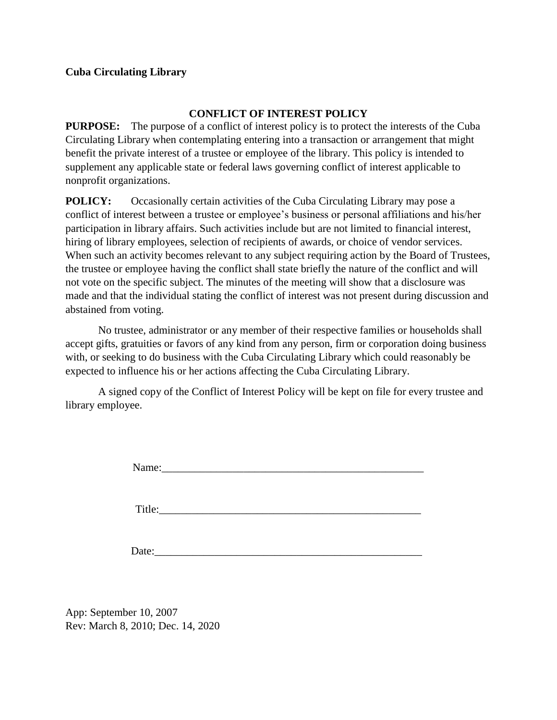### **CONFLICT OF INTEREST POLICY**

<span id="page-1-0"></span>**PURPOSE:** The purpose of a conflict of interest policy is to protect the interests of the Cuba Circulating Library when contemplating entering into a transaction or arrangement that might benefit the private interest of a trustee or employee of the library. This policy is intended to supplement any applicable state or federal laws governing conflict of interest applicable to nonprofit organizations.

**POLICY:** Occasionally certain activities of the Cuba Circulating Library may pose a conflict of interest between a trustee or employee's business or personal affiliations and his/her participation in library affairs. Such activities include but are not limited to financial interest, hiring of library employees, selection of recipients of awards, or choice of vendor services. When such an activity becomes relevant to any subject requiring action by the Board of Trustees, the trustee or employee having the conflict shall state briefly the nature of the conflict and will not vote on the specific subject. The minutes of the meeting will show that a disclosure was made and that the individual stating the conflict of interest was not present during discussion and abstained from voting.

No trustee, administrator or any member of their respective families or households shall accept gifts, gratuities or favors of any kind from any person, firm or corporation doing business with, or seeking to do business with the Cuba Circulating Library which could reasonably be expected to influence his or her actions affecting the Cuba Circulating Library.

A signed copy of the Conflict of Interest Policy will be kept on file for every trustee and library employee.

Name:

Title:

Date:

App: September 10, 2007 Rev: March 8, 2010; Dec. 14, 2020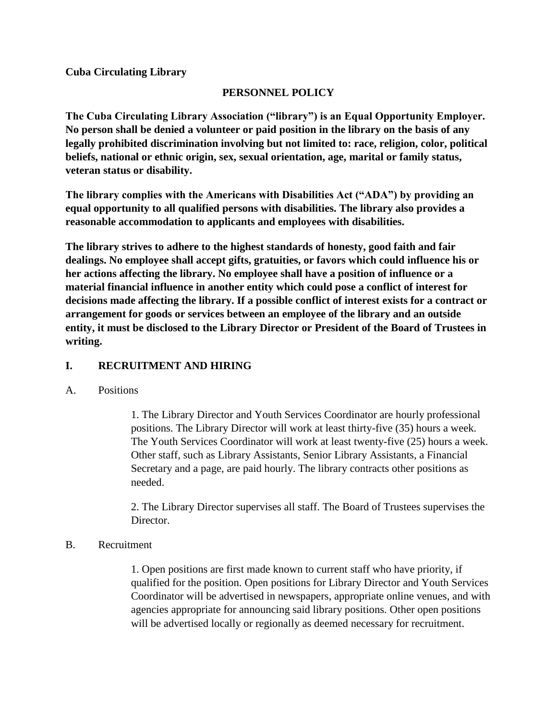# **PERSONNEL POLICY**

<span id="page-2-0"></span>**The Cuba Circulating Library Association ("library") is an Equal Opportunity Employer. No person shall be denied a volunteer or paid position in the library on the basis of any legally prohibited discrimination involving but not limited to: race, religion, color, political beliefs, national or ethnic origin, sex, sexual orientation, age, marital or family status, veteran status or disability.**

**The library complies with the Americans with Disabilities Act ("ADA") by providing an equal opportunity to all qualified persons with disabilities. The library also provides a reasonable accommodation to applicants and employees with disabilities.**

**The library strives to adhere to the highest standards of honesty, good faith and fair dealings. No employee shall accept gifts, gratuities, or favors which could influence his or her actions affecting the library. No employee shall have a position of influence or a material financial influence in another entity which could pose a conflict of interest for decisions made affecting the library. If a possible conflict of interest exists for a contract or arrangement for goods or services between an employee of the library and an outside entity, it must be disclosed to the Library Director or President of the Board of Trustees in writing.**

# **I. RECRUITMENT AND HIRING**

# A. Positions

1. The Library Director and Youth Services Coordinator are hourly professional positions. The Library Director will work at least thirty-five (35) hours a week. The Youth Services Coordinator will work at least twenty-five (25) hours a week. Other staff, such as Library Assistants, Senior Library Assistants, a Financial Secretary and a page, are paid hourly. The library contracts other positions as needed.

2. The Library Director supervises all staff. The Board of Trustees supervises the Director.

# B. Recruitment

1. Open positions are first made known to current staff who have priority, if qualified for the position. Open positions for Library Director and Youth Services Coordinator will be advertised in newspapers, appropriate online venues, and with agencies appropriate for announcing said library positions. Other open positions will be advertised locally or regionally as deemed necessary for recruitment.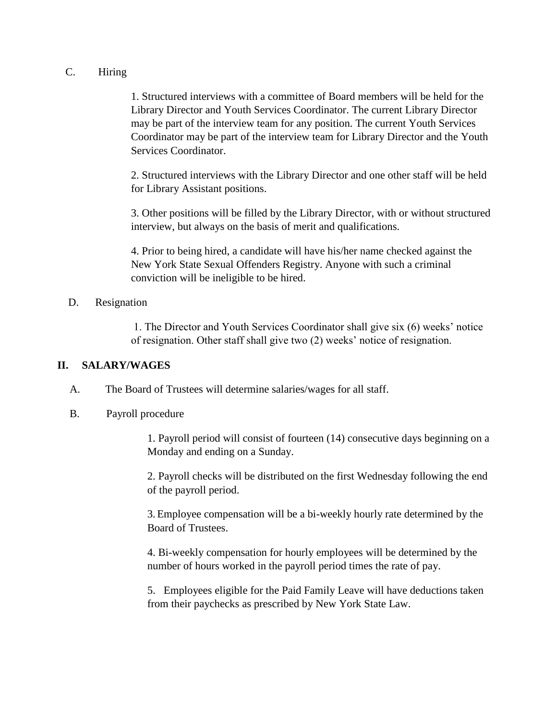#### C. Hiring

1. Structured interviews with a committee of Board members will be held for the Library Director and Youth Services Coordinator. The current Library Director may be part of the interview team for any position. The current Youth Services Coordinator may be part of the interview team for Library Director and the Youth Services Coordinator.

2. Structured interviews with the Library Director and one other staff will be held for Library Assistant positions.

3. Other positions will be filled by the Library Director, with or without structured interview, but always on the basis of merit and qualifications.

4. Prior to being hired, a candidate will have his/her name checked against the New York State Sexual Offenders Registry. Anyone with such a criminal conviction will be ineligible to be hired.

### D. Resignation

1. The Director and Youth Services Coordinator shall give six (6) weeks' notice of resignation. Other staff shall give two (2) weeks' notice of resignation.

# **II. SALARY/WAGES**

A. The Board of Trustees will determine salaries/wages for all staff.

# B. Payroll procedure

1. Payroll period will consist of fourteen (14) consecutive days beginning on a Monday and ending on a Sunday.

2. Payroll checks will be distributed on the first Wednesday following the end of the payroll period.

3.Employee compensation will be a bi-weekly hourly rate determined by the Board of Trustees.

4. Bi-weekly compensation for hourly employees will be determined by the number of hours worked in the payroll period times the rate of pay.

5. Employees eligible for the Paid Family Leave will have deductions taken from their paychecks as prescribed by New York State Law.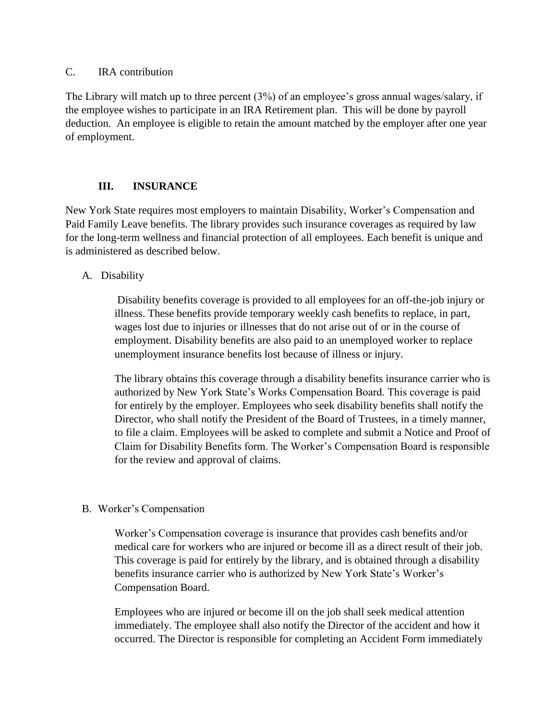#### C. IRA contribution

The Library will match up to three percent (3%) of an employee's gross annual wages/salary, if the employee wishes to participate in an IRA Retirement plan. This will be done by payroll deduction. An employee is eligible to retain the amount matched by the employer after one year of employment.

# **III. INSURANCE**

New York State requires most employers to maintain Disability, Worker's Compensation and Paid Family Leave benefits. The library provides such insurance coverages as required by law for the long-term wellness and financial protection of all employees. Each benefit is unique and is administered as described below.

### A. Disability

Disability benefits coverage is provided to all employees for an off-the-job injury or illness. These benefits provide temporary weekly cash benefits to replace, in part, wages lost due to injuries or illnesses that do not arise out of or in the course of employment. Disability benefits are also paid to an unemployed worker to replace unemployment insurance benefits lost because of illness or injury.

The library obtains this coverage through a disability benefits insurance carrier who is authorized by New York State's Works Compensation Board. This coverage is paid for entirely by the employer. Employees who seek disability benefits shall notify the Director, who shall notify the President of the Board of Trustees, in a timely manner, to file a claim. Employees will be asked to complete and submit a Notice and Proof of Claim for Disability Benefits form. The Worker's Compensation Board is responsible for the review and approval of claims.

#### B. Worker's Compensation

Worker's Compensation coverage is insurance that provides cash benefits and/or medical care for workers who are injured or become ill as a direct result of their job. This coverage is paid for entirely by the library, and is obtained through a disability benefits insurance carrier who is authorized by New York State's Worker's Compensation Board.

Employees who are injured or become ill on the job shall seek medical attention immediately. The employee shall also notify the Director of the accident and how it occurred. The Director is responsible for completing an Accident Form immediately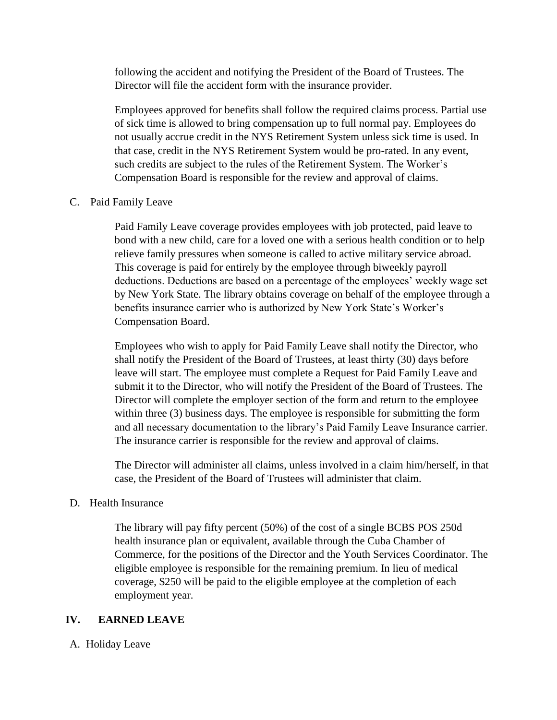following the accident and notifying the President of the Board of Trustees. The Director will file the accident form with the insurance provider.

Employees approved for benefits shall follow the required claims process. Partial use of sick time is allowed to bring compensation up to full normal pay. Employees do not usually accrue credit in the NYS Retirement System unless sick time is used. In that case, credit in the NYS Retirement System would be pro-rated. In any event, such credits are subject to the rules of the Retirement System. The Worker's Compensation Board is responsible for the review and approval of claims.

#### C. Paid Family Leave

Paid Family Leave coverage provides employees with job protected, paid leave to bond with a new child, care for a loved one with a serious health condition or to help relieve family pressures when someone is called to active military service abroad. This coverage is paid for entirely by the employee through biweekly payroll deductions. Deductions are based on a percentage of the employees' weekly wage set by New York State. The library obtains coverage on behalf of the employee through a benefits insurance carrier who is authorized by New York State's Worker's Compensation Board.

Employees who wish to apply for Paid Family Leave shall notify the Director, who shall notify the President of the Board of Trustees, at least thirty (30) days before leave will start. The employee must complete a Request for Paid Family Leave and submit it to the Director, who will notify the President of the Board of Trustees. The Director will complete the employer section of the form and return to the employee within three (3) business days. The employee is responsible for submitting the form and all necessary documentation to the library's Paid Family Leave Insurance carrier. The insurance carrier is responsible for the review and approval of claims.

The Director will administer all claims, unless involved in a claim him/herself, in that case, the President of the Board of Trustees will administer that claim.

# D. Health Insurance

The library will pay fifty percent (50%) of the cost of a single BCBS POS 250d health insurance plan or equivalent, available through the Cuba Chamber of Commerce, for the positions of the Director and the Youth Services Coordinator. The eligible employee is responsible for the remaining premium. In lieu of medical coverage, \$250 will be paid to the eligible employee at the completion of each employment year.

# **IV. EARNED LEAVE**

A. Holiday Leave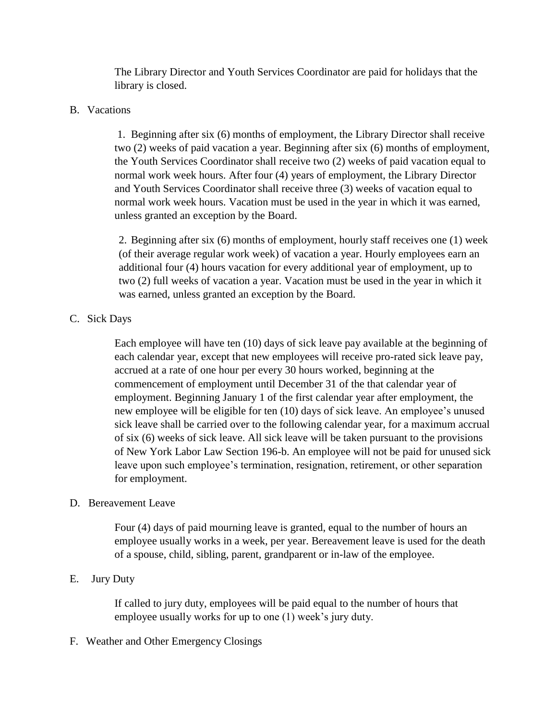The Library Director and Youth Services Coordinator are paid for holidays that the library is closed.

### B. Vacations

1. Beginning after six (6) months of employment, the Library Director shall receive two (2) weeks of paid vacation a year. Beginning after six (6) months of employment, the Youth Services Coordinator shall receive two (2) weeks of paid vacation equal to normal work week hours. After four (4) years of employment, the Library Director and Youth Services Coordinator shall receive three (3) weeks of vacation equal to normal work week hours. Vacation must be used in the year in which it was earned, unless granted an exception by the Board.

2. Beginning after six (6) months of employment, hourly staff receives one (1) week (of their average regular work week) of vacation a year. Hourly employees earn an additional four (4) hours vacation for every additional year of employment, up to two (2) full weeks of vacation a year. Vacation must be used in the year in which it was earned, unless granted an exception by the Board.

### C. Sick Days

Each employee will have ten (10) days of sick leave pay available at the beginning of each calendar year, except that new employees will receive pro-rated sick leave pay, accrued at a rate of one hour per every 30 hours worked, beginning at the commencement of employment until December 31 of the that calendar year of employment. Beginning January 1 of the first calendar year after employment, the new employee will be eligible for ten (10) days of sick leave. An employee's unused sick leave shall be carried over to the following calendar year, for a maximum accrual of six (6) weeks of sick leave. All sick leave will be taken pursuant to the provisions of New York Labor Law Section 196-b. An employee will not be paid for unused sick leave upon such employee's termination, resignation, retirement, or other separation for employment.

# D. Bereavement Leave

Four (4) days of paid mourning leave is granted, equal to the number of hours an employee usually works in a week, per year. Bereavement leave is used for the death of a spouse, child, sibling, parent, grandparent or in-law of the employee.

# E. Jury Duty

If called to jury duty, employees will be paid equal to the number of hours that employee usually works for up to one (1) week's jury duty.

#### F. Weather and Other Emergency Closings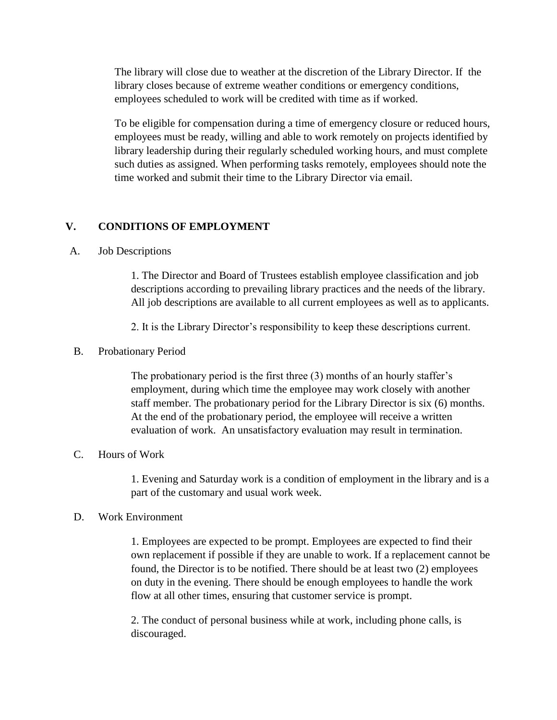The library will close due to weather at the discretion of the Library Director. If the library closes because of extreme weather conditions or emergency conditions, employees scheduled to work will be credited with time as if worked.

To be eligible for compensation during a time of emergency closure or reduced hours, employees must be ready, willing and able to work remotely on projects identified by library leadership during their regularly scheduled working hours, and must complete such duties as assigned. When performing tasks remotely, employees should note the time worked and submit their time to the Library Director via email.

### **V. CONDITIONS OF EMPLOYMENT**

#### A. Job Descriptions

1. The Director and Board of Trustees establish employee classification and job descriptions according to prevailing library practices and the needs of the library. All job descriptions are available to all current employees as well as to applicants.

2. It is the Library Director's responsibility to keep these descriptions current.

#### B. Probationary Period

The probationary period is the first three (3) months of an hourly staffer's employment, during which time the employee may work closely with another staff member. The probationary period for the Library Director is six (6) months. At the end of the probationary period, the employee will receive a written evaluation of work. An unsatisfactory evaluation may result in termination.

#### C. Hours of Work

1. Evening and Saturday work is a condition of employment in the library and is a part of the customary and usual work week.

#### D. Work Environment

1. Employees are expected to be prompt. Employees are expected to find their own replacement if possible if they are unable to work. If a replacement cannot be found, the Director is to be notified. There should be at least two (2) employees on duty in the evening. There should be enough employees to handle the work flow at all other times, ensuring that customer service is prompt.

2. The conduct of personal business while at work, including phone calls, is discouraged.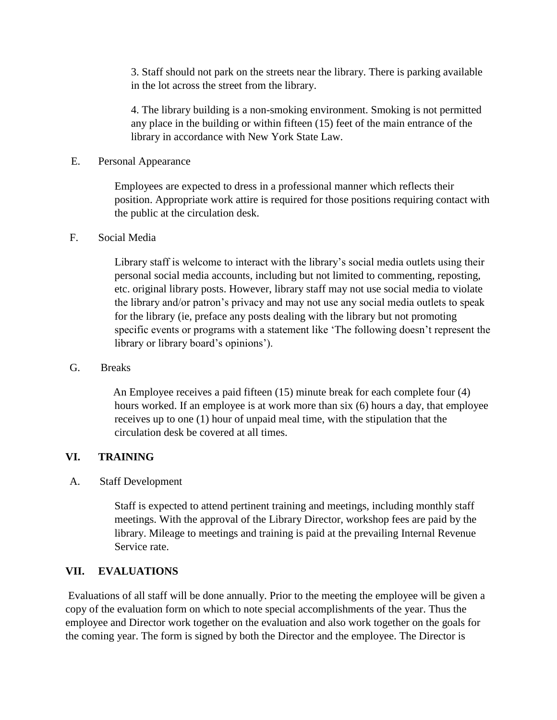3. Staff should not park on the streets near the library. There is parking available in the lot across the street from the library.

4. The library building is a non-smoking environment. Smoking is not permitted any place in the building or within fifteen (15) feet of the main entrance of the library in accordance with New York State Law.

#### E. Personal Appearance

Employees are expected to dress in a professional manner which reflects their position. Appropriate work attire is required for those positions requiring contact with the public at the circulation desk.

### F. Social Media

Library staff is welcome to interact with the library's social media outlets using their personal social media accounts, including but not limited to commenting, reposting, etc. original library posts. However, library staff may not use social media to violate the library and/or patron's privacy and may not use any social media outlets to speak for the library (ie, preface any posts dealing with the library but not promoting specific events or programs with a statement like 'The following doesn't represent the library or library board's opinions').

# G. Breaks

An Employee receives a paid fifteen (15) minute break for each complete four (4) hours worked. If an employee is at work more than six (6) hours a day, that employee receives up to one (1) hour of unpaid meal time, with the stipulation that the circulation desk be covered at all times.

# **VI. TRAINING**

# A. Staff Development

Staff is expected to attend pertinent training and meetings, including monthly staff meetings. With the approval of the Library Director, workshop fees are paid by the library. Mileage to meetings and training is paid at the prevailing Internal Revenue Service rate.

# **VII. EVALUATIONS**

Evaluations of all staff will be done annually. Prior to the meeting the employee will be given a copy of the evaluation form on which to note special accomplishments of the year. Thus the employee and Director work together on the evaluation and also work together on the goals for the coming year. The form is signed by both the Director and the employee. The Director is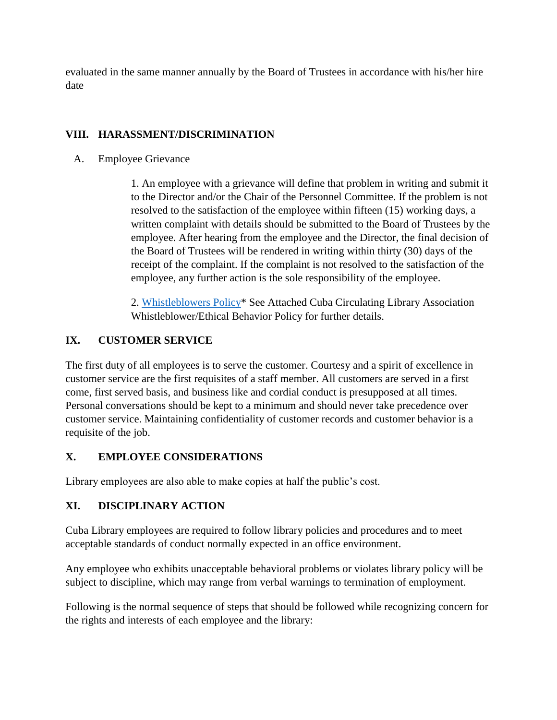evaluated in the same manner annually by the Board of Trustees in accordance with his/her hire date

# **VIII. HARASSMENT/DISCRIMINATION**

A. Employee Grievance

1. An employee with a grievance will define that problem in writing and submit it to the Director and/or the Chair of the Personnel Committee. If the problem is not resolved to the satisfaction of the employee within fifteen (15) working days, a written complaint with details should be submitted to the Board of Trustees by the employee. After hearing from the employee and the Director, the final decision of the Board of Trustees will be rendered in writing within thirty (30) days of the receipt of the complaint. If the complaint is not resolved to the satisfaction of the employee, any further action is the sole responsibility of the employee.

2. [Whistleblowers Policy\\*](#page-20-0) See Attached Cuba Circulating Library Association Whistleblower/Ethical Behavior Policy for further details.

# **IX. CUSTOMER SERVICE**

The first duty of all employees is to serve the customer. Courtesy and a spirit of excellence in customer service are the first requisites of a staff member. All customers are served in a first come, first served basis, and business like and cordial conduct is presupposed at all times. Personal conversations should be kept to a minimum and should never take precedence over customer service. Maintaining confidentiality of customer records and customer behavior is a requisite of the job.

# **X. EMPLOYEE CONSIDERATIONS**

Library employees are also able to make copies at half the public's cost.

# **XI. DISCIPLINARY ACTION**

Cuba Library employees are required to follow library policies and procedures and to meet acceptable standards of conduct normally expected in an office environment.

Any employee who exhibits unacceptable behavioral problems or violates library policy will be subject to discipline, which may range from verbal warnings to termination of employment.

Following is the normal sequence of steps that should be followed while recognizing concern for the rights and interests of each employee and the library: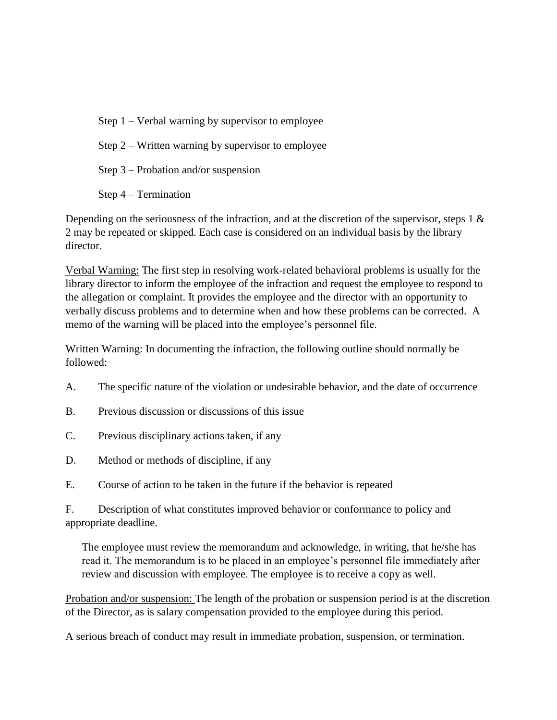- Step 1 Verbal warning by supervisor to employee
- Step 2 Written warning by supervisor to employee

Step 3 – Probation and/or suspension

Step 4 – Termination

Depending on the seriousness of the infraction, and at the discretion of the supervisor, steps 1  $\&$ 2 may be repeated or skipped. Each case is considered on an individual basis by the library director.

Verbal Warning: The first step in resolving work-related behavioral problems is usually for the library director to inform the employee of the infraction and request the employee to respond to the allegation or complaint. It provides the employee and the director with an opportunity to verbally discuss problems and to determine when and how these problems can be corrected. A memo of the warning will be placed into the employee's personnel file.

Written Warning: In documenting the infraction, the following outline should normally be followed:

- A. The specific nature of the violation or undesirable behavior, and the date of occurrence
- B. Previous discussion or discussions of this issue
- C. Previous disciplinary actions taken, if any
- D. Method or methods of discipline, if any
- E. Course of action to be taken in the future if the behavior is repeated

F. Description of what constitutes improved behavior or conformance to policy and appropriate deadline.

The employee must review the memorandum and acknowledge, in writing, that he/she has read it. The memorandum is to be placed in an employee's personnel file immediately after review and discussion with employee. The employee is to receive a copy as well.

Probation and/or suspension: The length of the probation or suspension period is at the discretion of the Director, as is salary compensation provided to the employee during this period.

A serious breach of conduct may result in immediate probation, suspension, or termination.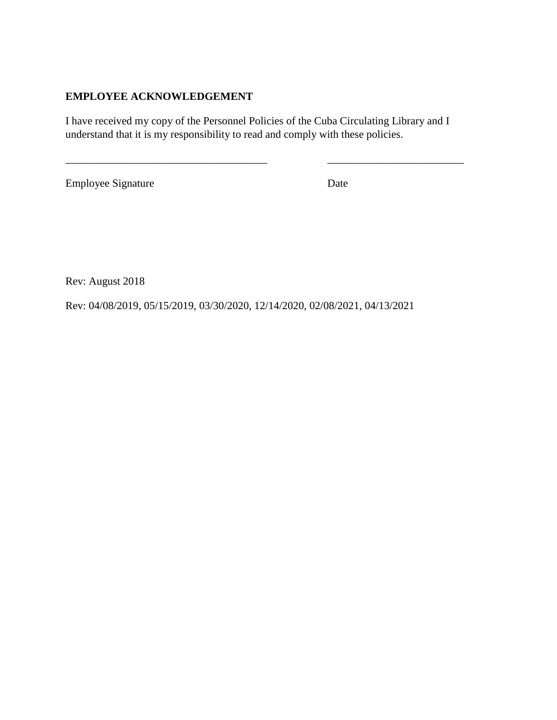# **EMPLOYEE ACKNOWLEDGEMENT**

I have received my copy of the Personnel Policies of the Cuba Circulating Library and I understand that it is my responsibility to read and comply with these policies.

\_\_\_\_\_\_\_\_\_\_\_\_\_\_\_\_\_\_\_\_\_\_\_\_\_\_\_\_\_\_\_\_\_\_\_\_\_ \_\_\_\_\_\_\_\_\_\_\_\_\_\_\_\_\_\_\_\_\_\_\_\_\_

Employee Signature Date

Rev: August 2018

Rev: 04/08/2019, 05/15/2019, 03/30/2020, 12/14/2020, 02/08/2021, 04/13/2021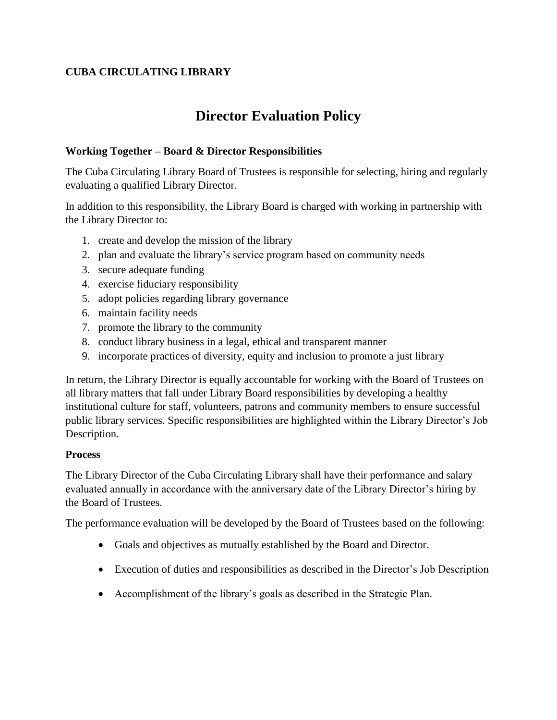# **CUBA CIRCULATING LIBRARY**

# **Director Evaluation Policy**

# <span id="page-12-0"></span>**Working Together – Board & Director Responsibilities**

The Cuba Circulating Library Board of Trustees is responsible for selecting, hiring and regularly evaluating a qualified Library Director.

In addition to this responsibility, the Library Board is charged with working in partnership with the Library Director to:

- 1. create and develop the mission of the library
- 2. plan and evaluate the library's service program based on community needs
- 3. secure adequate funding
- 4. exercise fiduciary responsibility
- 5. adopt policies regarding library governance
- 6. maintain facility needs
- 7. promote the library to the community
- 8. conduct library business in a legal, ethical and transparent manner
- 9. incorporate practices of diversity, equity and inclusion to promote a just library

In return, the Library Director is equally accountable for working with the Board of Trustees on all library matters that fall under Library Board responsibilities by developing a healthy institutional culture for staff, volunteers, patrons and community members to ensure successful public library services. Specific responsibilities are highlighted within the Library Director's Job Description.

# **Process**

The Library Director of the Cuba Circulating Library shall have their performance and salary evaluated annually in accordance with the anniversary date of the Library Director's hiring by the Board of Trustees.

The performance evaluation will be developed by the Board of Trustees based on the following:

- Goals and objectives as mutually established by the Board and Director.
- Execution of duties and responsibilities as described in the Director's Job Description
- Accomplishment of the library's goals as described in the Strategic Plan.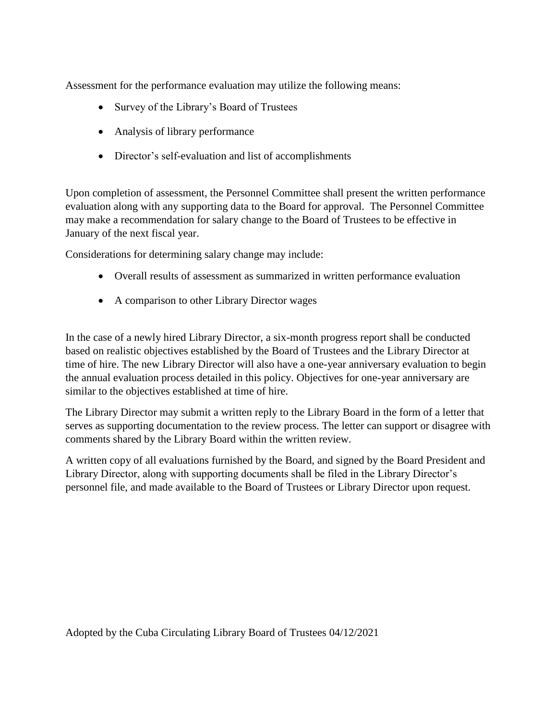Assessment for the performance evaluation may utilize the following means:

- Survey of the Library's Board of Trustees
- Analysis of library performance
- Director's self-evaluation and list of accomplishments

Upon completion of assessment, the Personnel Committee shall present the written performance evaluation along with any supporting data to the Board for approval. The Personnel Committee may make a recommendation for salary change to the Board of Trustees to be effective in January of the next fiscal year.

Considerations for determining salary change may include:

- Overall results of assessment as summarized in written performance evaluation
- A comparison to other Library Director wages

In the case of a newly hired Library Director, a six-month progress report shall be conducted based on realistic objectives established by the Board of Trustees and the Library Director at time of hire. The new Library Director will also have a one-year anniversary evaluation to begin the annual evaluation process detailed in this policy. Objectives for one-year anniversary are similar to the objectives established at time of hire.

The Library Director may submit a written reply to the Library Board in the form of a letter that serves as supporting documentation to the review process. The letter can support or disagree with comments shared by the Library Board within the written review.

A written copy of all evaluations furnished by the Board, and signed by the Board President and Library Director, along with supporting documents shall be filed in the Library Director's personnel file, and made available to the Board of Trustees or Library Director upon request.

Adopted by the Cuba Circulating Library Board of Trustees 04/12/2021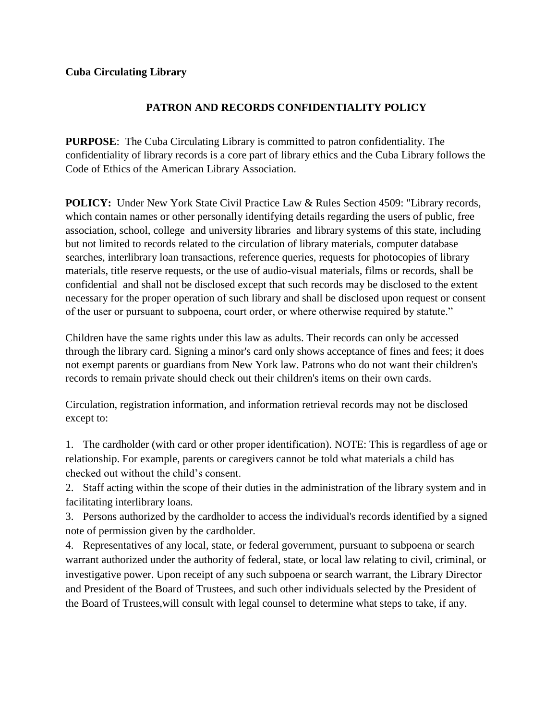# **PATRON AND RECORDS CONFIDENTIALITY POLICY**

**PURPOSE**: The Cuba Circulating Library is committed to patron confidentiality. The confidentiality of library records is a core part of library ethics and the Cuba Library follows the Code of Ethics of the American Library Association.

**POLICY:** Under New York State Civil Practice Law & Rules Section 4509: "Library records, which contain names or other personally identifying details regarding the users of public, free association, school, college and university libraries and library systems of this state, including but not limited to records related to the circulation of library materials, computer database searches, interlibrary loan transactions, reference queries, requests for photocopies of library materials, title reserve requests, or the use of audio-visual materials, films or records, shall be confidential and shall not be disclosed except that such records may be disclosed to the extent necessary for the proper operation of such library and shall be disclosed upon request or consent of the user or pursuant to subpoena, court order, or where otherwise required by statute."

Children have the same rights under this law as adults. Their records can only be accessed through the library card. Signing a minor's card only shows acceptance of fines and fees; it does not exempt parents or guardians from New York law. Patrons who do not want their children's records to remain private should check out their children's items on their own cards.

Circulation, registration information, and information retrieval records may not be disclosed except to:

1. The cardholder (with card or other proper identification). NOTE: This is regardless of age or relationship. For example, parents or caregivers cannot be told what materials a child has checked out without the child's consent.

2. Staff acting within the scope of their duties in the administration of the library system and in facilitating interlibrary loans.

3. Persons authorized by the cardholder to access the individual's records identified by a signed note of permission given by the cardholder.

4. Representatives of any local, state, or federal government, pursuant to subpoena or search warrant authorized under the authority of federal, state, or local law relating to civil, criminal, or investigative power. Upon receipt of any such subpoena or search warrant, the Library Director and President of the Board of Trustees, and such other individuals selected by the President of the Board of Trustees,will consult with legal counsel to determine what steps to take, if any.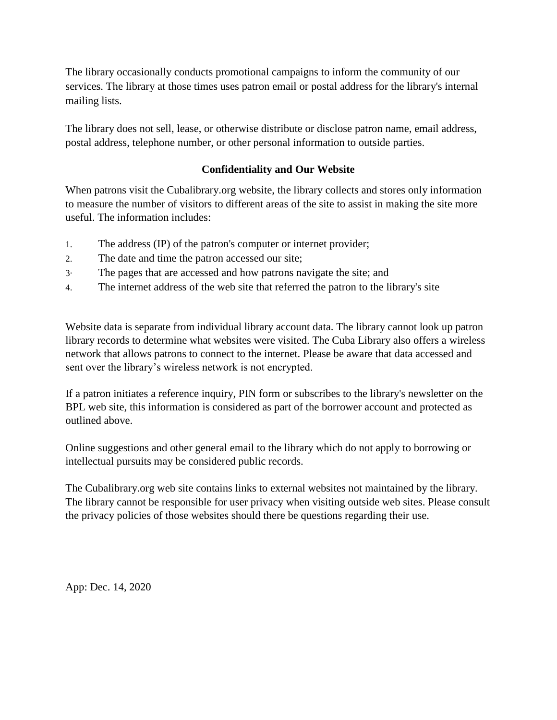The library occasionally conducts promotional campaigns to inform the community of our services. The library at those times uses patron email or postal address for the library's internal mailing lists.

The library does not sell, lease, or otherwise distribute or disclose patron name, email address, postal address, telephone number, or other personal information to outside parties.

# **Confidentiality and Our Website**

When patrons visit the Cubalibrary.org website, the library collects and stores only information to measure the number of visitors to different areas of the site to assist in making the site more useful. The information includes:

- 1. The address (IP) of the patron's computer or internet provider;
- 2. The date and time the patron accessed our site;
- 3· The pages that are accessed and how patrons navigate the site; and
- 4. The internet address of the web site that referred the patron to the library's site

Website data is separate from individual library account data. The library cannot look up patron library records to determine what websites were visited. The Cuba Library also offers a wireless network that allows patrons to connect to the internet. Please be aware that data accessed and sent over the library's wireless network is not encrypted.

If a patron initiates a reference inquiry, PIN form or subscribes to the library's newsletter on the BPL web site, this information is considered as part of the borrower account and protected as outlined above.

Online suggestions and other general email to the library which do not apply to borrowing or intellectual pursuits may be considered public records.

The Cubalibrary.org web site contains links to external websites not maintained by the library. The library cannot be responsible for user privacy when visiting outside web sites. Please consult the privacy policies of those websites should there be questions regarding their use.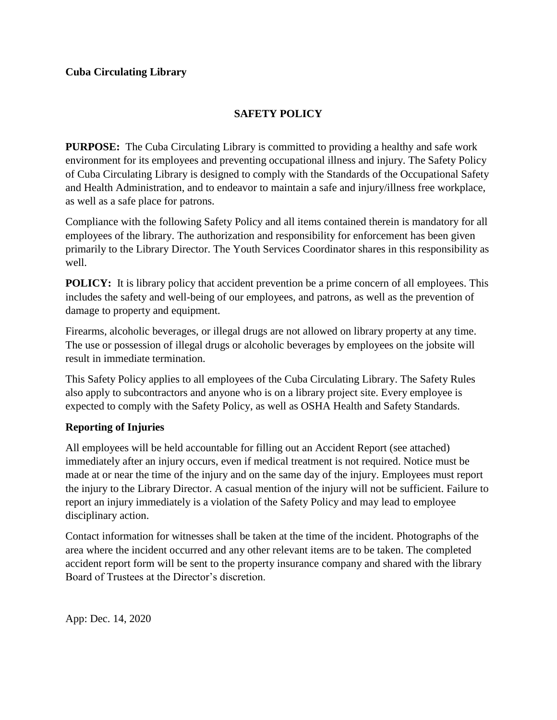# **SAFETY POLICY**

<span id="page-16-0"></span>**PURPOSE:** The Cuba Circulating Library is committed to providing a healthy and safe work environment for its employees and preventing occupational illness and injury. The Safety Policy of Cuba Circulating Library is designed to comply with the Standards of the Occupational Safety and Health Administration, and to endeavor to maintain a safe and injury/illness free workplace, as well as a safe place for patrons.

Compliance with the following Safety Policy and all items contained therein is mandatory for all employees of the library. The authorization and responsibility for enforcement has been given primarily to the Library Director. The Youth Services Coordinator shares in this responsibility as well.

**POLICY:** It is library policy that accident prevention be a prime concern of all employees. This includes the safety and well-being of our employees, and patrons, as well as the prevention of damage to property and equipment.

Firearms, alcoholic beverages, or illegal drugs are not allowed on library property at any time. The use or possession of illegal drugs or alcoholic beverages by employees on the jobsite will result in immediate termination.

This Safety Policy applies to all employees of the Cuba Circulating Library. The Safety Rules also apply to subcontractors and anyone who is on a library project site. Every employee is expected to comply with the Safety Policy, as well as OSHA Health and Safety Standards.

# **Reporting of Injuries**

All employees will be held accountable for filling out an Accident Report (see attached) immediately after an injury occurs, even if medical treatment is not required. Notice must be made at or near the time of the injury and on the same day of the injury. Employees must report the injury to the Library Director. A casual mention of the injury will not be sufficient. Failure to report an injury immediately is a violation of the Safety Policy and may lead to employee disciplinary action.

Contact information for witnesses shall be taken at the time of the incident. Photographs of the area where the incident occurred and any other relevant items are to be taken. The completed accident report form will be sent to the property insurance company and shared with the library Board of Trustees at the Director's discretion.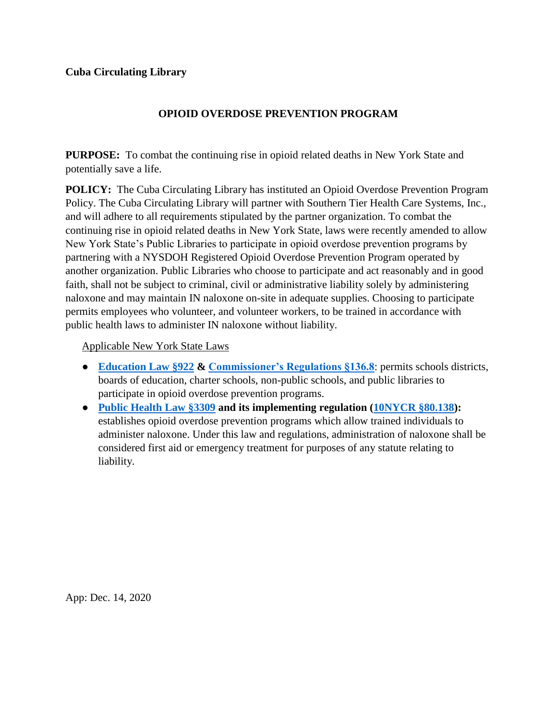### **OPIOID OVERDOSE PREVENTION PROGRAM**

**PURPOSE:** To combat the continuing rise in opioid related deaths in New York State and potentially save a life.

**POLICY:** The Cuba Circulating Library has instituted an Opioid Overdose Prevention Program Policy. The Cuba Circulating Library will partner with Southern Tier Health Care Systems, Inc., and will adhere to all requirements stipulated by the partner organization. To combat the continuing rise in opioid related deaths in New York State, laws were recently amended to allow New York State's Public Libraries to participate in opioid overdose prevention programs by partnering with a NYSDOH Registered Opioid Overdose Prevention Program operated by another organization. Public Libraries who choose to participate and act reasonably and in good faith, shall not be subject to criminal, civil or administrative liability solely by administering naloxone and may maintain IN naloxone on-site in adequate supplies. Choosing to participate permits employees who volunteer, and volunteer workers, to be trained in accordance with public health laws to administer IN naloxone without liability.

Applicable New York State Laws

- **[Education Law §922](https://www.nysenate.gov/legislation/laws/EDN/922) & [Commissioner's Regulations §136.8](https://govt.westlaw.com/nycrr/Document/Ic336d012400d11e5a8bf0000845b8d3e?viewType=FullText&originationContext=documenttoc&transitionType=CategoryPageItem&contextData=(sc.Default))**: permits schools districts, boards of education, charter schools, non-public schools, and public libraries to participate in opioid overdose prevention programs.
- **[Public Health Law §3309](https://www.nysenate.gov/legislation/laws/PBH/3309) and its implementing regulation [\(10NYCR §80.138\)](https://regs.health.ny.gov/content/section-80138-opioid-overdose-prevention-programs):** establishes opioid overdose prevention programs which allow trained individuals to administer naloxone. Under this law and regulations, administration of naloxone shall be considered first aid or emergency treatment for purposes of any statute relating to liability.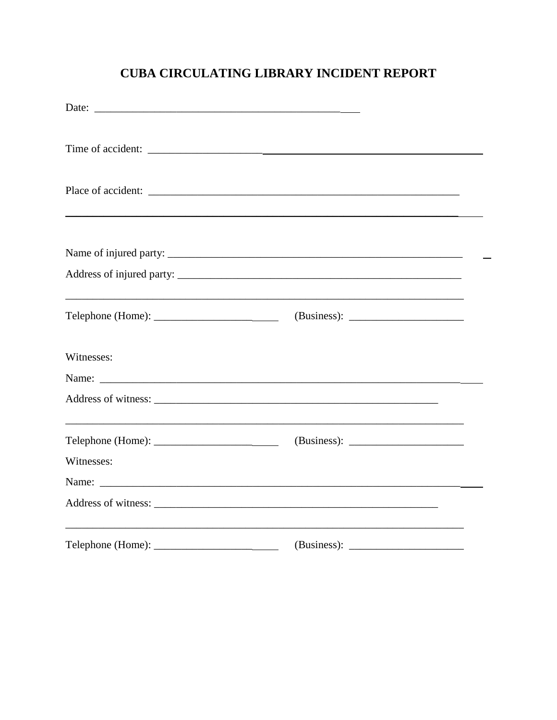# **CUBA CIRCULATING LIBRARY INCIDENT REPORT**

| Date:      |                                                                                                                                                                                                                               |  |  |  |
|------------|-------------------------------------------------------------------------------------------------------------------------------------------------------------------------------------------------------------------------------|--|--|--|
|            |                                                                                                                                                                                                                               |  |  |  |
|            |                                                                                                                                                                                                                               |  |  |  |
|            |                                                                                                                                                                                                                               |  |  |  |
|            |                                                                                                                                                                                                                               |  |  |  |
| Witnesses: |                                                                                                                                                                                                                               |  |  |  |
|            |                                                                                                                                                                                                                               |  |  |  |
|            |                                                                                                                                                                                                                               |  |  |  |
| Witnesses: | Name: Name: Name: Name: Name: Name: Name: Name: Name: Name: Name: Name: Name: Name: Name: Name: Name: Name: Name: Name: Name: Name: Name: Name: Name: Name: Name: Name: Name: Name: Name: Name: Name: Name: Name: Name: Name: |  |  |  |
|            | <u> 1989 - Jan James James James James James James James James James James James James James James James James J</u>                                                                                                          |  |  |  |
|            |                                                                                                                                                                                                                               |  |  |  |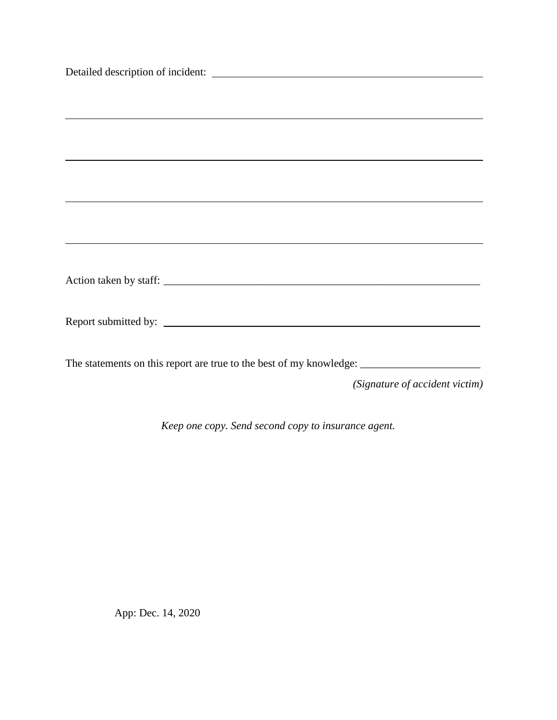| ,我们也不会有什么。""我们的人,我们也不会有什么?""我们的人,我们也不会有什么?""我们的人,我们也不会有什么?""我们的人,我们也不会有什么?""我们的人 |                                |  |
|----------------------------------------------------------------------------------|--------------------------------|--|
|                                                                                  |                                |  |
|                                                                                  |                                |  |
| ,我们也不会有什么。""我们的人,我们也不会有什么?""我们的人,我们也不会有什么?""我们的人,我们也不会有什么?""我们的人,我们也不会有什么?""我们的人 |                                |  |
|                                                                                  |                                |  |
|                                                                                  |                                |  |
|                                                                                  |                                |  |
|                                                                                  |                                |  |
|                                                                                  |                                |  |
|                                                                                  |                                |  |
|                                                                                  |                                |  |
|                                                                                  |                                |  |
|                                                                                  |                                |  |
|                                                                                  |                                |  |
|                                                                                  |                                |  |
|                                                                                  |                                |  |
|                                                                                  |                                |  |
|                                                                                  | (Signature of accident victim) |  |
|                                                                                  |                                |  |

*Keep one copy. Send second copy to insurance agent.*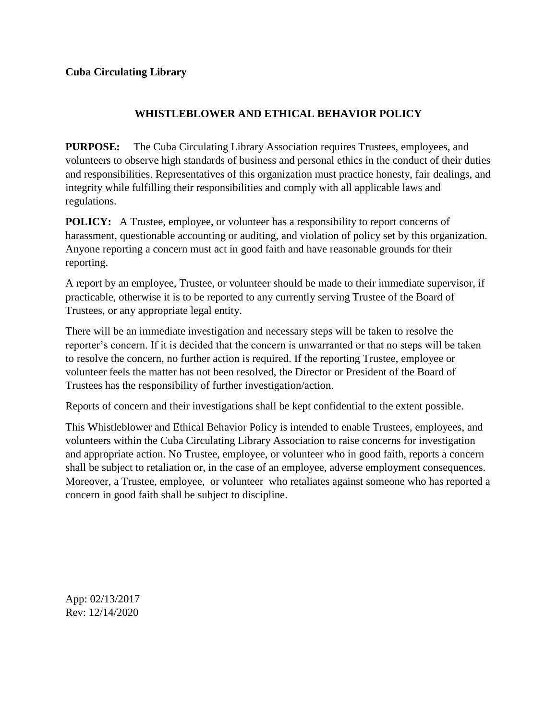### **WHISTLEBLOWER AND ETHICAL BEHAVIOR POLICY**

<span id="page-20-0"></span>**PURPOSE:** The Cuba Circulating Library Association requires Trustees, employees, and volunteers to observe high standards of business and personal ethics in the conduct of their duties and responsibilities. Representatives of this organization must practice honesty, fair dealings, and integrity while fulfilling their responsibilities and comply with all applicable laws and regulations.

**POLICY:** A Trustee, employee, or volunteer has a responsibility to report concerns of harassment, questionable accounting or auditing, and violation of policy set by this organization. Anyone reporting a concern must act in good faith and have reasonable grounds for their reporting.

A report by an employee, Trustee, or volunteer should be made to their immediate supervisor, if practicable, otherwise it is to be reported to any currently serving Trustee of the Board of Trustees, or any appropriate legal entity.

There will be an immediate investigation and necessary steps will be taken to resolve the reporter's concern. If it is decided that the concern is unwarranted or that no steps will be taken to resolve the concern, no further action is required. If the reporting Trustee, employee or volunteer feels the matter has not been resolved, the Director or President of the Board of Trustees has the responsibility of further investigation/action.

Reports of concern and their investigations shall be kept confidential to the extent possible.

This Whistleblower and Ethical Behavior Policy is intended to enable Trustees, employees, and volunteers within the Cuba Circulating Library Association to raise concerns for investigation and appropriate action. No Trustee, employee, or volunteer who in good faith, reports a concern shall be subject to retaliation or, in the case of an employee, adverse employment consequences. Moreover, a Trustee, employee, or volunteer who retaliates against someone who has reported a concern in good faith shall be subject to discipline.

App: 02/13/2017 Rev: 12/14/2020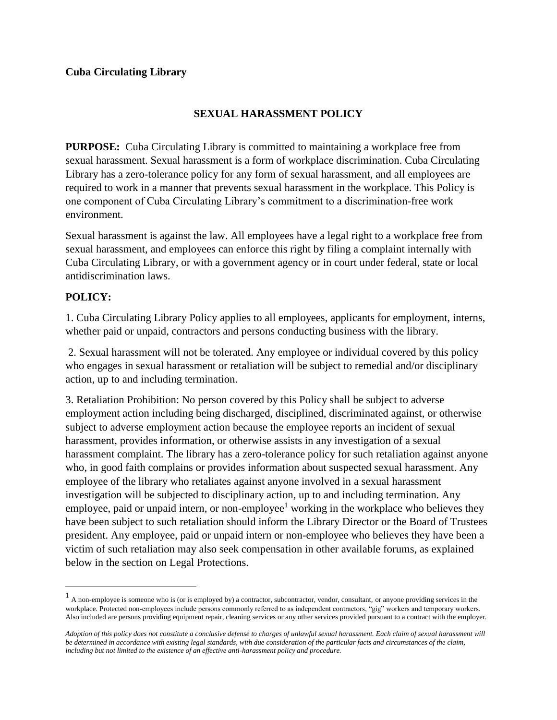# **SEXUAL HARASSMENT POLICY**

<span id="page-21-0"></span>**PURPOSE:** Cuba Circulating Library is committed to maintaining a workplace free from sexual harassment. Sexual harassment is a form of workplace discrimination. Cuba Circulating Library has a zero-tolerance policy for any form of sexual harassment, and all employees are required to work in a manner that prevents sexual harassment in the workplace. This Policy is one component of Cuba Circulating Library's commitment to a discrimination-free work environment.

Sexual harassment is against the law. All employees have a legal right to a workplace free from sexual harassment, and employees can enforce this right by filing a complaint internally with Cuba Circulating Library, or with a government agency or in court under federal, state or local antidiscrimination laws.

# **POLICY:**

 $\overline{a}$ 

1. Cuba Circulating Library Policy applies to all employees, applicants for employment, interns, whether paid or unpaid, contractors and persons conducting business with the library.

2. Sexual harassment will not be tolerated. Any employee or individual covered by this policy who engages in sexual harassment or retaliation will be subject to remedial and/or disciplinary action, up to and including termination.

3. Retaliation Prohibition: No person covered by this Policy shall be subject to adverse employment action including being discharged, disciplined, discriminated against, or otherwise subject to adverse employment action because the employee reports an incident of sexual harassment, provides information, or otherwise assists in any investigation of a sexual harassment complaint. The library has a zero-tolerance policy for such retaliation against anyone who, in good faith complains or provides information about suspected sexual harassment. Any employee of the library who retaliates against anyone involved in a sexual harassment investigation will be subjected to disciplinary action, up to and including termination. Any employee, paid or unpaid intern, or non-employee<sup>1</sup> working in the workplace who believes they have been subject to such retaliation should inform the Library Director or the Board of Trustees president. Any employee, paid or unpaid intern or non-employee who believes they have been a victim of such retaliation may also seek compensation in other available forums, as explained below in the section on Legal Protections.

<sup>&</sup>lt;sup>1</sup> A non-employee is someone who is (or is employed by) a contractor, subcontractor, vendor, consultant, or anyone providing services in the workplace. Protected non-employees include persons commonly referred to as independent contractors, "gig" workers and temporary workers. Also included are persons providing equipment repair, cleaning services or any other services provided pursuant to a contract with the employer.

*Adoption of this policy does not constitute a conclusive defense to charges of unlawful sexual harassment. Each claim of sexual harassment will be determined in accordance with existing legal standards, with due consideration of the particular facts and circumstances of the claim, including but not limited to the existence of an effective anti-harassment policy and procedure.*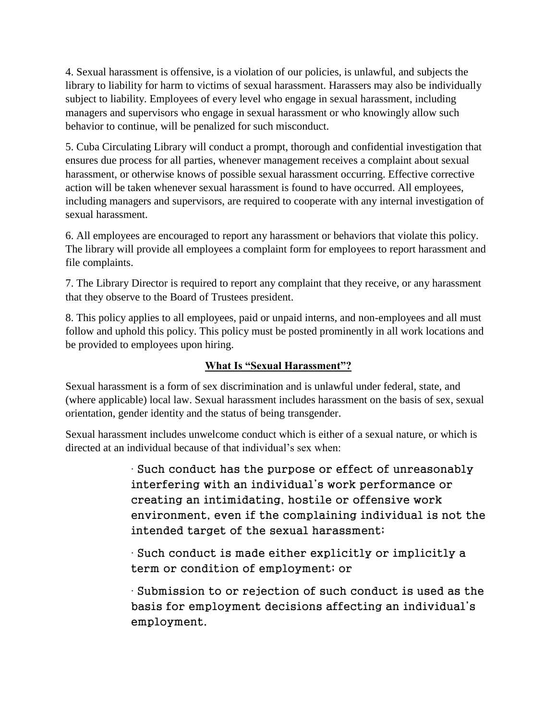4. Sexual harassment is offensive, is a violation of our policies, is unlawful, and subjects the library to liability for harm to victims of sexual harassment. Harassers may also be individually subject to liability. Employees of every level who engage in sexual harassment, including managers and supervisors who engage in sexual harassment or who knowingly allow such behavior to continue, will be penalized for such misconduct.

5. Cuba Circulating Library will conduct a prompt, thorough and confidential investigation that ensures due process for all parties, whenever management receives a complaint about sexual harassment, or otherwise knows of possible sexual harassment occurring. Effective corrective action will be taken whenever sexual harassment is found to have occurred. All employees, including managers and supervisors, are required to cooperate with any internal investigation of sexual harassment.

6. All employees are encouraged to report any harassment or behaviors that violate this policy. The library will provide all employees a complaint form for employees to report harassment and file complaints.

7. The Library Director is required to report any complaint that they receive, or any harassment that they observe to the Board of Trustees president.

8. This policy applies to all employees, paid or unpaid interns, and non-employees and all must follow and uphold this policy. This policy must be posted prominently in all work locations and be provided to employees upon hiring.

# **What Is "Sexual Harassment"?**

Sexual harassment is a form of sex discrimination and is unlawful under federal, state, and (where applicable) local law. Sexual harassment includes harassment on the basis of sex, sexual orientation, gender identity and the status of being transgender.

Sexual harassment includes unwelcome conduct which is either of a sexual nature, or which is directed at an individual because of that individual's sex when:

> ∙ Such conduct has the purpose or effect of unreasonably interfering with an individual's work performance or creating an intimidating, hostile or offensive work environment, even if the complaining individual is not the intended target of the sexual harassment;

∙ Such conduct is made either explicitly or implicitly a term or condition of employment; or

∙ Submission to or rejection of such conduct is used as the basis for employment decisions affecting an individual's employment.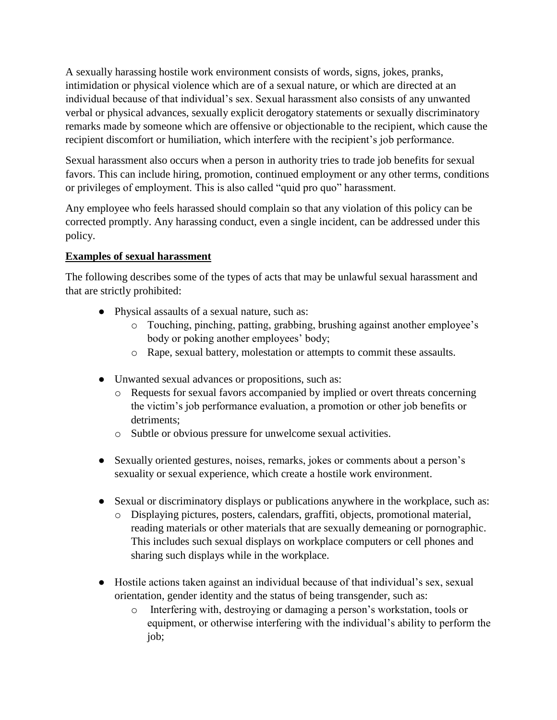A sexually harassing hostile work environment consists of words, signs, jokes, pranks, intimidation or physical violence which are of a sexual nature, or which are directed at an individual because of that individual's sex. Sexual harassment also consists of any unwanted verbal or physical advances, sexually explicit derogatory statements or sexually discriminatory remarks made by someone which are offensive or objectionable to the recipient, which cause the recipient discomfort or humiliation, which interfere with the recipient's job performance.

Sexual harassment also occurs when a person in authority tries to trade job benefits for sexual favors. This can include hiring, promotion, continued employment or any other terms, conditions or privileges of employment. This is also called "quid pro quo" harassment.

Any employee who feels harassed should complain so that any violation of this policy can be corrected promptly. Any harassing conduct, even a single incident, can be addressed under this policy.

# **Examples of sexual harassment**

The following describes some of the types of acts that may be unlawful sexual harassment and that are strictly prohibited:

- Physical assaults of a sexual nature, such as:
	- o Touching, pinching, patting, grabbing, brushing against another employee's body or poking another employees' body;
	- o Rape, sexual battery, molestation or attempts to commit these assaults.
- Unwanted sexual advances or propositions, such as:
	- o Requests for sexual favors accompanied by implied or overt threats concerning the victim's job performance evaluation, a promotion or other job benefits or detriments;
	- o Subtle or obvious pressure for unwelcome sexual activities.
- Sexually oriented gestures, noises, remarks, jokes or comments about a person's sexuality or sexual experience, which create a hostile work environment.
- Sexual or discriminatory displays or publications anywhere in the workplace, such as:
	- o Displaying pictures, posters, calendars, graffiti, objects, promotional material, reading materials or other materials that are sexually demeaning or pornographic. This includes such sexual displays on workplace computers or cell phones and sharing such displays while in the workplace.
- Hostile actions taken against an individual because of that individual's sex, sexual orientation, gender identity and the status of being transgender, such as:
	- o Interfering with, destroying or damaging a person's workstation, tools or equipment, or otherwise interfering with the individual's ability to perform the job;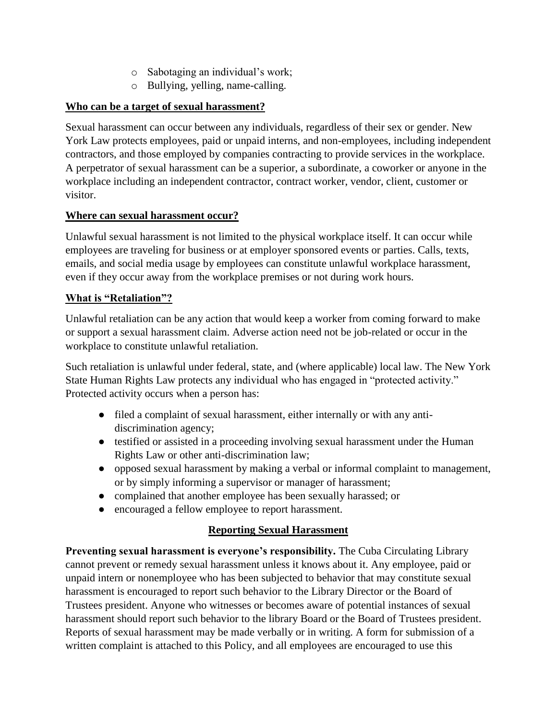- o Sabotaging an individual's work;
- o Bullying, yelling, name-calling.

# **Who can be a target of sexual harassment?**

Sexual harassment can occur between any individuals, regardless of their sex or gender. New York Law protects employees, paid or unpaid interns, and non-employees, including independent contractors, and those employed by companies contracting to provide services in the workplace. A perpetrator of sexual harassment can be a superior, a subordinate, a coworker or anyone in the workplace including an independent contractor, contract worker, vendor, client, customer or visitor.

# **Where can sexual harassment occur?**

Unlawful sexual harassment is not limited to the physical workplace itself. It can occur while employees are traveling for business or at employer sponsored events or parties. Calls, texts, emails, and social media usage by employees can constitute unlawful workplace harassment, even if they occur away from the workplace premises or not during work hours.

### **What is "Retaliation"?**

Unlawful retaliation can be any action that would keep a worker from coming forward to make or support a sexual harassment claim. Adverse action need not be job-related or occur in the workplace to constitute unlawful retaliation.

Such retaliation is unlawful under federal, state, and (where applicable) local law. The New York State Human Rights Law protects any individual who has engaged in "protected activity." Protected activity occurs when a person has:

- filed a complaint of sexual harassment, either internally or with any antidiscrimination agency;
- testified or assisted in a proceeding involving sexual harassment under the Human Rights Law or other anti-discrimination law;
- opposed sexual harassment by making a verbal or informal complaint to management, or by simply informing a supervisor or manager of harassment;
- complained that another employee has been sexually harassed; or
- encouraged a fellow employee to report harassment.

# **Reporting Sexual Harassment**

**Preventing sexual harassment is everyone's responsibility.** The Cuba Circulating Library cannot prevent or remedy sexual harassment unless it knows about it. Any employee, paid or unpaid intern or nonemployee who has been subjected to behavior that may constitute sexual harassment is encouraged to report such behavior to the Library Director or the Board of Trustees president. Anyone who witnesses or becomes aware of potential instances of sexual harassment should report such behavior to the library Board or the Board of Trustees president. Reports of sexual harassment may be made verbally or in writing. A form for submission of a written complaint is attached to this Policy, and all employees are encouraged to use this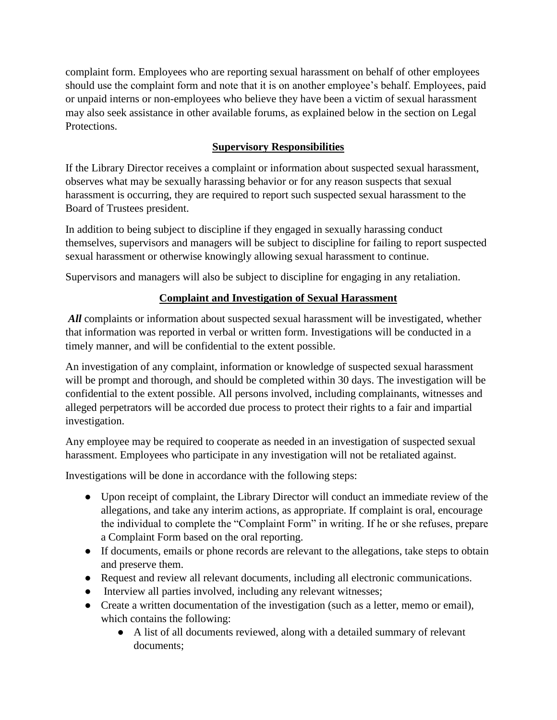complaint form. Employees who are reporting sexual harassment on behalf of other employees should use the complaint form and note that it is on another employee's behalf. Employees, paid or unpaid interns or non-employees who believe they have been a victim of sexual harassment may also seek assistance in other available forums, as explained below in the section on Legal Protections.

# **Supervisory Responsibilities**

If the Library Director receives a complaint or information about suspected sexual harassment, observes what may be sexually harassing behavior or for any reason suspects that sexual harassment is occurring, they are required to report such suspected sexual harassment to the Board of Trustees president.

In addition to being subject to discipline if they engaged in sexually harassing conduct themselves, supervisors and managers will be subject to discipline for failing to report suspected sexual harassment or otherwise knowingly allowing sexual harassment to continue.

Supervisors and managers will also be subject to discipline for engaging in any retaliation.

# **Complaint and Investigation of Sexual Harassment**

*All* complaints or information about suspected sexual harassment will be investigated, whether that information was reported in verbal or written form. Investigations will be conducted in a timely manner, and will be confidential to the extent possible.

An investigation of any complaint, information or knowledge of suspected sexual harassment will be prompt and thorough, and should be completed within 30 days. The investigation will be confidential to the extent possible. All persons involved, including complainants, witnesses and alleged perpetrators will be accorded due process to protect their rights to a fair and impartial investigation.

Any employee may be required to cooperate as needed in an investigation of suspected sexual harassment. Employees who participate in any investigation will not be retaliated against.

Investigations will be done in accordance with the following steps:

- Upon receipt of complaint, the Library Director will conduct an immediate review of the allegations, and take any interim actions, as appropriate. If complaint is oral, encourage the individual to complete the "Complaint Form" in writing. If he or she refuses, prepare a Complaint Form based on the oral reporting.
- If documents, emails or phone records are relevant to the allegations, take steps to obtain and preserve them.
- Request and review all relevant documents, including all electronic communications.
- Interview all parties involved, including any relevant witnesses;
- Create a written documentation of the investigation (such as a letter, memo or email), which contains the following:
	- A list of all documents reviewed, along with a detailed summary of relevant documents;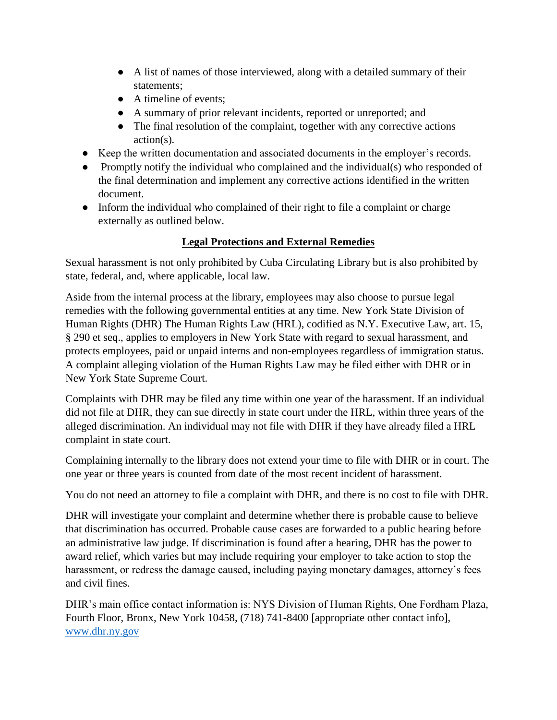- A list of names of those interviewed, along with a detailed summary of their statements;
- A timeline of events;
- A summary of prior relevant incidents, reported or unreported; and
- The final resolution of the complaint, together with any corrective actions action(s).
- Keep the written documentation and associated documents in the employer's records.
- Promptly notify the individual who complained and the individual(s) who responded of the final determination and implement any corrective actions identified in the written document.
- Inform the individual who complained of their right to file a complaint or charge externally as outlined below.

# **Legal Protections and External Remedies**

Sexual harassment is not only prohibited by Cuba Circulating Library but is also prohibited by state, federal, and, where applicable, local law.

Aside from the internal process at the library, employees may also choose to pursue legal remedies with the following governmental entities at any time. New York State Division of Human Rights (DHR) The Human Rights Law (HRL), codified as N.Y. Executive Law, art. 15, § 290 et seq., applies to employers in New York State with regard to sexual harassment, and protects employees, paid or unpaid interns and non-employees regardless of immigration status. A complaint alleging violation of the Human Rights Law may be filed either with DHR or in New York State Supreme Court.

Complaints with DHR may be filed any time within one year of the harassment. If an individual did not file at DHR, they can sue directly in state court under the HRL, within three years of the alleged discrimination. An individual may not file with DHR if they have already filed a HRL complaint in state court.

Complaining internally to the library does not extend your time to file with DHR or in court. The one year or three years is counted from date of the most recent incident of harassment.

You do not need an attorney to file a complaint with DHR, and there is no cost to file with DHR.

DHR will investigate your complaint and determine whether there is probable cause to believe that discrimination has occurred. Probable cause cases are forwarded to a public hearing before an administrative law judge. If discrimination is found after a hearing, DHR has the power to award relief, which varies but may include requiring your employer to take action to stop the harassment, or redress the damage caused, including paying monetary damages, attorney's fees and civil fines.

DHR's main office contact information is: NYS Division of Human Rights, One Fordham Plaza, Fourth Floor, Bronx, New York 10458, (718) 741-8400 [appropriate other contact info], [www.dhr.ny.gov](http://www.dhr.ny.gov/)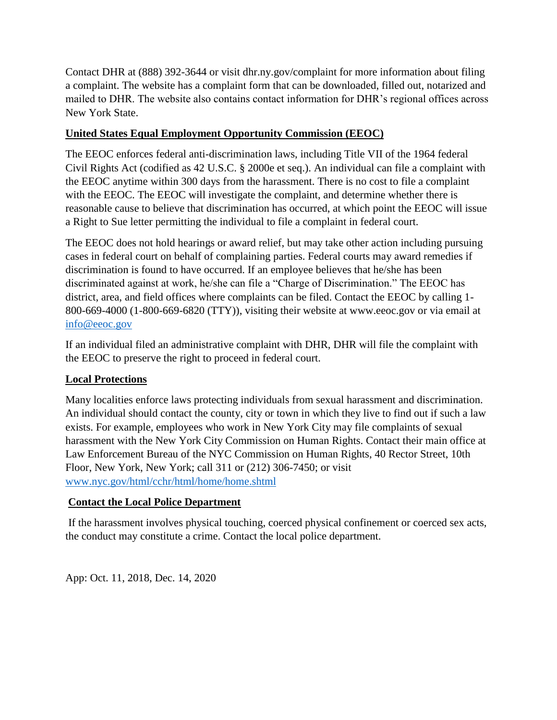Contact DHR at (888) 392-3644 or visit dhr.ny.gov/complaint for more information about filing a complaint. The website has a complaint form that can be downloaded, filled out, notarized and mailed to DHR. The website also contains contact information for DHR's regional offices across New York State.

# **United States Equal Employment Opportunity Commission (EEOC)**

The EEOC enforces federal anti-discrimination laws, including Title VII of the 1964 federal Civil Rights Act (codified as 42 U.S.C. § 2000e et seq.). An individual can file a complaint with the EEOC anytime within 300 days from the harassment. There is no cost to file a complaint with the EEOC. The EEOC will investigate the complaint, and determine whether there is reasonable cause to believe that discrimination has occurred, at which point the EEOC will issue a Right to Sue letter permitting the individual to file a complaint in federal court.

The EEOC does not hold hearings or award relief, but may take other action including pursuing cases in federal court on behalf of complaining parties. Federal courts may award remedies if discrimination is found to have occurred. If an employee believes that he/she has been discriminated against at work, he/she can file a "Charge of Discrimination." The EEOC has district, area, and field offices where complaints can be filed. Contact the EEOC by calling 1- 800-669-4000 (1-800-669-6820 (TTY)), visiting their website at www.eeoc.gov or via email at [info@eeoc.gov](mailto:info@eeoc.gov)

If an individual filed an administrative complaint with DHR, DHR will file the complaint with the EEOC to preserve the right to proceed in federal court.

# **Local Protections**

Many localities enforce laws protecting individuals from sexual harassment and discrimination. An individual should contact the county, city or town in which they live to find out if such a law exists. For example, employees who work in New York City may file complaints of sexual harassment with the New York City Commission on Human Rights. Contact their main office at Law Enforcement Bureau of the NYC Commission on Human Rights, 40 Rector Street, 10th Floor, New York, New York; call 311 or (212) 306-7450; or visit [www.nyc.gov/html/cchr/html/home/home.shtml](http://www.nyc.gov/html/cchr/html/home/home.shtml)

# **Contact the Local Police Department**

If the harassment involves physical touching, coerced physical confinement or coerced sex acts, the conduct may constitute a crime. Contact the local police department.

App: Oct. 11, 2018, Dec. 14, 2020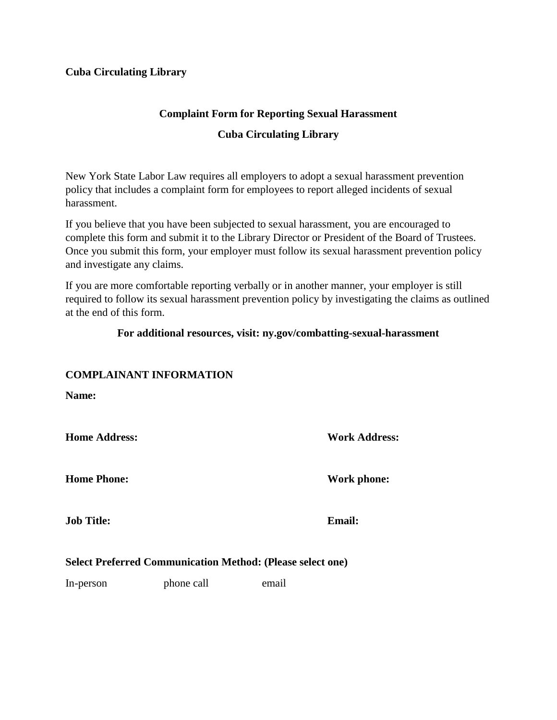# **Complaint Form for Reporting Sexual Harassment**

### **Cuba Circulating Library**

New York State Labor Law requires all employers to adopt a sexual harassment prevention policy that includes a complaint form for employees to report alleged incidents of sexual harassment.

If you believe that you have been subjected to sexual harassment, you are encouraged to complete this form and submit it to the Library Director or President of the Board of Trustees. Once you submit this form, your employer must follow its sexual harassment prevention policy and investigate any claims.

If you are more comfortable reporting verbally or in another manner, your employer is still required to follow its sexual harassment prevention policy by investigating the claims as outlined at the end of this form.

#### **For additional resources, visit: ny.gov/combatting-sexual-harassment**

# **COMPLAINANT INFORMATION**

**Name:**

**Home Address: Work Address:**

**Home Phone: Work phone:** 

**Job Title: Email:**

#### **Select Preferred Communication Method: (Please select one)**

In-person phone call email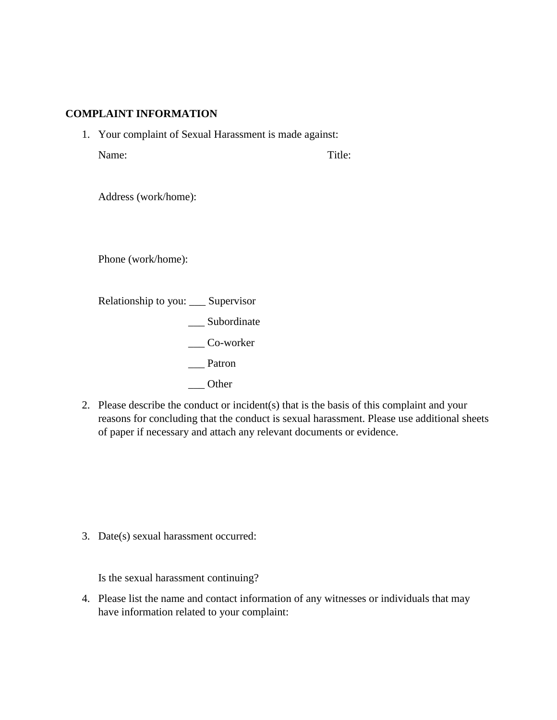#### **COMPLAINT INFORMATION**

1. Your complaint of Sexual Harassment is made against: Name: Title:

Address (work/home):

Phone (work/home):

Relationship to you: \_\_\_ Supervisor \_\_\_ Subordinate \_\_\_ Co-worker \_\_\_ Patron

- \_\_\_ Other
- 2. Please describe the conduct or incident(s) that is the basis of this complaint and your reasons for concluding that the conduct is sexual harassment. Please use additional sheets of paper if necessary and attach any relevant documents or evidence.

3. Date(s) sexual harassment occurred:

Is the sexual harassment continuing?

4. Please list the name and contact information of any witnesses or individuals that may have information related to your complaint: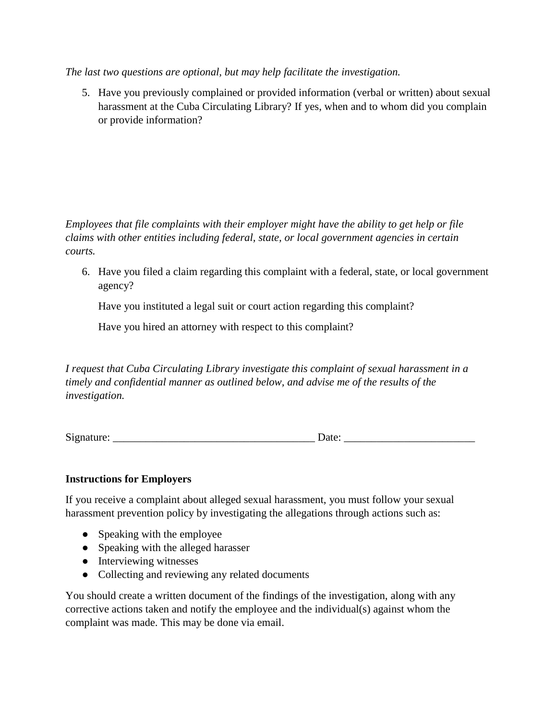*The last two questions are optional, but may help facilitate the investigation.*

5. Have you previously complained or provided information (verbal or written) about sexual harassment at the Cuba Circulating Library? If yes, when and to whom did you complain or provide information?

*Employees that file complaints with their employer might have the ability to get help or file claims with other entities including federal, state, or local government agencies in certain courts.*

6. Have you filed a claim regarding this complaint with a federal, state, or local government agency?

Have you instituted a legal suit or court action regarding this complaint?

Have you hired an attorney with respect to this complaint?

*I request that Cuba Circulating Library investigate this complaint of sexual harassment in a timely and confidential manner as outlined below, and advise me of the results of the investigation.*

Signature: \_\_\_\_\_\_\_\_\_\_\_\_\_\_\_\_\_\_\_\_\_\_\_\_\_\_\_\_\_\_\_\_\_\_\_\_\_ Date: \_\_\_\_\_\_\_\_\_\_\_\_\_\_\_\_\_\_\_\_\_\_\_\_

# **Instructions for Employers**

If you receive a complaint about alleged sexual harassment, you must follow your sexual harassment prevention policy by investigating the allegations through actions such as:

- Speaking with the employee
- Speaking with the alleged harasser
- Interviewing witnesses
- Collecting and reviewing any related documents

You should create a written document of the findings of the investigation, along with any corrective actions taken and notify the employee and the individual(s) against whom the complaint was made. This may be done via email.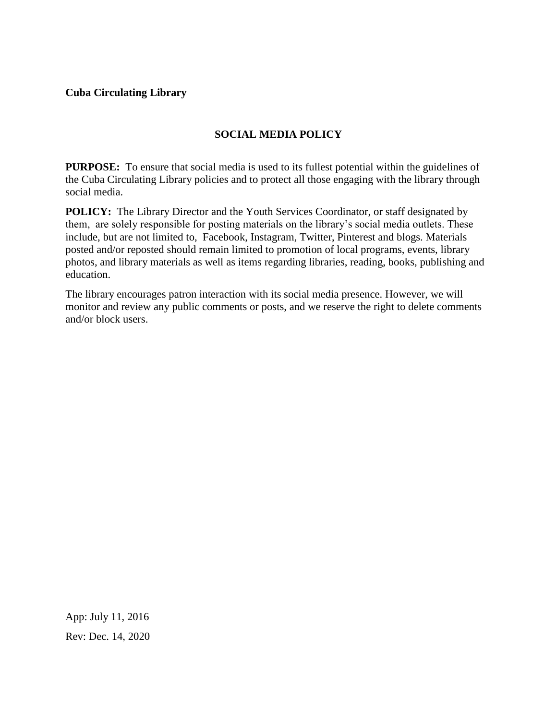# **SOCIAL MEDIA POLICY**

<span id="page-31-0"></span>**PURPOSE:** To ensure that social media is used to its fullest potential within the guidelines of the Cuba Circulating Library policies and to protect all those engaging with the library through social media.

**POLICY:** The Library Director and the Youth Services Coordinator, or staff designated by them, are solely responsible for posting materials on the library's social media outlets. These include, but are not limited to, Facebook, Instagram, Twitter, Pinterest and blogs. Materials posted and/or reposted should remain limited to promotion of local programs, events, library photos, and library materials as well as items regarding libraries, reading, books, publishing and education.

The library encourages patron interaction with its social media presence. However, we will monitor and review any public comments or posts, and we reserve the right to delete comments and/or block users.

App: July 11, 2016 Rev: Dec. 14, 2020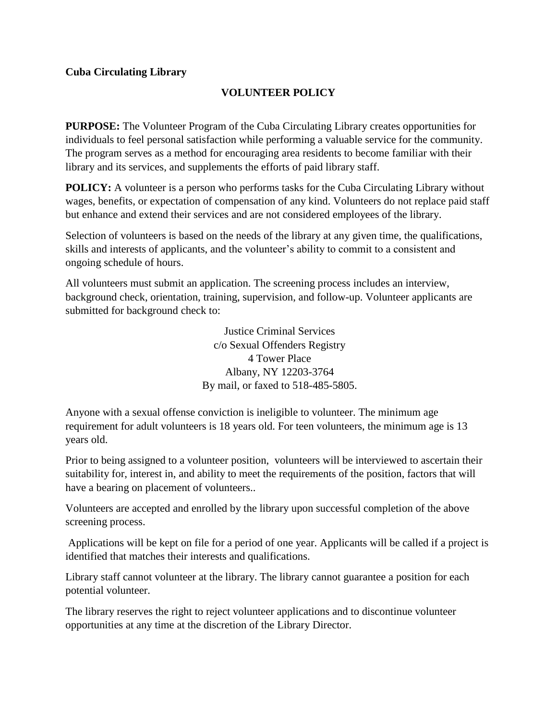# **VOLUNTEER POLICY**

<span id="page-32-0"></span>**PURPOSE:** The Volunteer Program of the Cuba Circulating Library creates opportunities for individuals to feel personal satisfaction while performing a valuable service for the community. The program serves as a method for encouraging area residents to become familiar with their library and its services, and supplements the efforts of paid library staff.

**POLICY:** A volunteer is a person who performs tasks for the Cuba Circulating Library without wages, benefits, or expectation of compensation of any kind. Volunteers do not replace paid staff but enhance and extend their services and are not considered employees of the library.

Selection of volunteers is based on the needs of the library at any given time, the qualifications, skills and interests of applicants, and the volunteer's ability to commit to a consistent and ongoing schedule of hours.

All volunteers must submit an application. The screening process includes an interview, background check, orientation, training, supervision, and follow-up. Volunteer applicants are submitted for background check to:

> Justice Criminal Services c/o Sexual Offenders Registry 4 Tower Place Albany, NY 12203-3764 By mail, or faxed to 518-485-5805.

Anyone with a sexual offense conviction is ineligible to volunteer. The minimum age requirement for adult volunteers is 18 years old. For teen volunteers, the minimum age is 13 years old.

Prior to being assigned to a volunteer position, volunteers will be interviewed to ascertain their suitability for, interest in, and ability to meet the requirements of the position, factors that will have a bearing on placement of volunteers..

Volunteers are accepted and enrolled by the library upon successful completion of the above screening process.

Applications will be kept on file for a period of one year. Applicants will be called if a project is identified that matches their interests and qualifications.

Library staff cannot volunteer at the library. The library cannot guarantee a position for each potential volunteer.

The library reserves the right to reject volunteer applications and to discontinue volunteer opportunities at any time at the discretion of the Library Director.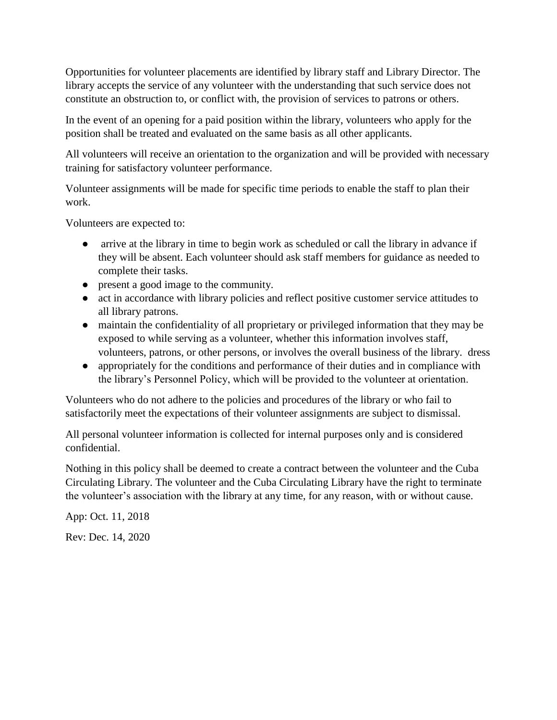Opportunities for volunteer placements are identified by library staff and Library Director. The library accepts the service of any volunteer with the understanding that such service does not constitute an obstruction to, or conflict with, the provision of services to patrons or others.

In the event of an opening for a paid position within the library, volunteers who apply for the position shall be treated and evaluated on the same basis as all other applicants.

All volunteers will receive an orientation to the organization and will be provided with necessary training for satisfactory volunteer performance.

Volunteer assignments will be made for specific time periods to enable the staff to plan their work.

Volunteers are expected to:

- arrive at the library in time to begin work as scheduled or call the library in advance if they will be absent. Each volunteer should ask staff members for guidance as needed to complete their tasks.
- present a good image to the community.
- act in accordance with library policies and reflect positive customer service attitudes to all library patrons.
- maintain the confidentiality of all proprietary or privileged information that they may be exposed to while serving as a volunteer, whether this information involves staff, volunteers, patrons, or other persons, or involves the overall business of the library. dress
- appropriately for the conditions and performance of their duties and in compliance with the library's Personnel Policy, which will be provided to the volunteer at orientation.

Volunteers who do not adhere to the policies and procedures of the library or who fail to satisfactorily meet the expectations of their volunteer assignments are subject to dismissal.

All personal volunteer information is collected for internal purposes only and is considered confidential.

Nothing in this policy shall be deemed to create a contract between the volunteer and the Cuba Circulating Library. The volunteer and the Cuba Circulating Library have the right to terminate the volunteer's association with the library at any time, for any reason, with or without cause.

App: Oct. 11, 2018

Rev: Dec. 14, 2020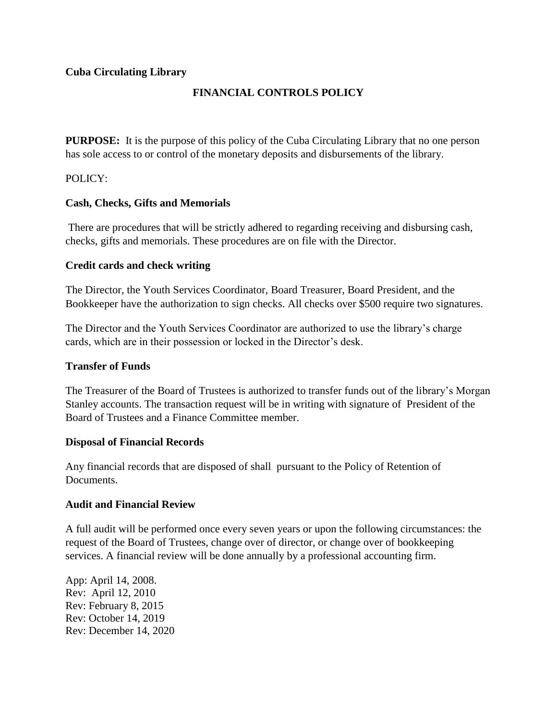# **FINANCIAL CONTROLS POLICY**

<span id="page-34-0"></span>**PURPOSE:** It is the purpose of this policy of the Cuba Circulating Library that no one person has sole access to or control of the monetary deposits and disbursements of the library.

POLICY:

### **Cash, Checks, Gifts and Memorials**

There are procedures that will be strictly adhered to regarding receiving and disbursing cash, checks, gifts and memorials. These procedures are on file with the Director.

### **Credit cards and check writing**

The Director, the Youth Services Coordinator, Board Treasurer, Board President, and the Bookkeeper have the authorization to sign checks. All checks over \$500 require two signatures.

The Director and the Youth Services Coordinator are authorized to use the library's charge cards, which are in their possession or locked in the Director's desk.

#### **Transfer of Funds**

The Treasurer of the Board of Trustees is authorized to transfer funds out of the library's Morgan Stanley accounts. The transaction request will be in writing with signature of President of the Board of Trustees and a Finance Committee member.

#### **Disposal of Financial Records**

Any financial records that are disposed of shall pursuant to the Policy of Retention of Documents.

#### **Audit and Financial Review**

A full audit will be performed once every seven years or upon the following circumstances: the request of the Board of Trustees, change over of director, or change over of bookkeeping services. A financial review will be done annually by a professional accounting firm.

App: April 14, 2008. Rev: April 12, 2010 Rev: February 8, 2015 Rev: October 14, 2019 Rev: December 14, 2020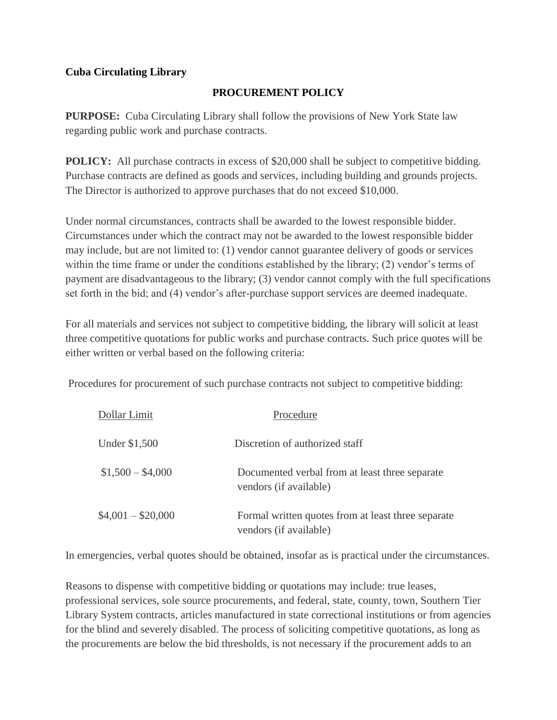# **PROCUREMENT POLICY**

<span id="page-35-0"></span>**PURPOSE:** Cuba Circulating Library shall follow the provisions of New York State law regarding public work and purchase contracts.

**POLICY:** All purchase contracts in excess of \$20,000 shall be subject to competitive bidding. Purchase contracts are defined as goods and services, including building and grounds projects. The Director is authorized to approve purchases that do not exceed \$10,000.

Under normal circumstances, contracts shall be awarded to the lowest responsible bidder. Circumstances under which the contract may not be awarded to the lowest responsible bidder may include, but are not limited to: (1) vendor cannot guarantee delivery of goods or services within the time frame or under the conditions established by the library; (2) vendor's terms of payment are disadvantageous to the library; (3) vendor cannot comply with the full specifications set forth in the bid; and (4) vendor's after-purchase support services are deemed inadequate.

For all materials and services not subject to competitive bidding, the library will solicit at least three competitive quotations for public works and purchase contracts. Such price quotes will be either written or verbal based on the following criteria:

Procedures for procurement of such purchase contracts not subject to competitive bidding:

| Dollar Limit       | Procedure                                                                    |
|--------------------|------------------------------------------------------------------------------|
| Under \$1,500      | Discretion of authorized staff                                               |
| $$1,500 - $4,000$  | Documented verbal from at least three separate<br>vendors (if available)     |
| $$4,001 - $20,000$ | Formal written quotes from at least three separate<br>vendors (if available) |

In emergencies, verbal quotes should be obtained, insofar as is practical under the circumstances.

Reasons to dispense with competitive bidding or quotations may include: true leases, professional services, sole source procurements, and federal, state, county, town, Southern Tier Library System contracts, articles manufactured in state correctional institutions or from agencies for the blind and severely disabled. The process of soliciting competitive quotations, as long as the procurements are below the bid thresholds, is not necessary if the procurement adds to an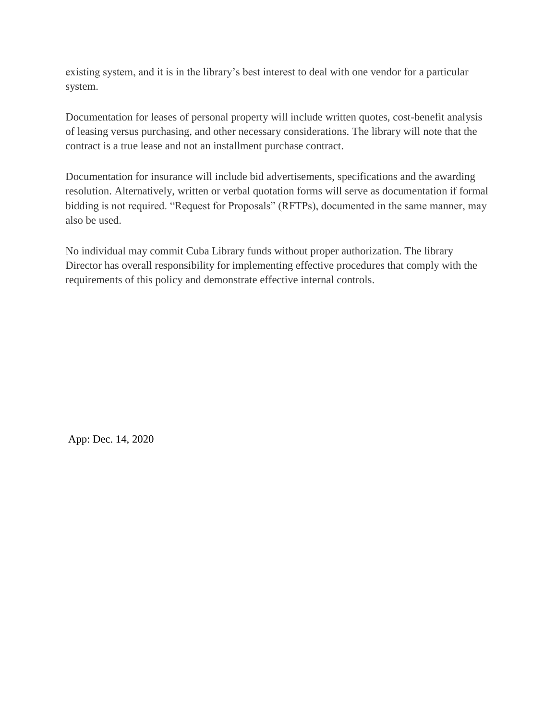existing system, and it is in the library's best interest to deal with one vendor for a particular system.

Documentation for leases of personal property will include written quotes, cost-benefit analysis of leasing versus purchasing, and other necessary considerations. The library will note that the contract is a true lease and not an installment purchase contract.

Documentation for insurance will include bid advertisements, specifications and the awarding resolution. Alternatively, written or verbal quotation forms will serve as documentation if formal bidding is not required. "Request for Proposals" (RFTPs), documented in the same manner, may also be used.

No individual may commit Cuba Library funds without proper authorization. The library Director has overall responsibility for implementing effective procedures that comply with the requirements of this policy and demonstrate effective internal controls.

App: Dec. 14, 2020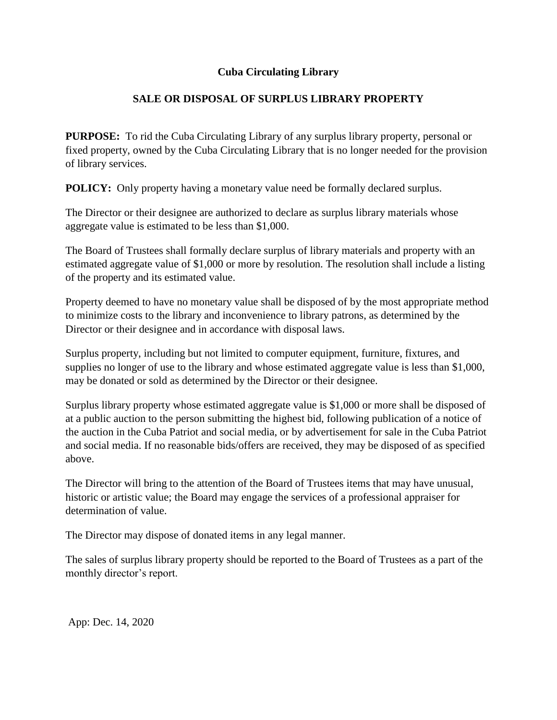## **Cuba Circulating Library**

## **SALE OR DISPOSAL OF SURPLUS LIBRARY PROPERTY**

**PURPOSE:** To rid the Cuba Circulating Library of any surplus library property, personal or fixed property, owned by the Cuba Circulating Library that is no longer needed for the provision of library services.

**POLICY:** Only property having a monetary value need be formally declared surplus.

The Director or their designee are authorized to declare as surplus library materials whose aggregate value is estimated to be less than \$1,000.

The Board of Trustees shall formally declare surplus of library materials and property with an estimated aggregate value of \$1,000 or more by resolution. The resolution shall include a listing of the property and its estimated value.

Property deemed to have no monetary value shall be disposed of by the most appropriate method to minimize costs to the library and inconvenience to library patrons, as determined by the Director or their designee and in accordance with disposal laws.

Surplus property, including but not limited to computer equipment, furniture, fixtures, and supplies no longer of use to the library and whose estimated aggregate value is less than \$1,000, may be donated or sold as determined by the Director or their designee.

Surplus library property whose estimated aggregate value is \$1,000 or more shall be disposed of at a public auction to the person submitting the highest bid, following publication of a notice of the auction in the Cuba Patriot and social media, or by advertisement for sale in the Cuba Patriot and social media. If no reasonable bids/offers are received, they may be disposed of as specified above.

The Director will bring to the attention of the Board of Trustees items that may have unusual, historic or artistic value; the Board may engage the services of a professional appraiser for determination of value.

The Director may dispose of donated items in any legal manner.

The sales of surplus library property should be reported to the Board of Trustees as a part of the monthly director's report.

App: Dec. 14, 2020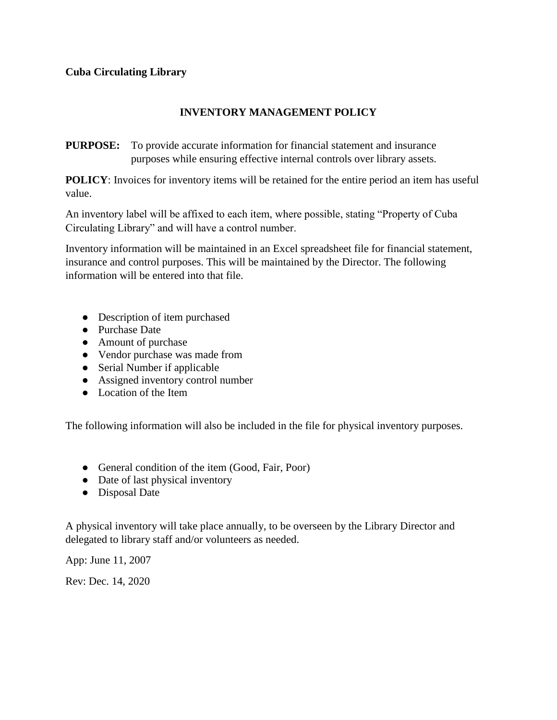## **INVENTORY MANAGEMENT POLICY**

**PURPOSE:** To provide accurate information for financial statement and insurance purposes while ensuring effective internal controls over library assets.

**POLICY**: Invoices for inventory items will be retained for the entire period an item has useful value.

An inventory label will be affixed to each item, where possible, stating "Property of Cuba Circulating Library" and will have a control number.

Inventory information will be maintained in an Excel spreadsheet file for financial statement, insurance and control purposes. This will be maintained by the Director. The following information will be entered into that file.

- Description of item purchased
- Purchase Date
- Amount of purchase
- Vendor purchase was made from
- Serial Number if applicable
- Assigned inventory control number
- Location of the Item

The following information will also be included in the file for physical inventory purposes.

- General condition of the item (Good, Fair, Poor)
- Date of last physical inventory
- Disposal Date

A physical inventory will take place annually, to be overseen by the Library Director and delegated to library staff and/or volunteers as needed.

App: June 11, 2007

Rev: Dec. 14, 2020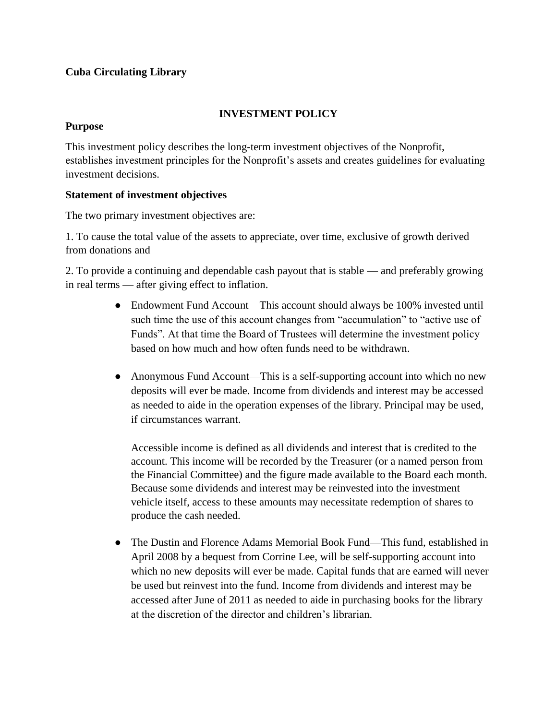## **Cuba Circulating Library**

## **INVESTMENT POLICY**

### **Purpose**

This investment policy describes the long-term investment objectives of the Nonprofit, establishes investment principles for the Nonprofit's assets and creates guidelines for evaluating investment decisions.

### **Statement of investment objectives**

The two primary investment objectives are:

1. To cause the total value of the assets to appreciate, over time, exclusive of growth derived from donations and

2. To provide a continuing and dependable cash payout that is stable — and preferably growing in real terms — after giving effect to inflation.

- Endowment Fund Account—This account should always be 100% invested until such time the use of this account changes from "accumulation" to "active use of Funds". At that time the Board of Trustees will determine the investment policy based on how much and how often funds need to be withdrawn.
- Anonymous Fund Account—This is a self-supporting account into which no new deposits will ever be made. Income from dividends and interest may be accessed as needed to aide in the operation expenses of the library. Principal may be used, if circumstances warrant.

Accessible income is defined as all dividends and interest that is credited to the account. This income will be recorded by the Treasurer (or a named person from the Financial Committee) and the figure made available to the Board each month. Because some dividends and interest may be reinvested into the investment vehicle itself, access to these amounts may necessitate redemption of shares to produce the cash needed.

• The Dustin and Florence Adams Memorial Book Fund—This fund, established in April 2008 by a bequest from Corrine Lee, will be self-supporting account into which no new deposits will ever be made. Capital funds that are earned will never be used but reinvest into the fund. Income from dividends and interest may be accessed after June of 2011 as needed to aide in purchasing books for the library at the discretion of the director and children's librarian.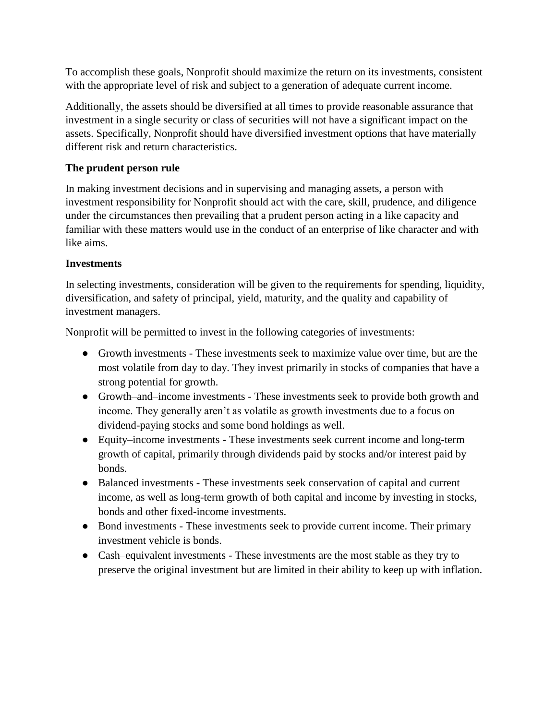To accomplish these goals, Nonprofit should maximize the return on its investments, consistent with the appropriate level of risk and subject to a generation of adequate current income.

Additionally, the assets should be diversified at all times to provide reasonable assurance that investment in a single security or class of securities will not have a significant impact on the assets. Specifically, Nonprofit should have diversified investment options that have materially different risk and return characteristics.

## **The prudent person rule**

In making investment decisions and in supervising and managing assets, a person with investment responsibility for Nonprofit should act with the care, skill, prudence, and diligence under the circumstances then prevailing that a prudent person acting in a like capacity and familiar with these matters would use in the conduct of an enterprise of like character and with like aims.

## **Investments**

In selecting investments, consideration will be given to the requirements for spending, liquidity, diversification, and safety of principal, yield, maturity, and the quality and capability of investment managers.

Nonprofit will be permitted to invest in the following categories of investments:

- Growth investments These investments seek to maximize value over time, but are the most volatile from day to day. They invest primarily in stocks of companies that have a strong potential for growth.
- Growth–and–income investments These investments seek to provide both growth and income. They generally aren't as volatile as growth investments due to a focus on dividend-paying stocks and some bond holdings as well.
- Equity–income investments These investments seek current income and long-term growth of capital, primarily through dividends paid by stocks and/or interest paid by bonds.
- Balanced investments These investments seek conservation of capital and current income, as well as long-term growth of both capital and income by investing in stocks, bonds and other fixed-income investments.
- Bond investments These investments seek to provide current income. Their primary investment vehicle is bonds.
- Cash–equivalent investments These investments are the most stable as they try to preserve the original investment but are limited in their ability to keep up with inflation.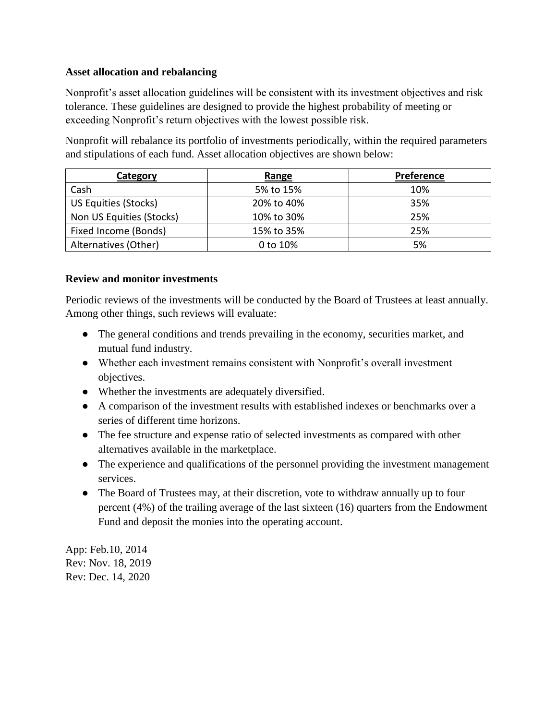## **Asset allocation and rebalancing**

Nonprofit's asset allocation guidelines will be consistent with its investment objectives and risk tolerance. These guidelines are designed to provide the highest probability of meeting or exceeding Nonprofit's return objectives with the lowest possible risk.

Nonprofit will rebalance its portfolio of investments periodically, within the required parameters and stipulations of each fund. Asset allocation objectives are shown below:

| <b>Category</b>          | Range      | Preference |
|--------------------------|------------|------------|
| Cash                     | 5% to 15%  | 10%        |
| US Equities (Stocks)     | 20% to 40% | 35%        |
| Non US Equities (Stocks) | 10% to 30% | 25%        |
| Fixed Income (Bonds)     | 15% to 35% | 25%        |
| Alternatives (Other)     | 0 to 10%   | 5%         |

### **Review and monitor investments**

Periodic reviews of the investments will be conducted by the Board of Trustees at least annually. Among other things, such reviews will evaluate:

- The general conditions and trends prevailing in the economy, securities market, and mutual fund industry.
- Whether each investment remains consistent with Nonprofit's overall investment objectives.
- Whether the investments are adequately diversified.
- A comparison of the investment results with established indexes or benchmarks over a series of different time horizons.
- The fee structure and expense ratio of selected investments as compared with other alternatives available in the marketplace.
- The experience and qualifications of the personnel providing the investment management services.
- The Board of Trustees may, at their discretion, vote to withdraw annually up to four percent (4%) of the trailing average of the last sixteen (16) quarters from the Endowment Fund and deposit the monies into the operating account.

App: Feb.10, 2014 Rev: Nov. 18, 2019 Rev: Dec. 14, 2020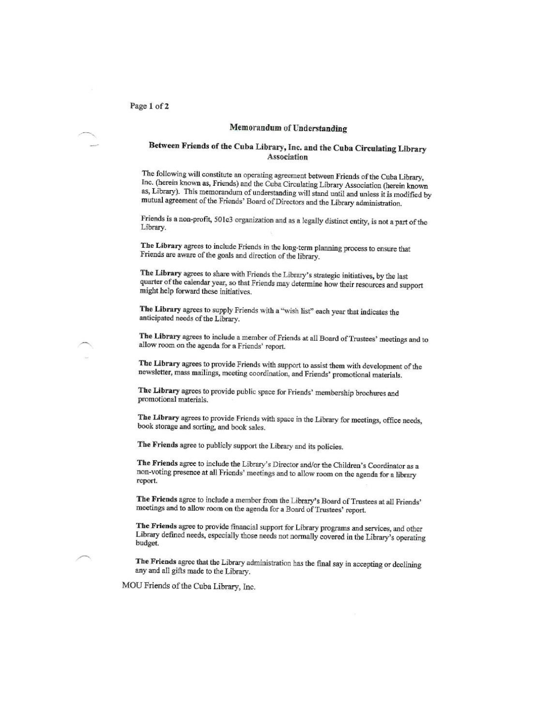#### Memorandum of Understanding

#### Between Friends of the Cuba Library, Inc. and the Cuba Circulating Library Association

The following will constitute an operating agreement between Friends of the Cuba Library,<br>Inc. (bersin known as Esimple) and the Cuba City in the constitution of the Cuba Library, Inc. (herein known as, Friends) and the Cuba Circulating Library Association (herein known as, Library). This memorandum of understanding will stand until and unless it is modified by mutual agreement of the Friends' Board of Directors and the Library administration.

Friends is a non-profit, 501c3 organization and as a legally distinct entity, is not a part of the Library.

The Library agrees to include Friends in the long-term planning process to ensure that Friends are aware of the goals and direction of the library.

The Library agrees to share with Friends the Library's strategic initiatives, by the last quarter of the calendar year, so that Friends may determine how their resources and support might help forward these initiatives.

The Library agrees to supply Friends with a "wish list" each year that indicates the anticipated needs of the Library.

The Library agrees to include a member of Friends at all Board of Trustees' meetings and to allow room on the agenda for a Friends' report.

The Library agrees to provide Friends with support to assist them with development of the newsletter, mass mailings, meeting coordination, and Friends' promotional materials.

The Library agrees to provide public space for Friends' membership brochures and promotional materials.

The Library agrees to provide Friends with space in the Library for meetings, office needs, book storage and sorting, and book sales.

The Friends agree to publicly support the Library and its policies.

The Friends agree to include the Library's Director and/or the Children's Coordinator as a non-voting presence at all Friends' meetings and to allow room on the agenda for a library report.

The Friends agree to include a member from the Library's Board of Trustees at all Friends' meetings and to allow room on the agenda for a Board of Trustees' report.

The Friends agree to provide financial support for Library programs and services, and other Library defined needs, especially those needs not normally covered in the Library's operating budget.

The Friends agree that the Library administration has the final say in accepting or declining any and all gifts made to the Library.

MOU Friends of the Cuba Library, Inc.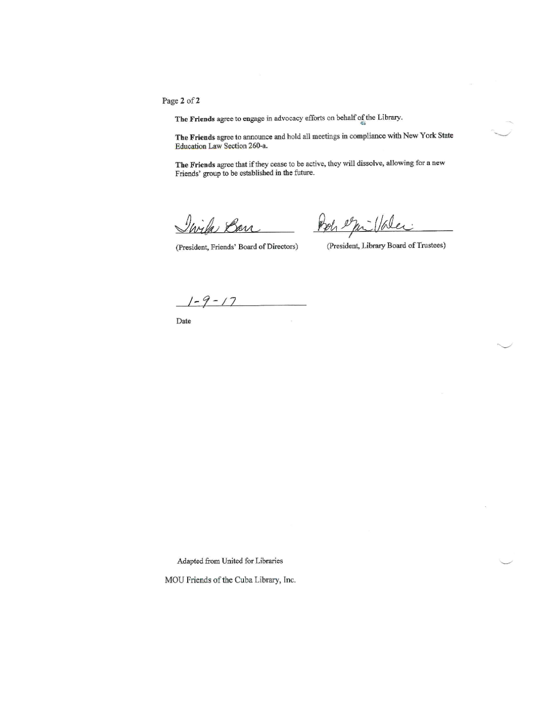Page 2 of 2

The Friends agree to engage in advocacy efforts on behalf of the Library.

The Friends agree to announce and hold all meetings in compliance with New York State Education Law Section 260-a.

The Friends agree that if they cease to be active, they will dissolve, allowing for a new Friends' group to be established in the future.

Urila Barr

Poh equillater

(President, Friends' Board of Directors)

(President, Library Board of Trustees)

 $1 - 9 - 17$ 

Date

Adapted from United for Libraries

MOU Friends of the Cuba Library, Inc.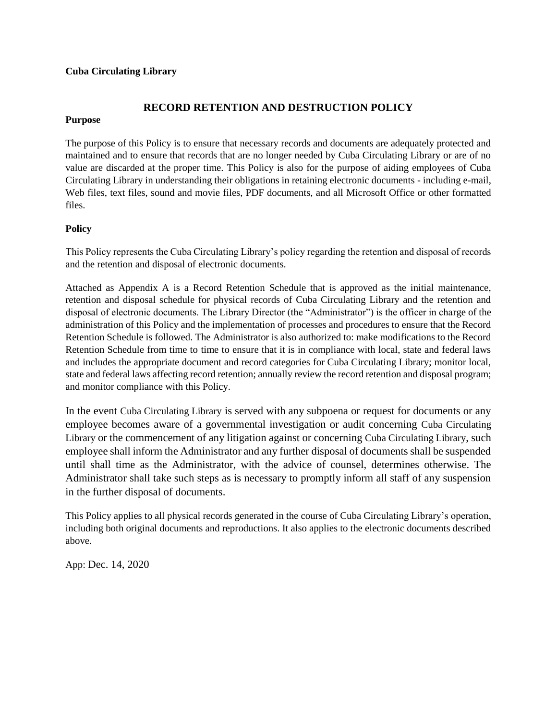#### **Cuba Circulating Library**

## **RECORD RETENTION AND DESTRUCTION POLICY**

#### **Purpose**

The purpose of this Policy is to ensure that necessary records and documents are adequately protected and maintained and to ensure that records that are no longer needed by Cuba Circulating Library or are of no value are discarded at the proper time. This Policy is also for the purpose of aiding employees of Cuba Circulating Library in understanding their obligations in retaining electronic documents - including e-mail, Web files, text files, sound and movie files, PDF documents, and all Microsoft Office or other formatted files.

#### **Policy**

This Policy represents the Cuba Circulating Library's policy regarding the retention and disposal of records and the retention and disposal of electronic documents.

Attached as Appendix A is a Record Retention Schedule that is approved as the initial maintenance, retention and disposal schedule for physical records of Cuba Circulating Library and the retention and disposal of electronic documents. The Library Director (the "Administrator") is the officer in charge of the administration of this Policy and the implementation of processes and procedures to ensure that the Record Retention Schedule is followed. The Administrator is also authorized to: make modifications to the Record Retention Schedule from time to time to ensure that it is in compliance with local, state and federal laws and includes the appropriate document and record categories for Cuba Circulating Library; monitor local, state and federal laws affecting record retention; annually review the record retention and disposal program; and monitor compliance with this Policy.

In the event Cuba Circulating Library is served with any subpoena or request for documents or any employee becomes aware of a governmental investigation or audit concerning Cuba Circulating Library or the commencement of any litigation against or concerning Cuba Circulating Library, such employee shall inform the Administrator and any further disposal of documents shall be suspended until shall time as the Administrator, with the advice of counsel, determines otherwise. The Administrator shall take such steps as is necessary to promptly inform all staff of any suspension in the further disposal of documents.

This Policy applies to all physical records generated in the course of Cuba Circulating Library's operation, including both original documents and reproductions. It also applies to the electronic documents described above.

App: Dec. 14, 2020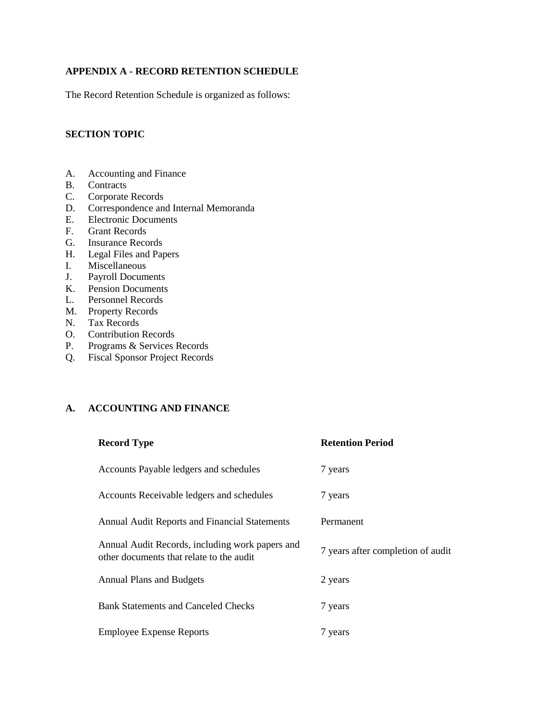#### **APPENDIX A - RECORD RETENTION SCHEDULE**

The Record Retention Schedule is organized as follows:

#### **SECTION TOPIC**

- A. Accounting and Finance
- B. Contracts
- C. Corporate Records
- D. Correspondence and Internal Memoranda
- E. Electronic Documents
- F. Grant Records
- G. Insurance Records
- H. Legal Files and Papers
- I. Miscellaneous
- J. Payroll Documents
- K. Pension Documents
- L. Personnel Records
- M. Property Records
- N. Tax Records
- O. Contribution Records
- P. Programs & Services Records
- Q. Fiscal Sponsor Project Records

#### **A. ACCOUNTING AND FINANCE**

| <b>Record Type</b>                                                                          | <b>Retention Period</b>           |
|---------------------------------------------------------------------------------------------|-----------------------------------|
| Accounts Payable ledgers and schedules                                                      | 7 years                           |
| Accounts Receivable ledgers and schedules                                                   | 7 years                           |
| Annual Audit Reports and Financial Statements                                               | Permanent                         |
| Annual Audit Records, including work papers and<br>other documents that relate to the audit | 7 years after completion of audit |
| <b>Annual Plans and Budgets</b>                                                             | 2 years                           |
| <b>Bank Statements and Canceled Checks</b>                                                  | 7 years                           |
| <b>Employee Expense Reports</b>                                                             | 7 years                           |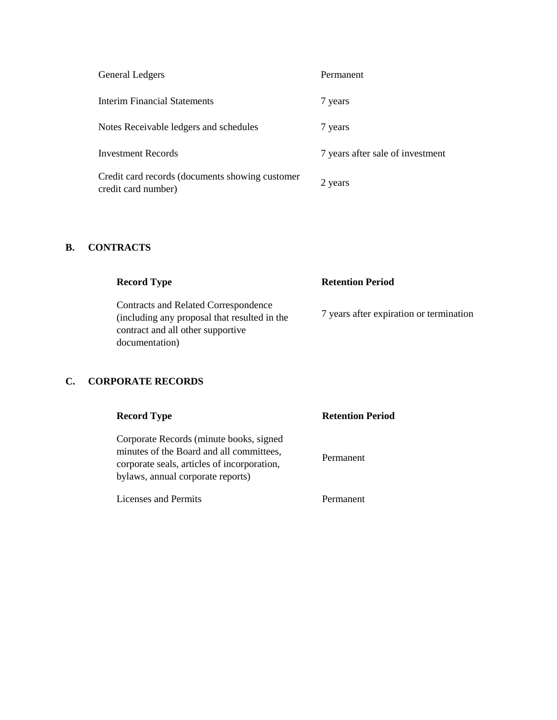| General Ledgers                                                        | Permanent                        |
|------------------------------------------------------------------------|----------------------------------|
| <b>Interim Financial Statements</b>                                    | 7 years                          |
| Notes Receivable ledgers and schedules                                 | 7 years                          |
| <b>Investment Records</b>                                              | 7 years after sale of investment |
| Credit card records (documents showing customer<br>credit card number) | 2 years                          |

## **B. CONTRACTS**

| <b>Record Type</b>                                                                                                        | <b>Retention Period</b>                 |
|---------------------------------------------------------------------------------------------------------------------------|-----------------------------------------|
| Contracts and Related Correspondence<br>(including any proposal that resulted in the<br>contract and all other supportive | 7 years after expiration or termination |
| documentation)                                                                                                            |                                         |

# **C. CORPORATE RECORDS**

| <b>Record Type</b>                                                                                                                                                      | <b>Retention Period</b> |
|-------------------------------------------------------------------------------------------------------------------------------------------------------------------------|-------------------------|
| Corporate Records (minute books, signed<br>minutes of the Board and all committees,<br>corporate seals, articles of incorporation,<br>bylaws, annual corporate reports) | Permanent               |
| Licenses and Permits                                                                                                                                                    | Permanent               |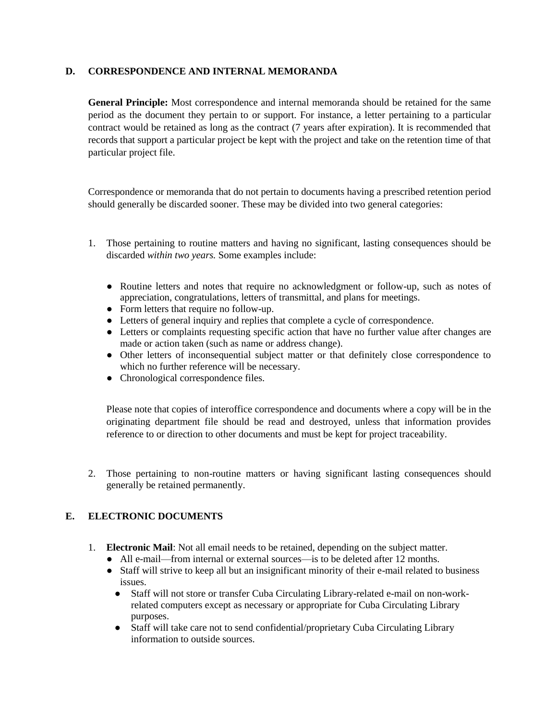#### **D. CORRESPONDENCE AND INTERNAL MEMORANDA**

**General Principle:** Most correspondence and internal memoranda should be retained for the same period as the document they pertain to or support. For instance, a letter pertaining to a particular contract would be retained as long as the contract (7 years after expiration). It is recommended that records that support a particular project be kept with the project and take on the retention time of that particular project file.

Correspondence or memoranda that do not pertain to documents having a prescribed retention period should generally be discarded sooner. These may be divided into two general categories:

- 1. Those pertaining to routine matters and having no significant, lasting consequences should be discarded *within two years.* Some examples include:
	- Routine letters and notes that require no acknowledgment or follow-up, such as notes of appreciation, congratulations, letters of transmittal, and plans for meetings.
	- Form letters that require no follow-up.
	- Letters of general inquiry and replies that complete a cycle of correspondence.
	- Letters or complaints requesting specific action that have no further value after changes are made or action taken (such as name or address change).
	- Other letters of inconsequential subject matter or that definitely close correspondence to which no further reference will be necessary.
	- Chronological correspondence files.

Please note that copies of interoffice correspondence and documents where a copy will be in the originating department file should be read and destroyed, unless that information provides reference to or direction to other documents and must be kept for project traceability.

2. Those pertaining to non-routine matters or having significant lasting consequences should generally be retained permanently.

#### **E. ELECTRONIC DOCUMENTS**

- 1. **Electronic Mail**: Not all email needs to be retained, depending on the subject matter.
	- All e-mail—from internal or external sources—is to be deleted after 12 months.
	- Staff will strive to keep all but an insignificant minority of their e-mail related to business issues.<br>• Staf
		- Staff will not store or transfer Cuba Circulating Library-related e-mail on non-workrelated computers except as necessary or appropriate for Cuba Circulating Library purposes.
		- Staff will take care not to send confidential/proprietary Cuba Circulating Library information to outside sources.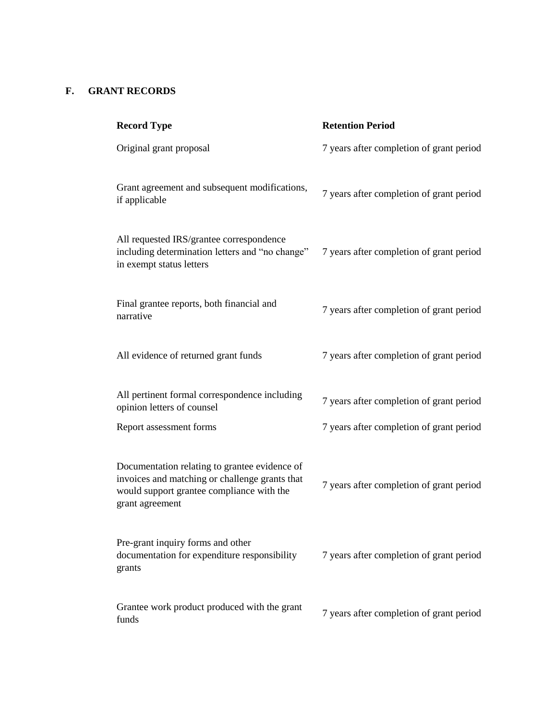## **F. GRANT RECORDS**

| <b>Record Type</b>                                                                                                                                              | <b>Retention Period</b>                  |
|-----------------------------------------------------------------------------------------------------------------------------------------------------------------|------------------------------------------|
| Original grant proposal                                                                                                                                         | 7 years after completion of grant period |
| Grant agreement and subsequent modifications,<br>if applicable                                                                                                  | 7 years after completion of grant period |
| All requested IRS/grantee correspondence<br>including determination letters and "no change"<br>in exempt status letters                                         | 7 years after completion of grant period |
| Final grantee reports, both financial and<br>narrative                                                                                                          | 7 years after completion of grant period |
| All evidence of returned grant funds                                                                                                                            | 7 years after completion of grant period |
| All pertinent formal correspondence including<br>opinion letters of counsel                                                                                     | 7 years after completion of grant period |
| Report assessment forms                                                                                                                                         | 7 years after completion of grant period |
| Documentation relating to grantee evidence of<br>invoices and matching or challenge grants that<br>would support grantee compliance with the<br>grant agreement | 7 years after completion of grant period |
| Pre-grant inquiry forms and other<br>documentation for expenditure responsibility<br>grants                                                                     | 7 years after completion of grant period |
| Grantee work product produced with the grant<br>funds                                                                                                           | 7 years after completion of grant period |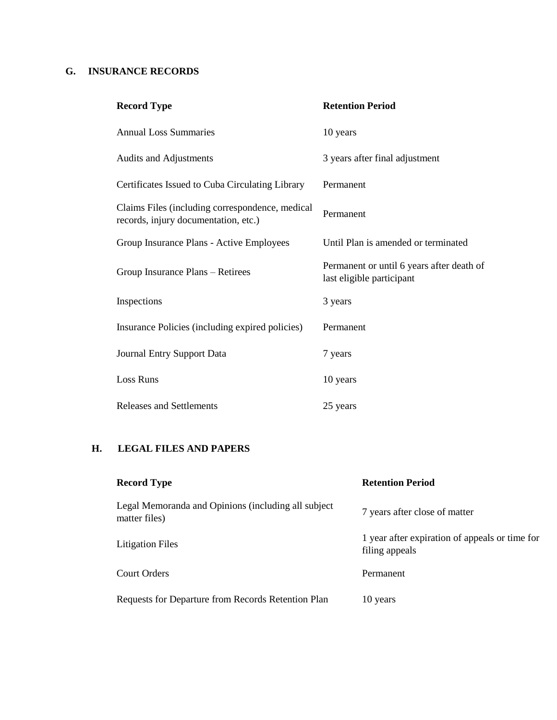#### **G. INSURANCE RECORDS**

| <b>Record Type</b>                                                                      | <b>Retention Period</b>                                                |
|-----------------------------------------------------------------------------------------|------------------------------------------------------------------------|
| <b>Annual Loss Summaries</b>                                                            | 10 years                                                               |
| <b>Audits and Adjustments</b>                                                           | 3 years after final adjustment                                         |
| Certificates Issued to Cuba Circulating Library                                         | Permanent                                                              |
| Claims Files (including correspondence, medical<br>records, injury documentation, etc.) | Permanent                                                              |
| Group Insurance Plans - Active Employees                                                | Until Plan is amended or terminated                                    |
| Group Insurance Plans - Retirees                                                        | Permanent or until 6 years after death of<br>last eligible participant |
| Inspections                                                                             | 3 years                                                                |
| Insurance Policies (including expired policies)                                         | Permanent                                                              |
| <b>Journal Entry Support Data</b>                                                       | 7 years                                                                |
| <b>Loss Runs</b>                                                                        | 10 years                                                               |
| <b>Releases and Settlements</b>                                                         | 25 years                                                               |

#### **H. LEGAL FILES AND PAPERS**

| <b>Record Type</b>                                                   | <b>Retention Period</b>                                          |
|----------------------------------------------------------------------|------------------------------------------------------------------|
| Legal Memoranda and Opinions (including all subject<br>matter files) | 7 years after close of matter                                    |
| <b>Litigation Files</b>                                              | 1 year after expiration of appeals or time for<br>filing appeals |
| Court Orders                                                         | Permanent                                                        |
| Requests for Departure from Records Retention Plan                   | 10 years                                                         |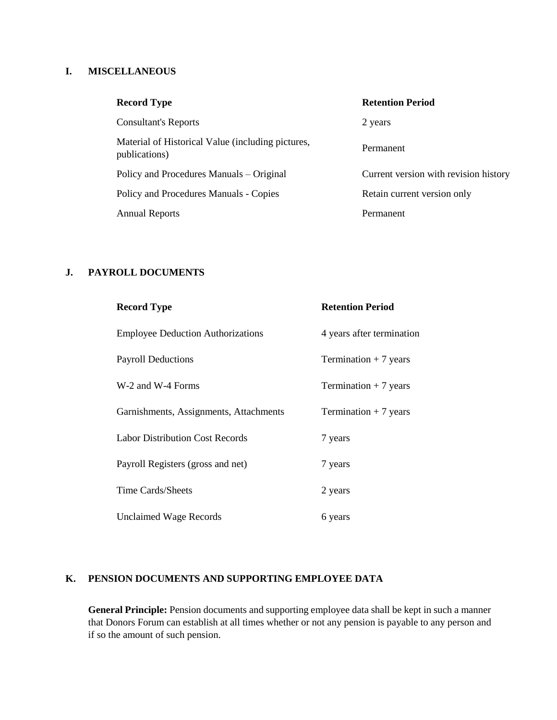#### **I. MISCELLANEOUS**

| <b>Record Type</b>                                                 | <b>Retention Period</b>               |
|--------------------------------------------------------------------|---------------------------------------|
| <b>Consultant's Reports</b>                                        | 2 years                               |
| Material of Historical Value (including pictures,<br>publications) | Permanent                             |
| Policy and Procedures Manuals – Original                           | Current version with revision history |
| Policy and Procedures Manuals - Copies                             | Retain current version only           |
| <b>Annual Reports</b>                                              | Permanent                             |

#### **J. PAYROLL DOCUMENTS**

| <b>Record Type</b>                       | <b>Retention Period</b>   |
|------------------------------------------|---------------------------|
| <b>Employee Deduction Authorizations</b> | 4 years after termination |
| <b>Payroll Deductions</b>                | Termination $+7$ years    |
| W-2 and W-4 Forms                        | Termination $+7$ years    |
| Garnishments, Assignments, Attachments   | Termination $+7$ years    |
| <b>Labor Distribution Cost Records</b>   | 7 years                   |
| Payroll Registers (gross and net)        | 7 years                   |
| Time Cards/Sheets                        | 2 years                   |
| <b>Unclaimed Wage Records</b>            | 6 years                   |

#### **K. PENSION DOCUMENTS AND SUPPORTING EMPLOYEE DATA**

General Principle: Pension documents and supporting employee data shall be kept in such a manner that Donors Forum can establish at all times whether or not any pension is payable to any person and if so the amount of such pension.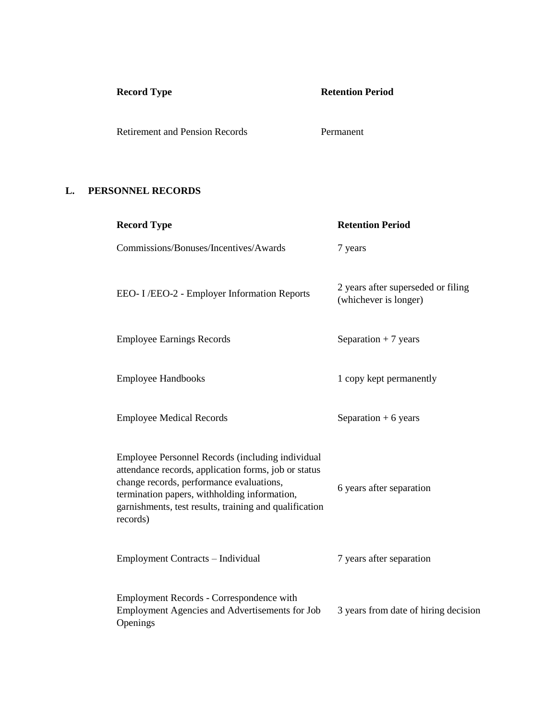# **Record Type Retention Period**

Retirement and Pension Records Permanent

#### **L. PERSONNEL RECORDS**

| <b>Record Type</b>                                                                                                                                                                                                                                                         | <b>Retention Period</b>                                     |
|----------------------------------------------------------------------------------------------------------------------------------------------------------------------------------------------------------------------------------------------------------------------------|-------------------------------------------------------------|
| Commissions/Bonuses/Incentives/Awards                                                                                                                                                                                                                                      | 7 years                                                     |
| EEO-I/EEO-2 - Employer Information Reports                                                                                                                                                                                                                                 | 2 years after superseded or filing<br>(whichever is longer) |
| <b>Employee Earnings Records</b>                                                                                                                                                                                                                                           | Separation $+7$ years                                       |
| <b>Employee Handbooks</b>                                                                                                                                                                                                                                                  | 1 copy kept permanently                                     |
| <b>Employee Medical Records</b>                                                                                                                                                                                                                                            | Separation $+6$ years                                       |
| Employee Personnel Records (including individual<br>attendance records, application forms, job or status<br>change records, performance evaluations,<br>termination papers, withholding information,<br>garnishments, test results, training and qualification<br>records) | 6 years after separation                                    |
| Employment Contracts - Individual                                                                                                                                                                                                                                          | 7 years after separation                                    |
| Employment Records - Correspondence with<br>Employment Agencies and Advertisements for Job<br>Openings                                                                                                                                                                     | 3 years from date of hiring decision                        |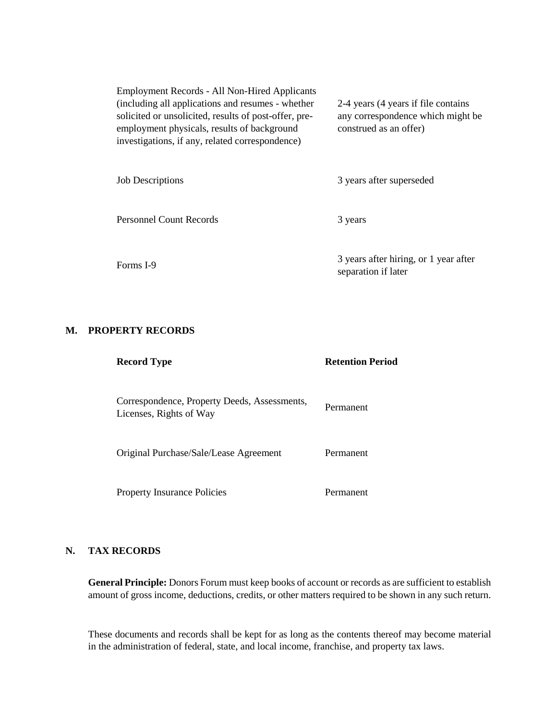| <b>Employment Records - All Non-Hired Applicants</b>  |                                     |
|-------------------------------------------------------|-------------------------------------|
| (including all applications and resumes - whether     | 2-4 years (4 years if file contains |
| solicited or unsolicited, results of post-offer, pre- | any correspondence which might be   |
| employment physicals, results of background           | construed as an offer)              |
| investigations, if any, related correspondence)       |                                     |
|                                                       |                                     |
|                                                       |                                     |

| <b>Job Descriptions</b> | 3 years after superseded                                     |
|-------------------------|--------------------------------------------------------------|
| Personnel Count Records | 3 years                                                      |
| Forms I-9               | 3 years after hiring, or 1 year after<br>separation if later |

#### **M. PROPERTY RECORDS**

| <b>Record Type</b>                                                      | <b>Refention Period</b> |
|-------------------------------------------------------------------------|-------------------------|
| Correspondence, Property Deeds, Assessments,<br>Licenses, Rights of Way | Permanent               |
| Original Purchase/Sale/Lease Agreement                                  | Permanent               |
| <b>Property Insurance Policies</b>                                      | Permanent               |

#### **N. TAX RECORDS**

**General Principle:** Donors Forum must keep books of account or records as are sufficient to establish amount of gross income, deductions, credits, or other matters required to be shown in any such return.

These documents and records shall be kept for as long as the contents thereof may become material in the administration of federal, state, and local income, franchise, and property tax laws.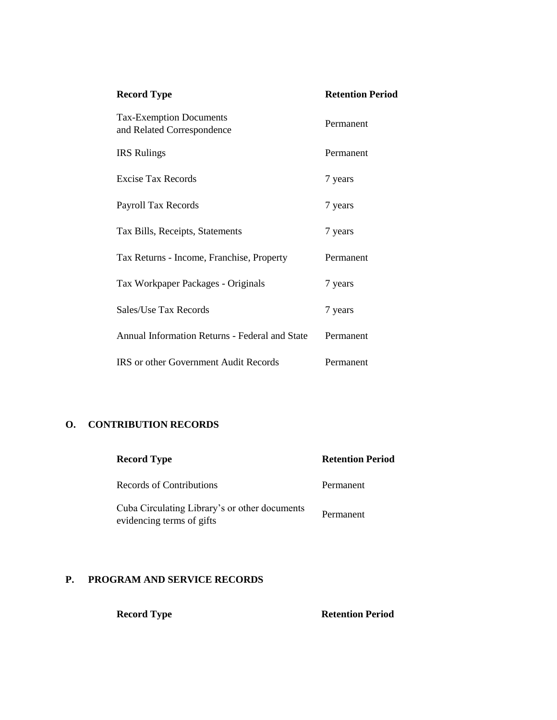| <b>Record Type</b>                                           | <b>Retention Period</b> |  |
|--------------------------------------------------------------|-------------------------|--|
| <b>Tax-Exemption Documents</b><br>and Related Correspondence | Permanent               |  |
| <b>IRS</b> Rulings                                           | Permanent               |  |
| Excise Tax Records                                           | 7 years                 |  |
| Payroll Tax Records                                          | 7 years                 |  |
| Tax Bills, Receipts, Statements                              | 7 years                 |  |
| Tax Returns - Income, Franchise, Property                    | Permanent               |  |
| Tax Workpaper Packages - Originals                           | 7 years                 |  |
| Sales/Use Tax Records                                        | 7 years                 |  |
| Annual Information Returns - Federal and State               | Permanent               |  |
| IRS or other Government Audit Records                        | Permanent               |  |

#### **O. CONTRIBUTION RECORDS**

| <b>Record Type</b>                                                         | <b>Retention Period</b> |
|----------------------------------------------------------------------------|-------------------------|
| Records of Contributions                                                   | Permanent               |
| Cuba Circulating Library's or other documents<br>evidencing terms of gifts | Permanent               |

## **P. PROGRAM AND SERVICE RECORDS**

**Record Type Retention Period**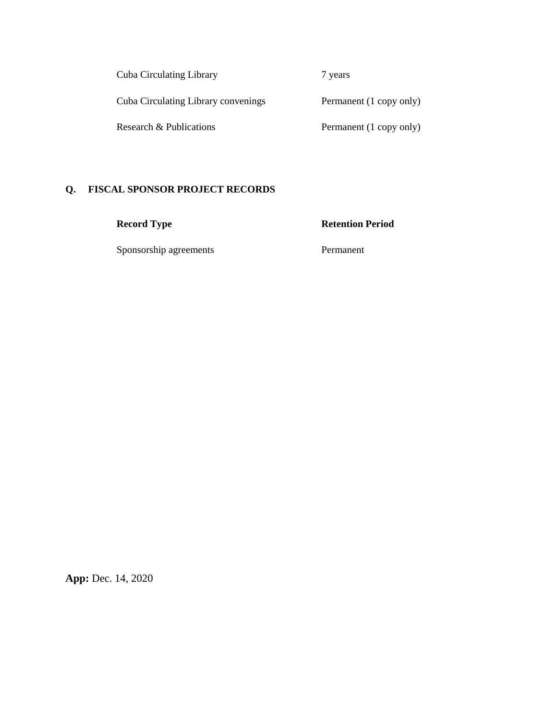Cuba Circulating Library 7 years

Cuba Circulating Library convenings Permanent (1 copy only)

Research & Publications Permanent (1 copy only)

## **Q. FISCAL SPONSOR PROJECT RECORDS**

Sponsorship agreements Permanent

**Record Type Retention Period**

**App:** Dec. 14, 2020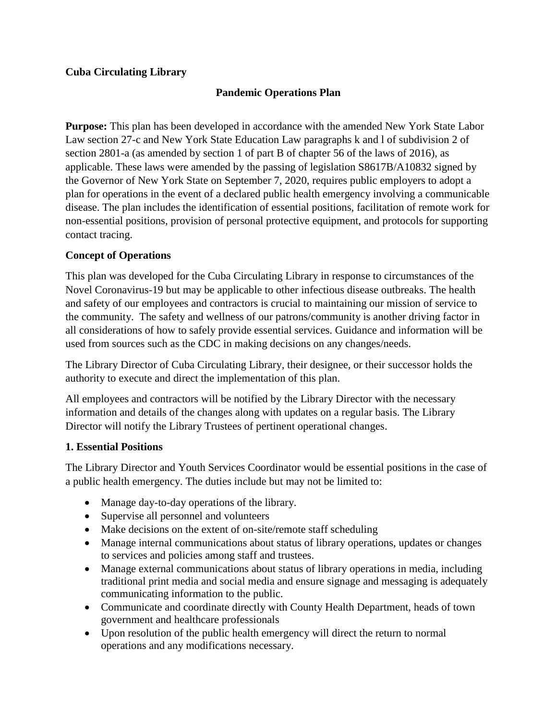## **Cuba Circulating Library**

## **Pandemic Operations Plan**

**Purpose:** This plan has been developed in accordance with the amended New York State Labor Law section 27-c and New York State Education Law paragraphs k and l of subdivision 2 of section 2801-a (as amended by section 1 of part B of chapter 56 of the laws of 2016), as applicable. These laws were amended by the passing of legislation S8617B/A10832 signed by the Governor of New York State on September 7, 2020, requires public employers to adopt a plan for operations in the event of a declared public health emergency involving a communicable disease. The plan includes the identification of essential positions, facilitation of remote work for non-essential positions, provision of personal protective equipment, and protocols for supporting contact tracing.

## **Concept of Operations**

This plan was developed for the Cuba Circulating Library in response to circumstances of the Novel Coronavirus-19 but may be applicable to other infectious disease outbreaks. The health and safety of our employees and contractors is crucial to maintaining our mission of service to the community. The safety and wellness of our patrons/community is another driving factor in all considerations of how to safely provide essential services. Guidance and information will be used from sources such as the CDC in making decisions on any changes/needs.

The Library Director of Cuba Circulating Library, their designee, or their successor holds the authority to execute and direct the implementation of this plan.

All employees and contractors will be notified by the Library Director with the necessary information and details of the changes along with updates on a regular basis. The Library Director will notify the Library Trustees of pertinent operational changes.

#### **1. Essential Positions**

The Library Director and Youth Services Coordinator would be essential positions in the case of a public health emergency. The duties include but may not be limited to:

- Manage day-to-day operations of the library.
- Supervise all personnel and volunteers
- Make decisions on the extent of on-site/remote staff scheduling
- Manage internal communications about status of library operations, updates or changes to services and policies among staff and trustees.
- Manage external communications about status of library operations in media, including traditional print media and social media and ensure signage and messaging is adequately communicating information to the public.
- Communicate and coordinate directly with County Health Department, heads of town government and healthcare professionals
- Upon resolution of the public health emergency will direct the return to normal operations and any modifications necessary.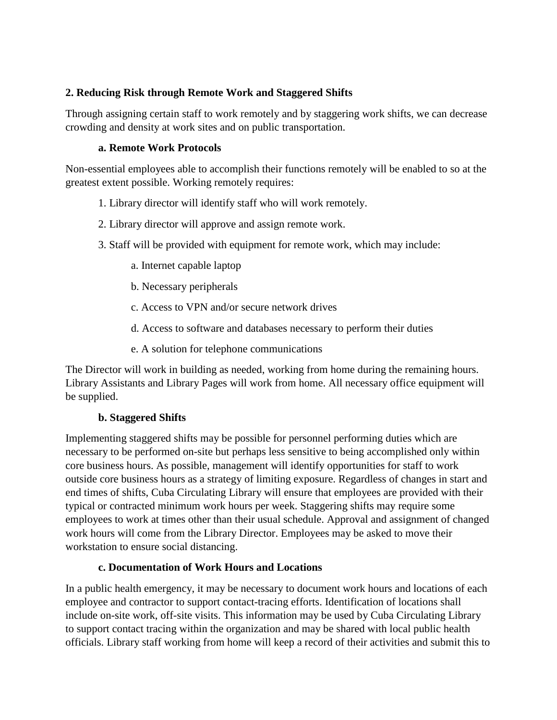## **2. Reducing Risk through Remote Work and Staggered Shifts**

Through assigning certain staff to work remotely and by staggering work shifts, we can decrease crowding and density at work sites and on public transportation.

## **a. Remote Work Protocols**

Non-essential employees able to accomplish their functions remotely will be enabled to so at the greatest extent possible. Working remotely requires:

## 1. Library director will identify staff who will work remotely.

- 2. Library director will approve and assign remote work.
- 3. Staff will be provided with equipment for remote work, which may include:
	- a. Internet capable laptop
	- b. Necessary peripherals
	- c. Access to VPN and/or secure network drives
	- d. Access to software and databases necessary to perform their duties
	- e. A solution for telephone communications

The Director will work in building as needed, working from home during the remaining hours. Library Assistants and Library Pages will work from home. All necessary office equipment will be supplied.

## **b. Staggered Shifts**

Implementing staggered shifts may be possible for personnel performing duties which are necessary to be performed on-site but perhaps less sensitive to being accomplished only within core business hours. As possible, management will identify opportunities for staff to work outside core business hours as a strategy of limiting exposure. Regardless of changes in start and end times of shifts, Cuba Circulating Library will ensure that employees are provided with their typical or contracted minimum work hours per week. Staggering shifts may require some employees to work at times other than their usual schedule. Approval and assignment of changed work hours will come from the Library Director. Employees may be asked to move their workstation to ensure social distancing.

## **c. Documentation of Work Hours and Locations**

In a public health emergency, it may be necessary to document work hours and locations of each employee and contractor to support contact-tracing efforts. Identification of locations shall include on-site work, off-site visits. This information may be used by Cuba Circulating Library to support contact tracing within the organization and may be shared with local public health officials. Library staff working from home will keep a record of their activities and submit this to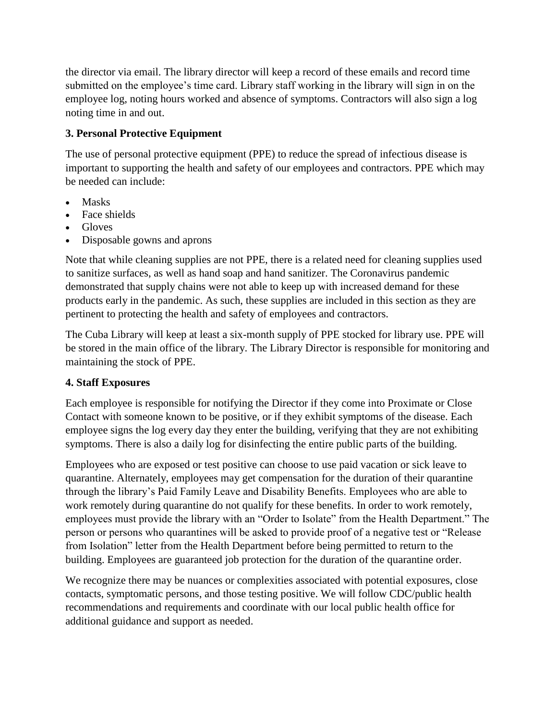the director via email. The library director will keep a record of these emails and record time submitted on the employee's time card. Library staff working in the library will sign in on the employee log, noting hours worked and absence of symptoms. Contractors will also sign a log noting time in and out.

## **3. Personal Protective Equipment**

The use of personal protective equipment (PPE) to reduce the spread of infectious disease is important to supporting the health and safety of our employees and contractors. PPE which may be needed can include:

- Masks
- Face shields
- Gloves
- Disposable gowns and aprons

Note that while cleaning supplies are not PPE, there is a related need for cleaning supplies used to sanitize surfaces, as well as hand soap and hand sanitizer. The Coronavirus pandemic demonstrated that supply chains were not able to keep up with increased demand for these products early in the pandemic. As such, these supplies are included in this section as they are pertinent to protecting the health and safety of employees and contractors.

The Cuba Library will keep at least a six-month supply of PPE stocked for library use. PPE will be stored in the main office of the library. The Library Director is responsible for monitoring and maintaining the stock of PPE.

## **4. Staff Exposures**

Each employee is responsible for notifying the Director if they come into Proximate or Close Contact with someone known to be positive, or if they exhibit symptoms of the disease. Each employee signs the log every day they enter the building, verifying that they are not exhibiting symptoms. There is also a daily log for disinfecting the entire public parts of the building.

Employees who are exposed or test positive can choose to use paid vacation or sick leave to quarantine. Alternately, employees may get compensation for the duration of their quarantine through the library's Paid Family Leave and Disability Benefits. Employees who are able to work remotely during quarantine do not qualify for these benefits. In order to work remotely, employees must provide the library with an "Order to Isolate" from the Health Department." The person or persons who quarantines will be asked to provide proof of a negative test or "Release from Isolation" letter from the Health Department before being permitted to return to the building. Employees are guaranteed job protection for the duration of the quarantine order.

We recognize there may be nuances or complexities associated with potential exposures, close contacts, symptomatic persons, and those testing positive. We will follow CDC/public health recommendations and requirements and coordinate with our local public health office for additional guidance and support as needed.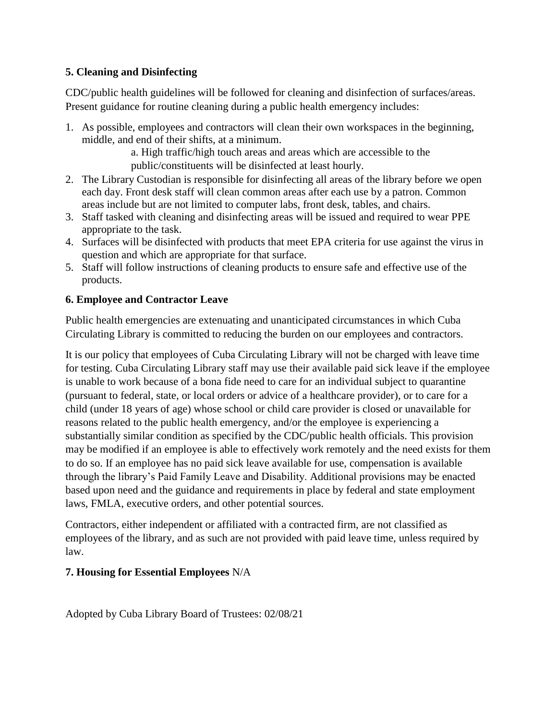## **5. Cleaning and Disinfecting**

CDC/public health guidelines will be followed for cleaning and disinfection of surfaces/areas. Present guidance for routine cleaning during a public health emergency includes:

1. As possible, employees and contractors will clean their own workspaces in the beginning, middle, and end of their shifts, at a minimum.

a. High traffic/high touch areas and areas which are accessible to the public/constituents will be disinfected at least hourly.

- 2. The Library Custodian is responsible for disinfecting all areas of the library before we open each day. Front desk staff will clean common areas after each use by a patron. Common areas include but are not limited to computer labs, front desk, tables, and chairs.
- 3. Staff tasked with cleaning and disinfecting areas will be issued and required to wear PPE appropriate to the task.
- 4. Surfaces will be disinfected with products that meet EPA criteria for use against the virus in question and which are appropriate for that surface.
- 5. Staff will follow instructions of cleaning products to ensure safe and effective use of the products.

## **6. Employee and Contractor Leave**

Public health emergencies are extenuating and unanticipated circumstances in which Cuba Circulating Library is committed to reducing the burden on our employees and contractors.

It is our policy that employees of Cuba Circulating Library will not be charged with leave time for testing. Cuba Circulating Library staff may use their available paid sick leave if the employee is unable to work because of a bona fide need to care for an individual subject to quarantine (pursuant to federal, state, or local orders or advice of a healthcare provider), or to care for a child (under 18 years of age) whose school or child care provider is closed or unavailable for reasons related to the public health emergency, and/or the employee is experiencing a substantially similar condition as specified by the CDC/public health officials. This provision may be modified if an employee is able to effectively work remotely and the need exists for them to do so. If an employee has no paid sick leave available for use, compensation is available through the library's Paid Family Leave and Disability. Additional provisions may be enacted based upon need and the guidance and requirements in place by federal and state employment laws, FMLA, executive orders, and other potential sources.

Contractors, either independent or affiliated with a contracted firm, are not classified as employees of the library, and as such are not provided with paid leave time, unless required by law.

## **7. Housing for Essential Employees** N/A

Adopted by Cuba Library Board of Trustees: 02/08/21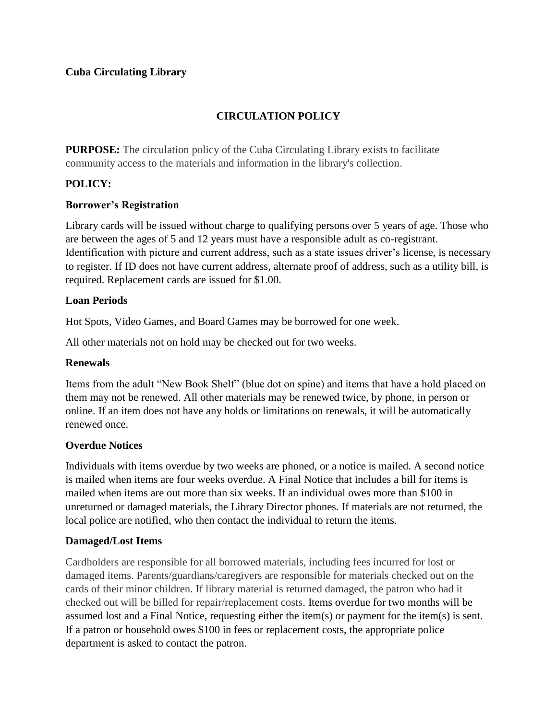## **Cuba Circulating Library**

## **CIRCULATION POLICY**

**PURPOSE:** The circulation policy of the Cuba Circulating Library exists to facilitate community access to the materials and information in the library's collection.

## **POLICY:**

## **Borrower's Registration**

Library cards will be issued without charge to qualifying persons over 5 years of age. Those who are between the ages of 5 and 12 years must have a responsible adult as co-registrant. Identification with picture and current address, such as a state issues driver's license, is necessary to register. If ID does not have current address, alternate proof of address, such as a utility bill, is required. Replacement cards are issued for \$1.00.

### **Loan Periods**

Hot Spots, Video Games, and Board Games may be borrowed for one week.

All other materials not on hold may be checked out for two weeks.

#### **Renewals**

Items from the adult "New Book Shelf" (blue dot on spine) and items that have a hold placed on them may not be renewed. All other materials may be renewed twice, by phone, in person or online. If an item does not have any holds or limitations on renewals, it will be automatically renewed once.

## **Overdue Notices**

Individuals with items overdue by two weeks are phoned, or a notice is mailed. A second notice is mailed when items are four weeks overdue. A Final Notice that includes a bill for items is mailed when items are out more than six weeks. If an individual owes more than \$100 in unreturned or damaged materials, the Library Director phones. If materials are not returned, the local police are notified, who then contact the individual to return the items.

#### **Damaged/Lost Items**

Cardholders are responsible for all borrowed materials, including fees incurred for lost or damaged items. Parents/guardians/caregivers are responsible for materials checked out on the cards of their minor children. If library material is returned damaged, the patron who had it checked out will be billed for repair/replacement costs. Items overdue for two months will be assumed lost and a Final Notice, requesting either the item(s) or payment for the item(s) is sent. If a patron or household owes \$100 in fees or replacement costs, the appropriate police department is asked to contact the patron.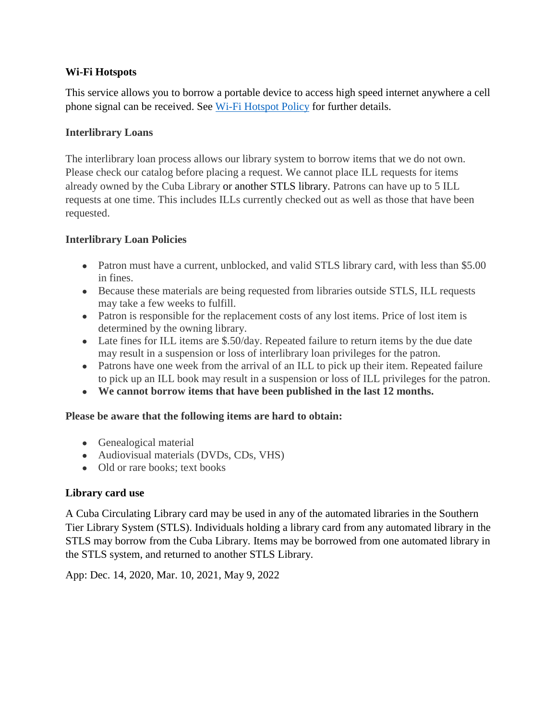## **Wi-Fi Hotspots**

This service allows you to borrow a portable device to access high speed internet anywhere a cell phone signal can be received. See [Wi-Fi Hotspot Policy](#page-86-0) for further details.

## **Interlibrary Loans**

The interlibrary loan process allows our library system to borrow items that we do not own. Please check our catalog before placing a request. We cannot place ILL requests for items already owned by the Cuba Library or another STLS library. Patrons can have up to 5 ILL requests at one time. This includes ILLs currently checked out as well as those that have been requested.

### **Interlibrary Loan Policies**

- Patron must have a current, unblocked, and valid STLS library card, with less than \$5.00 in fines.
- Because these materials are being requested from libraries outside STLS, ILL requests may take a few weeks to fulfill.
- Patron is responsible for the replacement costs of any lost items. Price of lost item is determined by the owning library.
- Late fines for ILL items are \$.50/day. Repeated failure to return items by the due date may result in a suspension or loss of interlibrary loan privileges for the patron.
- Patrons have one week from the arrival of an ILL to pick up their item. Repeated failure to pick up an ILL book may result in a suspension or loss of ILL privileges for the patron.
- **We cannot borrow items that have been published in the last 12 months.**

#### **Please be aware that the following items are hard to obtain:**

- Genealogical material
- Audiovisual materials (DVDs, CDs, VHS)
- Old or rare books; text books

## **Library card use**

A Cuba Circulating Library card may be used in any of the automated libraries in the Southern Tier Library System (STLS). Individuals holding a library card from any automated library in the STLS may borrow from the Cuba Library. Items may be borrowed from one automated library in the STLS system, and returned to another STLS Library.

App: Dec. 14, 2020, Mar. 10, 2021, May 9, 2022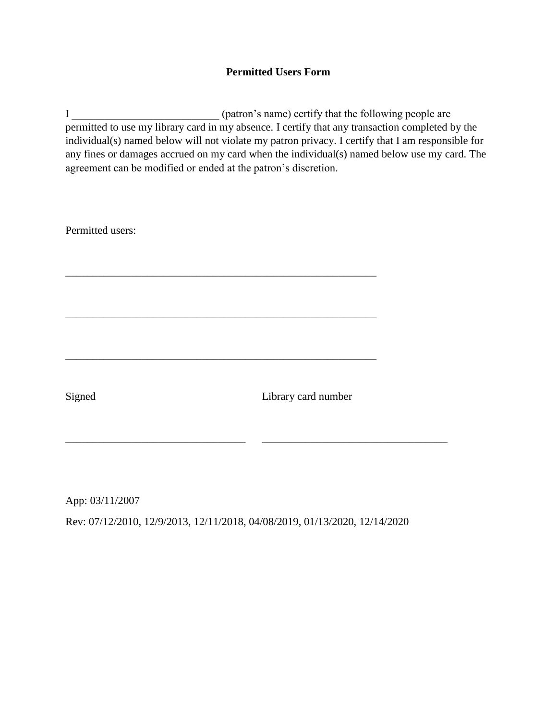## **Permitted Users Form**

I \_\_\_\_\_\_\_\_\_\_\_\_\_\_\_\_\_\_\_\_\_\_\_\_\_\_\_ (patron's name) certify that the following people are permitted to use my library card in my absence. I certify that any transaction completed by the individual(s) named below will not violate my patron privacy. I certify that I am responsible for any fines or damages accrued on my card when the individual(s) named below use my card. The agreement can be modified or ended at the patron's discretion.

Permitted users: \_\_\_\_\_\_\_\_\_\_\_\_\_\_\_\_\_\_\_\_\_\_\_\_\_\_\_\_\_\_\_\_\_\_\_\_\_\_\_\_\_\_\_\_\_\_\_\_\_\_\_\_\_\_\_\_\_ \_\_\_\_\_\_\_\_\_\_\_\_\_\_\_\_\_\_\_\_\_\_\_\_\_\_\_\_\_\_\_\_\_\_\_\_\_\_\_\_\_\_\_\_\_\_\_\_\_\_\_\_\_\_\_\_\_ \_\_\_\_\_\_\_\_\_\_\_\_\_\_\_\_\_\_\_\_\_\_\_\_\_\_\_\_\_\_\_\_\_\_\_\_\_\_\_\_\_\_\_\_\_\_\_\_\_\_\_\_\_\_\_\_\_ Signed Library card number \_\_\_\_\_\_\_\_\_\_\_\_\_\_\_\_\_\_\_\_\_\_\_\_\_\_\_\_\_\_\_\_\_ \_\_\_\_\_\_\_\_\_\_\_\_\_\_\_\_\_\_\_\_\_\_\_\_\_\_\_\_\_\_\_\_\_\_

App: 03/11/2007 Rev: 07/12/2010, 12/9/2013, 12/11/2018, 04/08/2019, 01/13/2020, 12/14/2020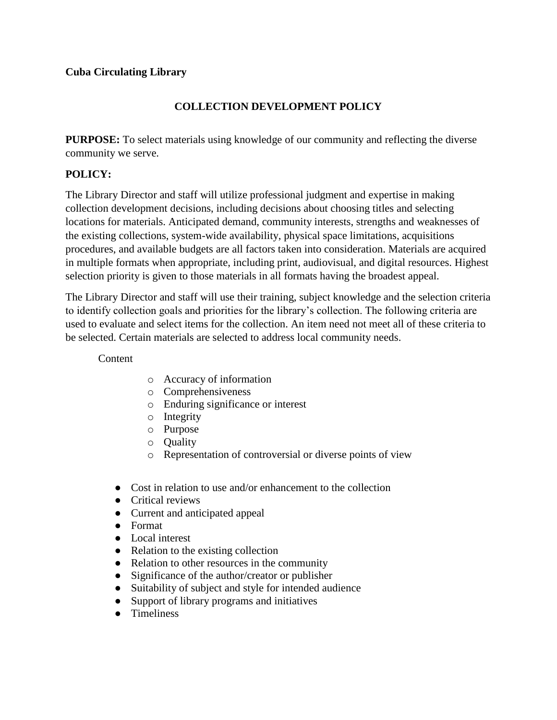## **COLLECTION DEVELOPMENT POLICY**

**PURPOSE:** To select materials using knowledge of our community and reflecting the diverse community we serve.

## **POLICY:**

The Library Director and staff will utilize professional judgment and expertise in making collection development decisions, including decisions about choosing titles and selecting locations for materials. Anticipated demand, community interests, strengths and weaknesses of the existing collections, system-wide availability, physical space limitations, acquisitions procedures, and available budgets are all factors taken into consideration. Materials are acquired in multiple formats when appropriate, including print, audiovisual, and digital resources. Highest selection priority is given to those materials in all formats having the broadest appeal.

The Library Director and staff will use their training, subject knowledge and the selection criteria to identify collection goals and priorities for the library's collection. The following criteria are used to evaluate and select items for the collection. An item need not meet all of these criteria to be selected. Certain materials are selected to address local community needs.

Content

- o Accuracy of information
- o Comprehensiveness
- o Enduring significance or interest
- o Integrity
- o Purpose
- o Quality
- o Representation of controversial or diverse points of view
- Cost in relation to use and/or enhancement to the collection
- Critical reviews
- Current and anticipated appeal
- Format
- Local interest
- Relation to the existing collection
- Relation to other resources in the community
- Significance of the author/creator or publisher
- Suitability of subject and style for intended audience
- Support of library programs and initiatives
- Timeliness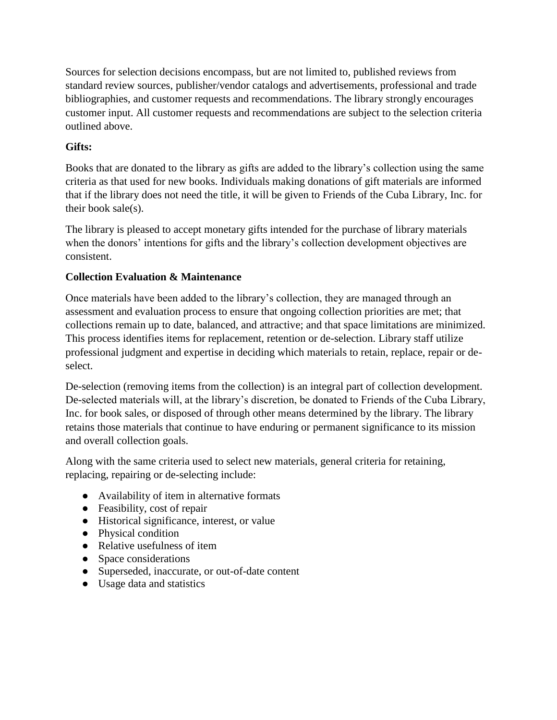Sources for selection decisions encompass, but are not limited to, published reviews from standard review sources, publisher/vendor catalogs and advertisements, professional and trade bibliographies, and customer requests and recommendations. The library strongly encourages customer input. All customer requests and recommendations are subject to the selection criteria outlined above.

## **Gifts:**

Books that are donated to the library as gifts are added to the library's collection using the same criteria as that used for new books. Individuals making donations of gift materials are informed that if the library does not need the title, it will be given to Friends of the Cuba Library, Inc. for their book sale(s).

The library is pleased to accept monetary gifts intended for the purchase of library materials when the donors' intentions for gifts and the library's collection development objectives are consistent.

## **Collection Evaluation & Maintenance**

Once materials have been added to the library's collection, they are managed through an assessment and evaluation process to ensure that ongoing collection priorities are met; that collections remain up to date, balanced, and attractive; and that space limitations are minimized. This process identifies items for replacement, retention or de-selection. Library staff utilize professional judgment and expertise in deciding which materials to retain, replace, repair or deselect.

De-selection (removing items from the collection) is an integral part of collection development. De-selected materials will, at the library's discretion, be donated to Friends of the Cuba Library, Inc. for book sales, or disposed of through other means determined by the library. The library retains those materials that continue to have enduring or permanent significance to its mission and overall collection goals.

Along with the same criteria used to select new materials, general criteria for retaining, replacing, repairing or de-selecting include:

- Availability of item in alternative formats
- Feasibility, cost of repair
- Historical significance, interest, or value
- Physical condition
- Relative usefulness of item
- Space considerations
- Superseded, inaccurate, or out-of-date content
- Usage data and statistics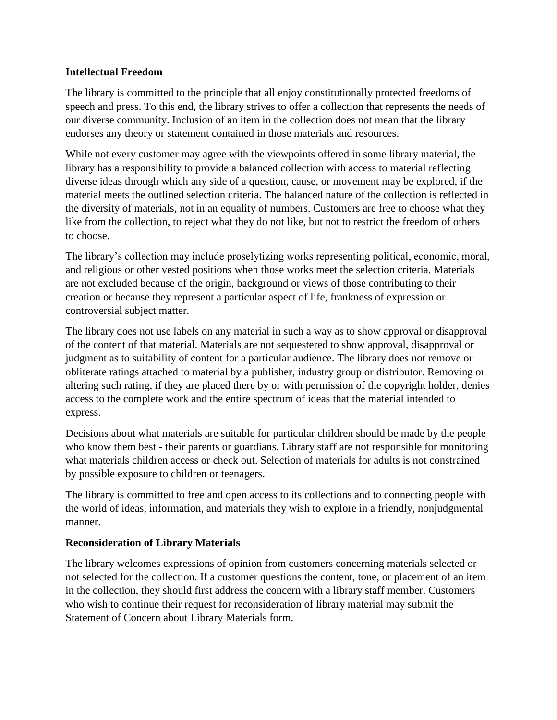## **Intellectual Freedom**

The library is committed to the principle that all enjoy constitutionally protected freedoms of speech and press. To this end, the library strives to offer a collection that represents the needs of our diverse community. Inclusion of an item in the collection does not mean that the library endorses any theory or statement contained in those materials and resources.

While not every customer may agree with the viewpoints offered in some library material, the library has a responsibility to provide a balanced collection with access to material reflecting diverse ideas through which any side of a question, cause, or movement may be explored, if the material meets the outlined selection criteria. The balanced nature of the collection is reflected in the diversity of materials, not in an equality of numbers. Customers are free to choose what they like from the collection, to reject what they do not like, but not to restrict the freedom of others to choose.

The library's collection may include proselytizing works representing political, economic, moral, and religious or other vested positions when those works meet the selection criteria. Materials are not excluded because of the origin, background or views of those contributing to their creation or because they represent a particular aspect of life, frankness of expression or controversial subject matter.

The library does not use labels on any material in such a way as to show approval or disapproval of the content of that material. Materials are not sequestered to show approval, disapproval or judgment as to suitability of content for a particular audience. The library does not remove or obliterate ratings attached to material by a publisher, industry group or distributor. Removing or altering such rating, if they are placed there by or with permission of the copyright holder, denies access to the complete work and the entire spectrum of ideas that the material intended to express.

Decisions about what materials are suitable for particular children should be made by the people who know them best - their parents or guardians. Library staff are not responsible for monitoring what materials children access or check out. Selection of materials for adults is not constrained by possible exposure to children or teenagers.

The library is committed to free and open access to its collections and to connecting people with the world of ideas, information, and materials they wish to explore in a friendly, nonjudgmental manner.

## **Reconsideration of Library Materials**

The library welcomes expressions of opinion from customers concerning materials selected or not selected for the collection. If a customer questions the content, tone, or placement of an item in the collection, they should first address the concern with a library staff member. Customers who wish to continue their request for reconsideration of library material may submit the Statement of Concern about Library Materials form.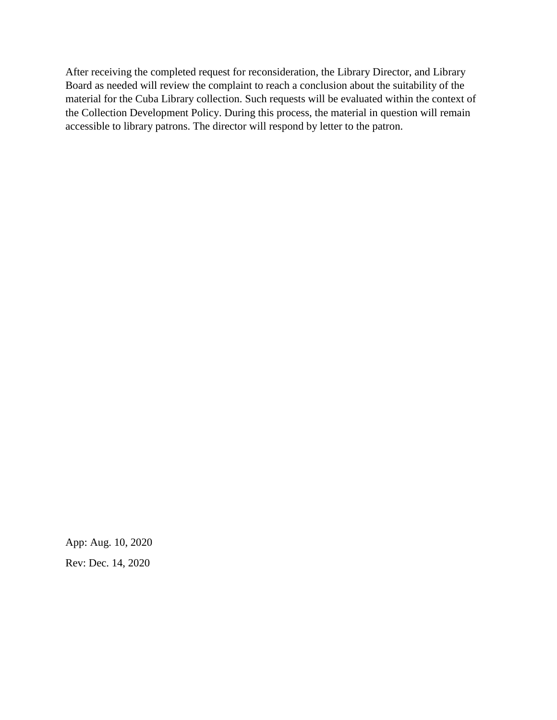After receiving the completed request for reconsideration, the Library Director, and Library Board as needed will review the complaint to reach a conclusion about the suitability of the material for the Cuba Library collection. Such requests will be evaluated within the context of the Collection Development Policy. During this process, the material in question will remain accessible to library patrons. The director will respond by letter to the patron.

App: Aug. 10, 2020 Rev: Dec. 14, 2020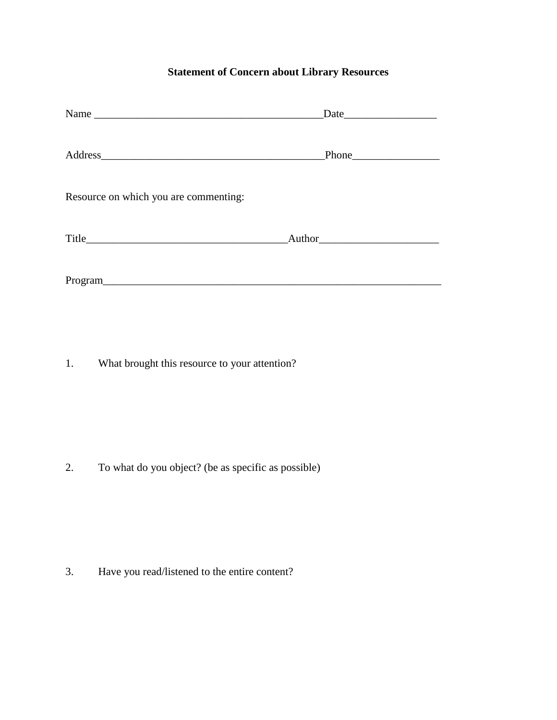# **Statement of Concern about Library Resources**

| Name                                  | Date         |
|---------------------------------------|--------------|
|                                       |              |
| Resource on which you are commenting: |              |
|                                       | $\mu$ Author |
| Program                               |              |

1. What brought this resource to your attention?

2. To what do you object? (be as specific as possible)

3. Have you read/listened to the entire content?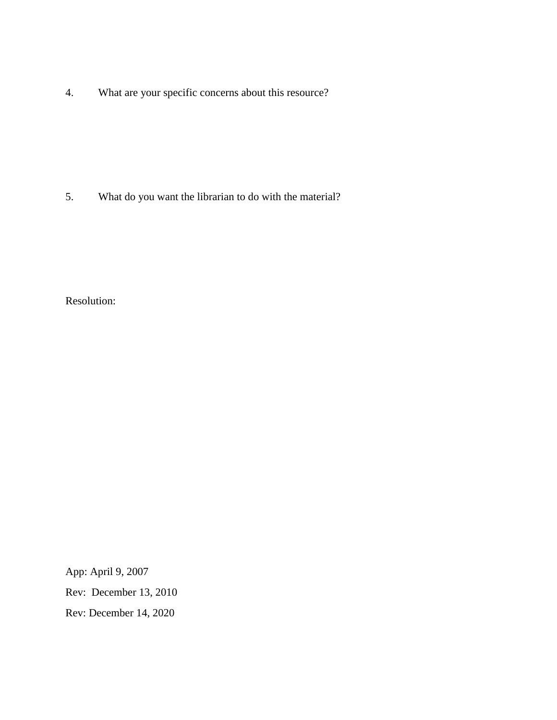4. What are your specific concerns about this resource?

5. What do you want the librarian to do with the material?

Resolution:

App: April 9, 2007

Rev: December 13, 2010

Rev: December 14, 2020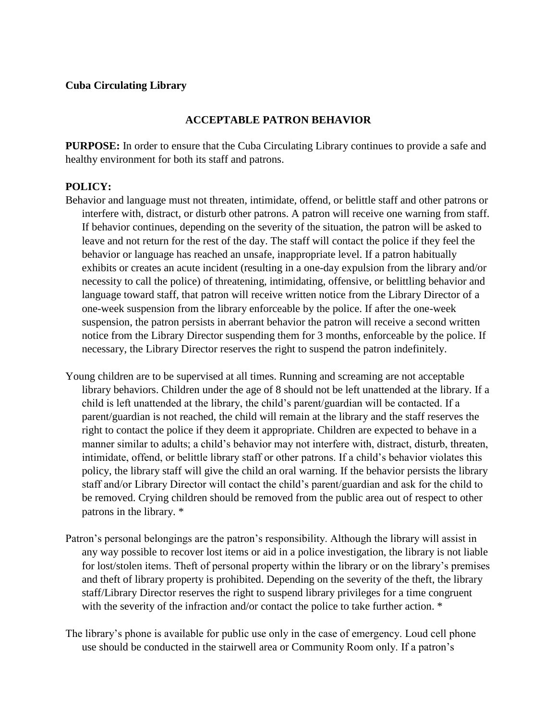### **Cuba Circulating Library**

## **ACCEPTABLE PATRON BEHAVIOR**

**PURPOSE:** In order to ensure that the Cuba Circulating Library continues to provide a safe and healthy environment for both its staff and patrons.

#### **POLICY:**

- Behavior and language must not threaten, intimidate, offend, or belittle staff and other patrons or interfere with, distract, or disturb other patrons. A patron will receive one warning from staff. If behavior continues, depending on the severity of the situation, the patron will be asked to leave and not return for the rest of the day. The staff will contact the police if they feel the behavior or language has reached an unsafe, inappropriate level. If a patron habitually exhibits or creates an acute incident (resulting in a one-day expulsion from the library and/or necessity to call the police) of threatening, intimidating, offensive, or belittling behavior and language toward staff, that patron will receive written notice from the Library Director of a one-week suspension from the library enforceable by the police. If after the one-week suspension, the patron persists in aberrant behavior the patron will receive a second written notice from the Library Director suspending them for 3 months, enforceable by the police. If necessary, the Library Director reserves the right to suspend the patron indefinitely.
- Young children are to be supervised at all times. Running and screaming are not acceptable library behaviors. Children under the age of 8 should not be left unattended at the library. If a child is left unattended at the library, the child's parent/guardian will be contacted. If a parent/guardian is not reached, the child will remain at the library and the staff reserves the right to contact the police if they deem it appropriate. Children are expected to behave in a manner similar to adults; a child's behavior may not interfere with, distract, disturb, threaten, intimidate, offend, or belittle library staff or other patrons. If a child's behavior violates this policy, the library staff will give the child an oral warning. If the behavior persists the library staff and/or Library Director will contact the child's parent/guardian and ask for the child to be removed. Crying children should be removed from the public area out of respect to other patrons in the library. \*
- Patron's personal belongings are the patron's responsibility. Although the library will assist in any way possible to recover lost items or aid in a police investigation, the library is not liable for lost/stolen items. Theft of personal property within the library or on the library's premises and theft of library property is prohibited. Depending on the severity of the theft, the library staff/Library Director reserves the right to suspend library privileges for a time congruent with the severity of the infraction and/or contact the police to take further action.  $*$
- The library's phone is available for public use only in the case of emergency. Loud cell phone use should be conducted in the stairwell area or Community Room only. If a patron's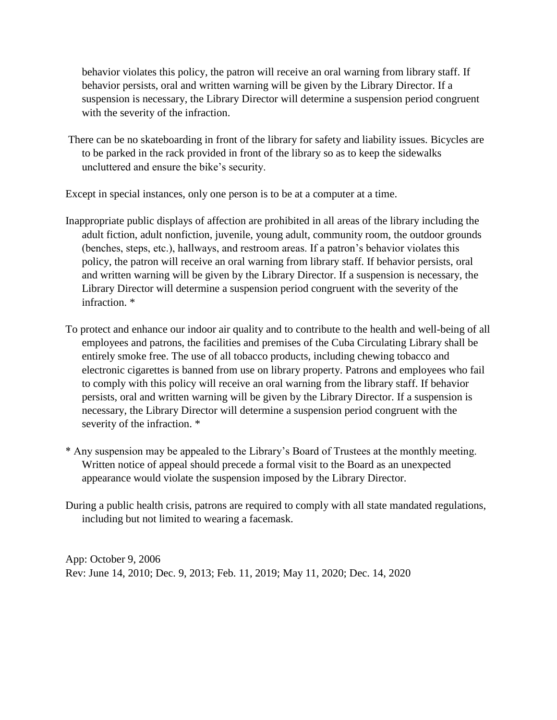behavior violates this policy, the patron will receive an oral warning from library staff. If behavior persists, oral and written warning will be given by the Library Director. If a suspension is necessary, the Library Director will determine a suspension period congruent with the severity of the infraction.

There can be no skateboarding in front of the library for safety and liability issues. Bicycles are to be parked in the rack provided in front of the library so as to keep the sidewalks uncluttered and ensure the bike's security.

Except in special instances, only one person is to be at a computer at a time.

- Inappropriate public displays of affection are prohibited in all areas of the library including the adult fiction, adult nonfiction, juvenile, young adult, community room, the outdoor grounds (benches, steps, etc.), hallways, and restroom areas. If a patron's behavior violates this policy, the patron will receive an oral warning from library staff. If behavior persists, oral and written warning will be given by the Library Director. If a suspension is necessary, the Library Director will determine a suspension period congruent with the severity of the infraction. \*
- To protect and enhance our indoor air quality and to contribute to the health and well-being of all employees and patrons, the facilities and premises of the Cuba Circulating Library shall be entirely smoke free. The use of all tobacco products, including chewing tobacco and electronic cigarettes is banned from use on library property. Patrons and employees who fail to comply with this policy will receive an oral warning from the library staff. If behavior persists, oral and written warning will be given by the Library Director. If a suspension is necessary, the Library Director will determine a suspension period congruent with the severity of the infraction. \*
- \* Any suspension may be appealed to the Library's Board of Trustees at the monthly meeting. Written notice of appeal should precede a formal visit to the Board as an unexpected appearance would violate the suspension imposed by the Library Director.
- During a public health crisis, patrons are required to comply with all state mandated regulations, including but not limited to wearing a facemask.

App: October 9, 2006 Rev: June 14, 2010; Dec. 9, 2013; Feb. 11, 2019; May 11, 2020; Dec. 14, 2020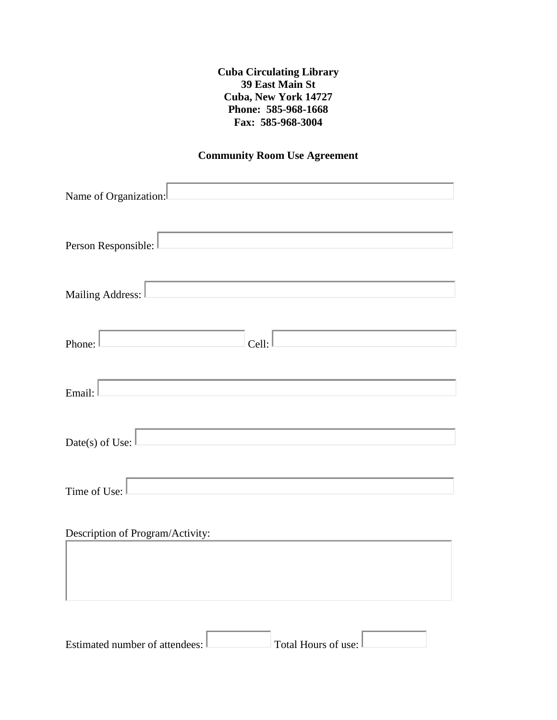**Cuba Circulating Library 39 East Main St Cuba, New York 14727 Phone: 585-968-1668 Fax: 585-968-3004**

## **Community Room Use Agreement**

| Name of Organization:                                                                                                                                        |
|--------------------------------------------------------------------------------------------------------------------------------------------------------------|
| Person Responsible:<br><u> 1980 - Johann Barbara, martxa a</u>                                                                                               |
| Mailing Address:                                                                                                                                             |
| $\mathcal{L}(\mathcal{L}^{\mathcal{L}})$ and $\mathcal{L}^{\mathcal{L}}$ are the set of the set of the set of $\mathcal{L}^{\mathcal{L}}$<br>Phone:<br>Cell: |
| Email:                                                                                                                                                       |
| Date(s) of Use: $\vert$                                                                                                                                      |
| Time of Use:                                                                                                                                                 |
| Description of Program/Activity:                                                                                                                             |
|                                                                                                                                                              |
|                                                                                                                                                              |

| Estimated number of attendees: L | Total Hours of use: $\Box$ |  |
|----------------------------------|----------------------------|--|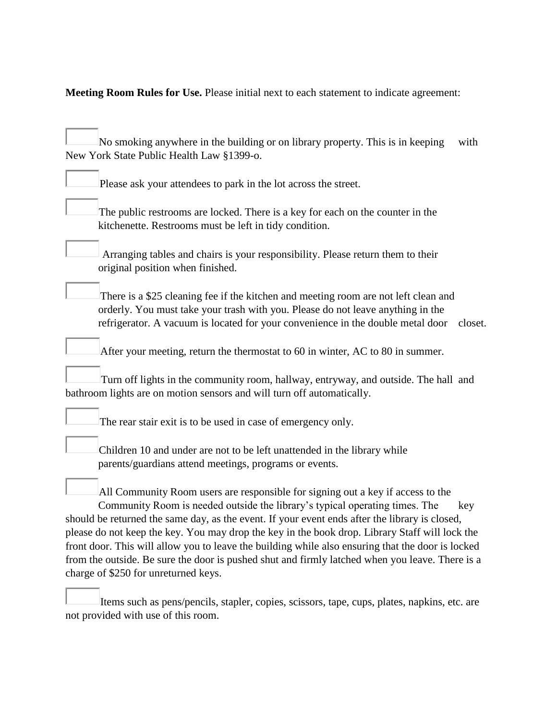**Meeting Room Rules for Use.** Please initial next to each statement to indicate agreement:

| No smoking anywhere in the building or on library property. This is in keeping<br>New York State Public Health Law §1399-o.                                                                                                                                                                                                                                                                                                                                                                                                                                                                                        | with    |
|--------------------------------------------------------------------------------------------------------------------------------------------------------------------------------------------------------------------------------------------------------------------------------------------------------------------------------------------------------------------------------------------------------------------------------------------------------------------------------------------------------------------------------------------------------------------------------------------------------------------|---------|
| Please ask your attendees to park in the lot across the street.                                                                                                                                                                                                                                                                                                                                                                                                                                                                                                                                                    |         |
| The public restrooms are locked. There is a key for each on the counter in the<br>kitchenette. Restrooms must be left in tidy condition.                                                                                                                                                                                                                                                                                                                                                                                                                                                                           |         |
| Arranging tables and chairs is your responsibility. Please return them to their<br>original position when finished.                                                                                                                                                                                                                                                                                                                                                                                                                                                                                                |         |
| There is a \$25 cleaning fee if the kitchen and meeting room are not left clean and<br>orderly. You must take your trash with you. Please do not leave anything in the<br>refrigerator. A vacuum is located for your convenience in the double metal door                                                                                                                                                                                                                                                                                                                                                          | closet. |
| After your meeting, return the thermostat to 60 in winter, AC to 80 in summer.                                                                                                                                                                                                                                                                                                                                                                                                                                                                                                                                     |         |
| Turn off lights in the community room, hallway, entryway, and outside. The hall and<br>bathroom lights are on motion sensors and will turn off automatically.                                                                                                                                                                                                                                                                                                                                                                                                                                                      |         |
| The rear stair exit is to be used in case of emergency only.                                                                                                                                                                                                                                                                                                                                                                                                                                                                                                                                                       |         |
| Children 10 and under are not to be left unattended in the library while<br>parents/guardians attend meetings, programs or events.                                                                                                                                                                                                                                                                                                                                                                                                                                                                                 |         |
| All Community Room users are responsible for signing out a key if access to the<br>Community Room is needed outside the library's typical operating times. The<br>should be returned the same day, as the event. If your event ends after the library is closed,<br>please do not keep the key. You may drop the key in the book drop. Library Staff will lock the<br>front door. This will allow you to leave the building while also ensuring that the door is locked<br>from the outside. Be sure the door is pushed shut and firmly latched when you leave. There is a<br>charge of \$250 for unreturned keys. | key     |

Items such as pens/pencils, stapler, copies, scissors, tape, cups, plates, napkins, etc. are not provided with use of this room.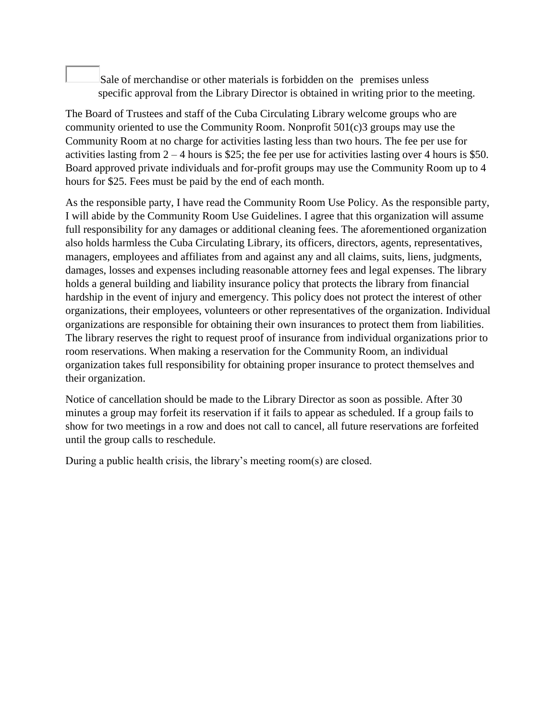Sale of merchandise or other materials is forbidden on the premises unless specific approval from the Library Director is obtained in writing prior to the meeting.

The Board of Trustees and staff of the Cuba Circulating Library welcome groups who are community oriented to use the Community Room. Nonprofit 501(c)3 groups may use the Community Room at no charge for activities lasting less than two hours. The fee per use for activities lasting from  $2 - 4$  hours is \$25; the fee per use for activities lasting over 4 hours is \$50. Board approved private individuals and for-profit groups may use the Community Room up to 4 hours for \$25. Fees must be paid by the end of each month.

As the responsible party, I have read the Community Room Use Policy. As the responsible party, I will abide by the Community Room Use Guidelines. I agree that this organization will assume full responsibility for any damages or additional cleaning fees. The aforementioned organization also holds harmless the Cuba Circulating Library, its officers, directors, agents, representatives, managers, employees and affiliates from and against any and all claims, suits, liens, judgments, damages, losses and expenses including reasonable attorney fees and legal expenses. The library holds a general building and liability insurance policy that protects the library from financial hardship in the event of injury and emergency. This policy does not protect the interest of other organizations, their employees, volunteers or other representatives of the organization. Individual organizations are responsible for obtaining their own insurances to protect them from liabilities. The library reserves the right to request proof of insurance from individual organizations prior to room reservations. When making a reservation for the Community Room, an individual organization takes full responsibility for obtaining proper insurance to protect themselves and their organization.

Notice of cancellation should be made to the Library Director as soon as possible. After 30 minutes a group may forfeit its reservation if it fails to appear as scheduled. If a group fails to show for two meetings in a row and does not call to cancel, all future reservations are forfeited until the group calls to reschedule.

During a public health crisis, the library's meeting room(s) are closed.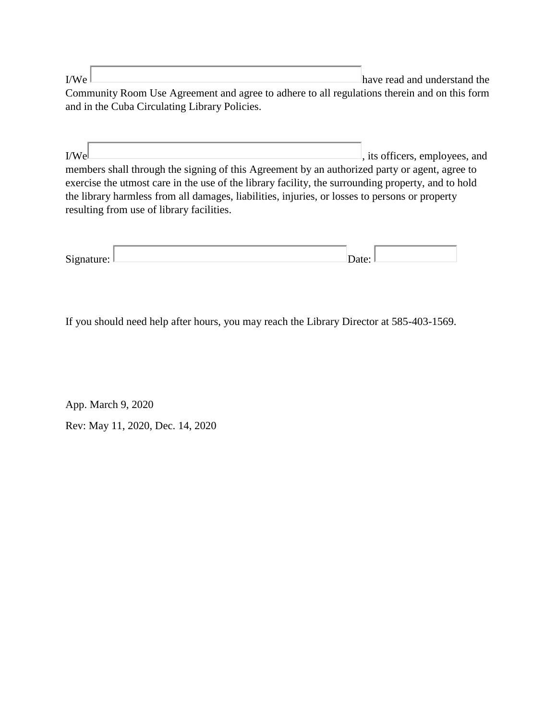$I/We$  have read and understand the Community Room Use Agreement and agree to adhere to all regulations therein and on this form and in the Cuba Circulating Library Policies.

 $I/W$ e , its officers, employees, and members shall through the signing of this Agreement by an authorized party or agent, agree to exercise the utmost care in the use of the library facility, the surrounding property, and to hold the library harmless from all damages, liabilities, injuries, or losses to persons or property resulting from use of library facilities.

| $\sim$                               |  |  |
|--------------------------------------|--|--|
| $\overline{\phantom{a}}$<br>$\cdots$ |  |  |

If you should need help after hours, you may reach the Library Director at 585-403-1569.

App. March 9, 2020 Rev: May 11, 2020, Dec. 14, 2020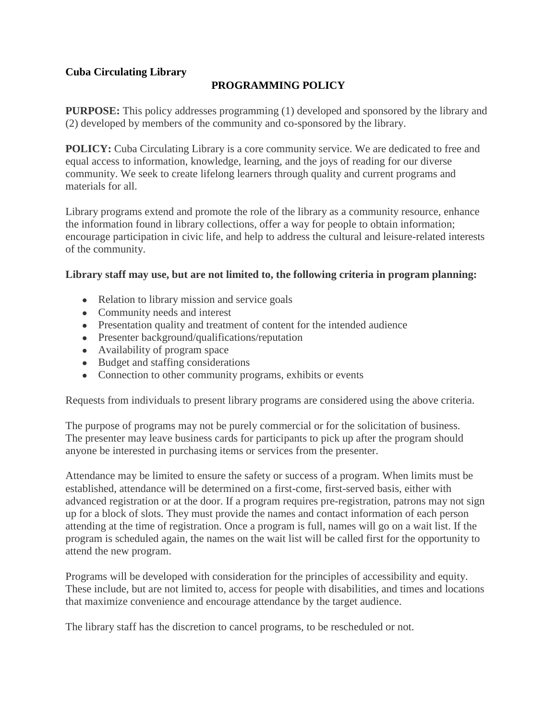## **PROGRAMMING POLICY**

**PURPOSE:** This policy addresses programming (1) developed and sponsored by the library and (2) developed by members of the community and co-sponsored by the library.

**POLICY:** Cuba Circulating Library is a core community service. We are dedicated to free and equal access to information, knowledge, learning, and the joys of reading for our diverse community. We seek to create lifelong learners through quality and current programs and materials for all.

Library programs extend and promote the role of the library as a community resource, enhance the information found in library collections, offer a way for people to obtain information; encourage participation in civic life, and help to address the cultural and leisure-related interests of the community.

#### **Library staff may use, but are not limited to, the following criteria in program planning:**

- Relation to library mission and service goals
- Community needs and interest
- Presentation quality and treatment of content for the intended audience
- Presenter background/qualifications/reputation
- Availability of program space
- Budget and staffing considerations
- Connection to other community programs, exhibits or events

Requests from individuals to present library programs are considered using the above criteria.

The purpose of programs may not be purely commercial or for the solicitation of business. The presenter may leave business cards for participants to pick up after the program should anyone be interested in purchasing items or services from the presenter.

Attendance may be limited to ensure the safety or success of a program. When limits must be established, attendance will be determined on a first-come, first-served basis, either with advanced registration or at the door. If a program requires pre-registration, patrons may not sign up for a block of slots. They must provide the names and contact information of each person attending at the time of registration. Once a program is full, names will go on a wait list. If the program is scheduled again, the names on the wait list will be called first for the opportunity to attend the new program.

Programs will be developed with consideration for the principles of accessibility and equity. These include, but are not limited to, access for people with disabilities, and times and locations that maximize convenience and encourage attendance by the target audience.

The library staff has the discretion to cancel programs, to be rescheduled or not.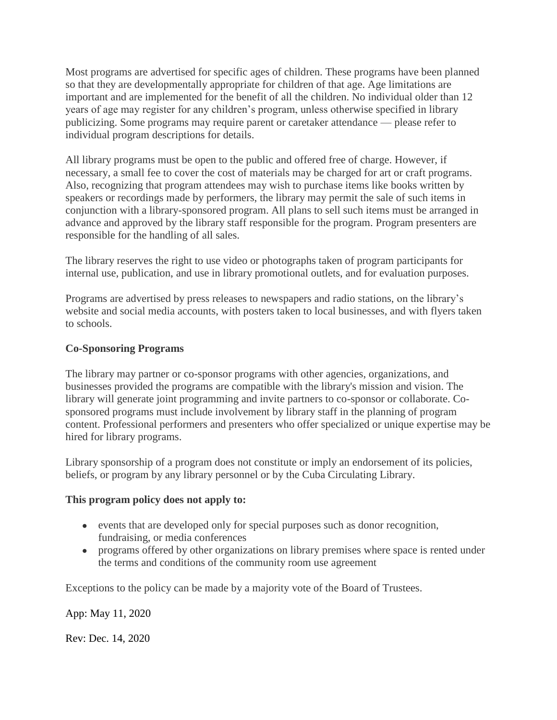Most programs are advertised for specific ages of children. These programs have been planned so that they are developmentally appropriate for children of that age. Age limitations are important and are implemented for the benefit of all the children. No individual older than 12 years of age may register for any children's program, unless otherwise specified in library publicizing. Some programs may require parent or caretaker attendance — please refer to individual program descriptions for details.

All library programs must be open to the public and offered free of charge. However, if necessary, a small fee to cover the cost of materials may be charged for art or craft programs. Also, recognizing that program attendees may wish to purchase items like books written by speakers or recordings made by performers, the library may permit the sale of such items in conjunction with a library-sponsored program. All plans to sell such items must be arranged in advance and approved by the library staff responsible for the program. Program presenters are responsible for the handling of all sales.

The library reserves the right to use video or photographs taken of program participants for internal use, publication, and use in library promotional outlets, and for evaluation purposes.

Programs are advertised by press releases to newspapers and radio stations, on the library's website and social media accounts, with posters taken to local businesses, and with flyers taken to schools.

## **Co-Sponsoring Programs**

The library may partner or co-sponsor programs with other agencies, organizations, and businesses provided the programs are compatible with the library's mission and vision. The library will generate joint programming and invite partners to co-sponsor or collaborate. Cosponsored programs must include involvement by library staff in the planning of program content. Professional performers and presenters who offer specialized or unique expertise may be hired for library programs.

Library sponsorship of a program does not constitute or imply an endorsement of its policies, beliefs, or program by any library personnel or by the Cuba Circulating Library.

#### **This program policy does not apply to:**

- events that are developed only for special purposes such as donor recognition, fundraising, or media conferences
- programs offered by other organizations on library premises where space is rented under the terms and conditions of the community room use agreement

Exceptions to the policy can be made by a majority vote of the Board of Trustees.

App: May 11, 2020

Rev: Dec. 14, 2020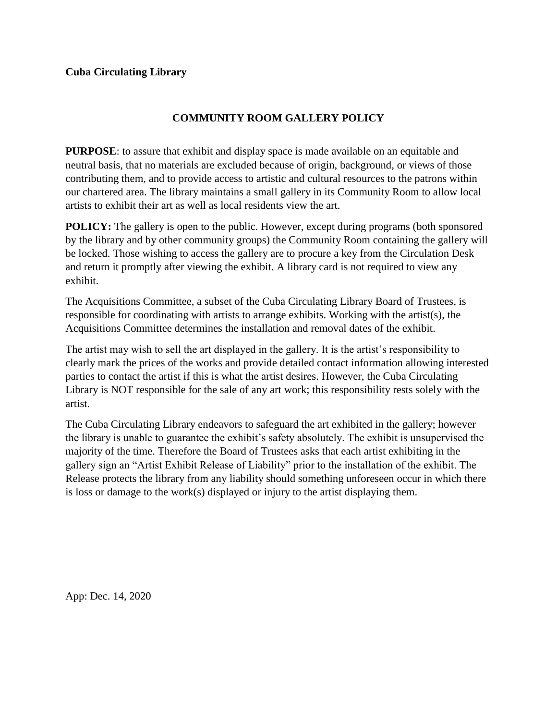# **COMMUNITY ROOM GALLERY POLICY**

**PURPOSE**: to assure that exhibit and display space is made available on an equitable and neutral basis, that no materials are excluded because of origin, background, or views of those contributing them, and to provide access to artistic and cultural resources to the patrons within our chartered area. The library maintains a small gallery in its Community Room to allow local artists to exhibit their art as well as local residents view the art.

**POLICY:** The gallery is open to the public. However, except during programs (both sponsored by the library and by other community groups) the Community Room containing the gallery will be locked. Those wishing to access the gallery are to procure a key from the Circulation Desk and return it promptly after viewing the exhibit. A library card is not required to view any exhibit.

The Acquisitions Committee, a subset of the Cuba Circulating Library Board of Trustees, is responsible for coordinating with artists to arrange exhibits. Working with the artist(s), the Acquisitions Committee determines the installation and removal dates of the exhibit.

The artist may wish to sell the art displayed in the gallery. It is the artist's responsibility to clearly mark the prices of the works and provide detailed contact information allowing interested parties to contact the artist if this is what the artist desires. However, the Cuba Circulating Library is NOT responsible for the sale of any art work; this responsibility rests solely with the artist.

The Cuba Circulating Library endeavors to safeguard the art exhibited in the gallery; however the library is unable to guarantee the exhibit's safety absolutely. The exhibit is unsupervised the majority of the time. Therefore the Board of Trustees asks that each artist exhibiting in the gallery sign an "Artist Exhibit Release of Liability" prior to the installation of the exhibit. The Release protects the library from any liability should something unforeseen occur in which there is loss or damage to the work(s) displayed or injury to the artist displaying them.

App: Dec. 14, 2020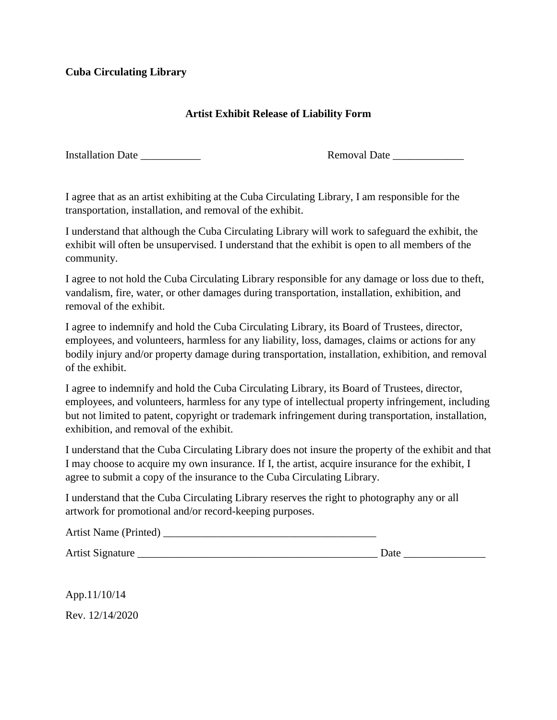# **Artist Exhibit Release of Liability Form**

Installation Date **Removal Date Removal Date Removal Date** 

I agree that as an artist exhibiting at the Cuba Circulating Library, I am responsible for the transportation, installation, and removal of the exhibit.

I understand that although the Cuba Circulating Library will work to safeguard the exhibit, the exhibit will often be unsupervised. I understand that the exhibit is open to all members of the community.

I agree to not hold the Cuba Circulating Library responsible for any damage or loss due to theft, vandalism, fire, water, or other damages during transportation, installation, exhibition, and removal of the exhibit.

I agree to indemnify and hold the Cuba Circulating Library, its Board of Trustees, director, employees, and volunteers, harmless for any liability, loss, damages, claims or actions for any bodily injury and/or property damage during transportation, installation, exhibition, and removal of the exhibit.

I agree to indemnify and hold the Cuba Circulating Library, its Board of Trustees, director, employees, and volunteers, harmless for any type of intellectual property infringement, including but not limited to patent, copyright or trademark infringement during transportation, installation, exhibition, and removal of the exhibit.

I understand that the Cuba Circulating Library does not insure the property of the exhibit and that I may choose to acquire my own insurance. If I, the artist, acquire insurance for the exhibit, I agree to submit a copy of the insurance to the Cuba Circulating Library.

I understand that the Cuba Circulating Library reserves the right to photography any or all artwork for promotional and/or record-keeping purposes.

| <b>Artist Name (Printed)</b> |  |
|------------------------------|--|
|------------------------------|--|

Artist Signature \_\_\_\_\_\_\_\_\_\_\_\_\_\_\_\_\_\_\_\_\_\_\_\_\_\_\_\_\_\_\_\_\_\_\_\_\_\_\_\_\_\_\_\_ Date \_\_\_\_\_\_\_\_\_\_\_\_\_\_\_

App.11/10/14 Rev. 12/14/2020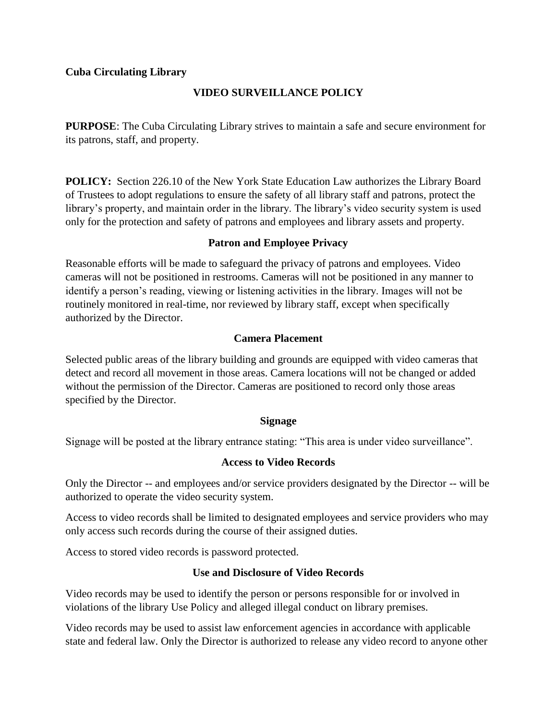# **VIDEO SURVEILLANCE POLICY**

**PURPOSE**: The Cuba Circulating Library strives to maintain a safe and secure environment for its patrons, staff, and property.

**POLICY:** Section 226.10 of the New York State Education Law authorizes the Library Board of Trustees to adopt regulations to ensure the safety of all library staff and patrons, protect the library's property, and maintain order in the library. The library's video security system is used only for the protection and safety of patrons and employees and library assets and property.

## **Patron and Employee Privacy**

Reasonable efforts will be made to safeguard the privacy of patrons and employees. Video cameras will not be positioned in restrooms. Cameras will not be positioned in any manner to identify a person's reading, viewing or listening activities in the library. Images will not be routinely monitored in real-time, nor reviewed by library staff, except when specifically authorized by the Director.

## **Camera Placement**

Selected public areas of the library building and grounds are equipped with video cameras that detect and record all movement in those areas. Camera locations will not be changed or added without the permission of the Director. Cameras are positioned to record only those areas specified by the Director.

#### **Signage**

Signage will be posted at the library entrance stating: "This area is under video surveillance".

# **Access to Video Records**

Only the Director -- and employees and/or service providers designated by the Director -- will be authorized to operate the video security system.

Access to video records shall be limited to designated employees and service providers who may only access such records during the course of their assigned duties.

Access to stored video records is password protected.

# **Use and Disclosure of Video Records**

Video records may be used to identify the person or persons responsible for or involved in violations of the library Use Policy and alleged illegal conduct on library premises.

Video records may be used to assist law enforcement agencies in accordance with applicable state and federal law. Only the Director is authorized to release any video record to anyone other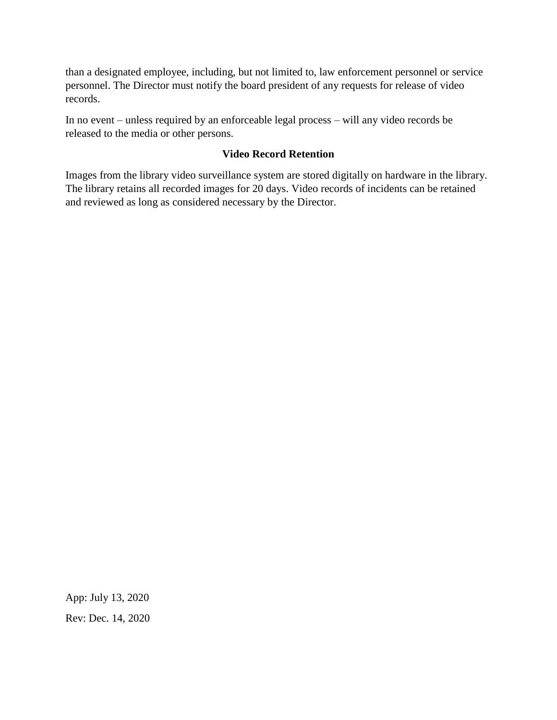than a designated employee, including, but not limited to, law enforcement personnel or service personnel. The Director must notify the board president of any requests for release of video records.

In no event – unless required by an enforceable legal process – will any video records be released to the media or other persons.

# **Video Record Retention**

Images from the library video surveillance system are stored digitally on hardware in the library. The library retains all recorded images for 20 days. Video records of incidents can be retained and reviewed as long as considered necessary by the Director.

App: July 13, 2020 Rev: Dec. 14, 2020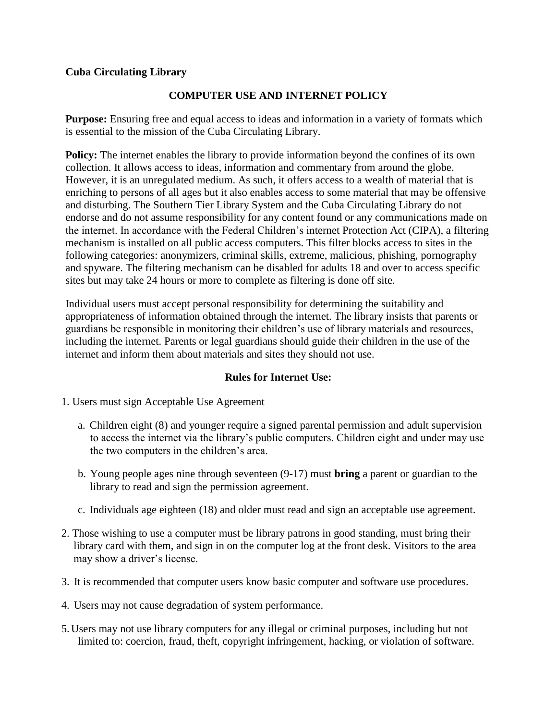## **COMPUTER USE AND INTERNET POLICY**

**Purpose:** Ensuring free and equal access to ideas and information in a variety of formats which is essential to the mission of the Cuba Circulating Library.

**Policy:** The internet enables the library to provide information beyond the confines of its own collection. It allows access to ideas, information and commentary from around the globe. However, it is an unregulated medium. As such, it offers access to a wealth of material that is enriching to persons of all ages but it also enables access to some material that may be offensive and disturbing. The Southern Tier Library System and the Cuba Circulating Library do not endorse and do not assume responsibility for any content found or any communications made on the internet. In accordance with the Federal Children's internet Protection Act (CIPA), a filtering mechanism is installed on all public access computers. This filter blocks access to sites in the following categories: anonymizers, criminal skills, extreme, malicious, phishing, pornography and spyware. The filtering mechanism can be disabled for adults 18 and over to access specific sites but may take 24 hours or more to complete as filtering is done off site.

Individual users must accept personal responsibility for determining the suitability and appropriateness of information obtained through the internet. The library insists that parents or guardians be responsible in monitoring their children's use of library materials and resources, including the internet. Parents or legal guardians should guide their children in the use of the internet and inform them about materials and sites they should not use.

#### **Rules for Internet Use:**

- 1. Users must sign Acceptable Use Agreement
	- a. Children eight (8) and younger require a signed parental permission and adult supervision to access the internet via the library's public computers. Children eight and under may use the two computers in the children's area.
	- b. Young people ages nine through seventeen (9-17) must **bring** a parent or guardian to the library to read and sign the permission agreement.
	- c. Individuals age eighteen (18) and older must read and sign an acceptable use agreement.
- 2. Those wishing to use a computer must be library patrons in good standing, must bring their library card with them, and sign in on the computer log at the front desk. Visitors to the area may show a driver's license.
- 3. It is recommended that computer users know basic computer and software use procedures.
- 4. Users may not cause degradation of system performance.
- 5. Users may not use library computers for any illegal or criminal purposes, including but not limited to: coercion, fraud, theft, copyright infringement, hacking, or violation of software.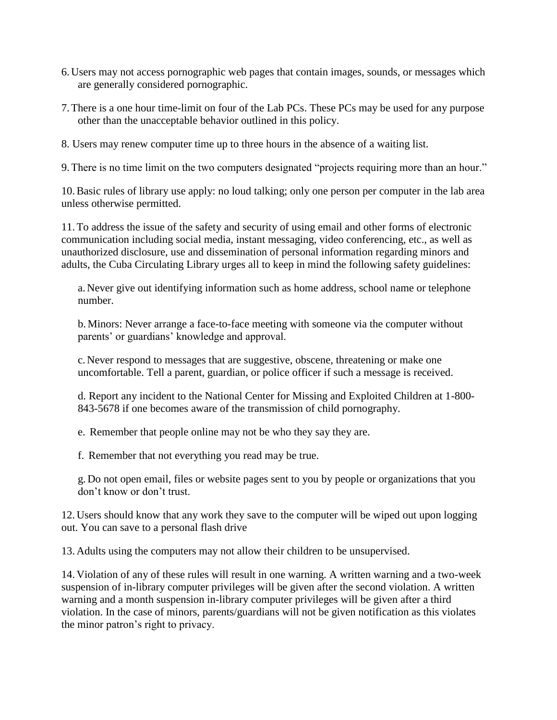- 6. Users may not access pornographic web pages that contain images, sounds, or messages which are generally considered pornographic.
- 7.There is a one hour time-limit on four of the Lab PCs. These PCs may be used for any purpose other than the unacceptable behavior outlined in this policy.
- 8. Users may renew computer time up to three hours in the absence of a waiting list.

9.There is no time limit on the two computers designated "projects requiring more than an hour."

10.Basic rules of library use apply: no loud talking; only one person per computer in the lab area unless otherwise permitted.

11.To address the issue of the safety and security of using email and other forms of electronic communication including social media, instant messaging, video conferencing, etc., as well as unauthorized disclosure, use and dissemination of personal information regarding minors and adults, the Cuba Circulating Library urges all to keep in mind the following safety guidelines:

a. Never give out identifying information such as home address, school name or telephone number.

b. Minors: Never arrange a face-to-face meeting with someone via the computer without parents' or guardians' knowledge and approval.

c. Never respond to messages that are suggestive, obscene, threatening or make one uncomfortable. Tell a parent, guardian, or police officer if such a message is received.

d. Report any incident to the National Center for Missing and Exploited Children at 1-800- 843-5678 if one becomes aware of the transmission of child pornography.

e. Remember that people online may not be who they say they are.

f. Remember that not everything you read may be true.

g. Do not open email, files or website pages sent to you by people or organizations that you don't know or don't trust.

12. Users should know that any work they save to the computer will be wiped out upon logging out. You can save to a personal flash drive

13. Adults using the computers may not allow their children to be unsupervised.

14. Violation of any of these rules will result in one warning. A written warning and a two-week suspension of in-library computer privileges will be given after the second violation. A written warning and a month suspension in-library computer privileges will be given after a third violation. In the case of minors, parents/guardians will not be given notification as this violates the minor patron's right to privacy.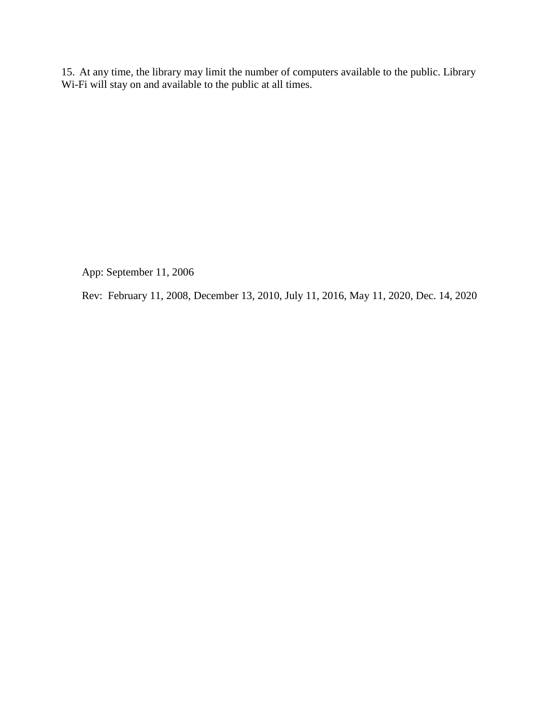15. At any time, the library may limit the number of computers available to the public. Library Wi-Fi will stay on and available to the public at all times.

App: September 11, 2006

Rev: February 11, 2008, December 13, 2010, July 11, 2016, May 11, 2020, Dec. 14, 2020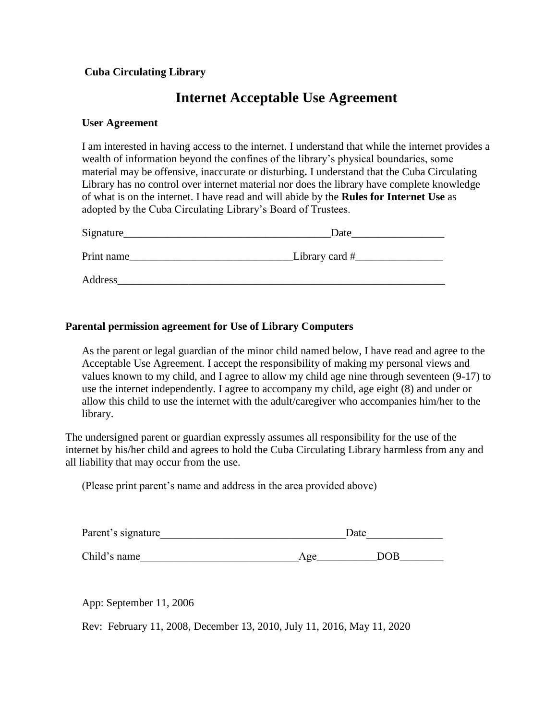# **Internet Acceptable Use Agreement**

#### **User Agreement**

I am interested in having access to the internet. I understand that while the internet provides a wealth of information beyond the confines of the library's physical boundaries, some material may be offensive, inaccurate or disturbing**.** I understand that the Cuba Circulating Library has no control over internet material nor does the library have complete knowledge of what is on the internet. I have read and will abide by the **Rules for Internet Use** as adopted by the Cuba Circulating Library's Board of Trustees.

| Signature  | Date           |
|------------|----------------|
| Print name | Library card # |
| Address    |                |

#### **Parental permission agreement for Use of Library Computers**

As the parent or legal guardian of the minor child named below, I have read and agree to the Acceptable Use Agreement. I accept the responsibility of making my personal views and values known to my child, and I agree to allow my child age nine through seventeen (9-17) to use the internet independently. I agree to accompany my child, age eight (8) and under or allow this child to use the internet with the adult/caregiver who accompanies him/her to the library.

The undersigned parent or guardian expressly assumes all responsibility for the use of the internet by his/her child and agrees to hold the Cuba Circulating Library harmless from any and all liability that may occur from the use.

(Please print parent's name and address in the area provided above)

| Parent's signature | Date |     |  |
|--------------------|------|-----|--|
| Child's name       | Age  | DOB |  |

App: September 11, 2006

Rev: February 11, 2008, December 13, 2010, July 11, 2016, May 11, 2020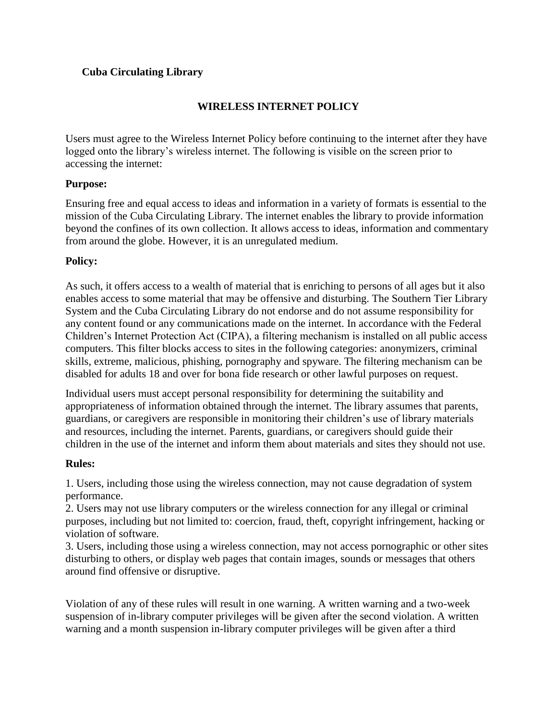# **WIRELESS INTERNET POLICY**

Users must agree to the Wireless Internet Policy before continuing to the internet after they have logged onto the library's wireless internet. The following is visible on the screen prior to accessing the internet:

# **Purpose:**

Ensuring free and equal access to ideas and information in a variety of formats is essential to the mission of the Cuba Circulating Library. The internet enables the library to provide information beyond the confines of its own collection. It allows access to ideas, information and commentary from around the globe. However, it is an unregulated medium.

## **Policy:**

As such, it offers access to a wealth of material that is enriching to persons of all ages but it also enables access to some material that may be offensive and disturbing. The Southern Tier Library System and the Cuba Circulating Library do not endorse and do not assume responsibility for any content found or any communications made on the internet. In accordance with the Federal Children's Internet Protection Act (CIPA), a filtering mechanism is installed on all public access computers. This filter blocks access to sites in the following categories: anonymizers, criminal skills, extreme, malicious, phishing, pornography and spyware. The filtering mechanism can be disabled for adults 18 and over for bona fide research or other lawful purposes on request.

Individual users must accept personal responsibility for determining the suitability and appropriateness of information obtained through the internet. The library assumes that parents, guardians, or caregivers are responsible in monitoring their children's use of library materials and resources, including the internet. Parents, guardians, or caregivers should guide their children in the use of the internet and inform them about materials and sites they should not use.

#### **Rules:**

1. Users, including those using the wireless connection, may not cause degradation of system performance.

2. Users may not use library computers or the wireless connection for any illegal or criminal purposes, including but not limited to: coercion, fraud, theft, copyright infringement, hacking or violation of software.

3. Users, including those using a wireless connection, may not access pornographic or other sites disturbing to others, or display web pages that contain images, sounds or messages that others around find offensive or disruptive.

Violation of any of these rules will result in one warning. A written warning and a two-week suspension of in-library computer privileges will be given after the second violation. A written warning and a month suspension in-library computer privileges will be given after a third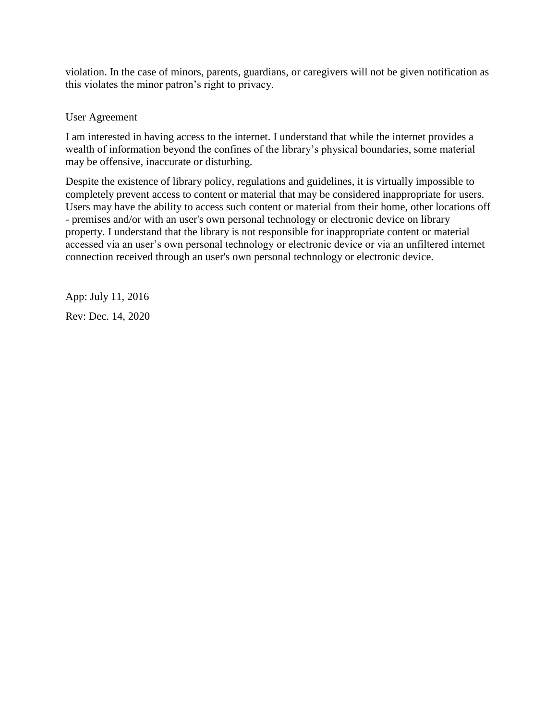violation. In the case of minors, parents, guardians, or caregivers will not be given notification as this violates the minor patron's right to privacy.

#### User Agreement

I am interested in having access to the internet. I understand that while the internet provides a wealth of information beyond the confines of the library's physical boundaries, some material may be offensive, inaccurate or disturbing.

Despite the existence of library policy, regulations and guidelines, it is virtually impossible to completely prevent access to content or material that may be considered inappropriate for users. Users may have the ability to access such content or material from their home, other locations off - premises and/or with an user's own personal technology or electronic device on library property. I understand that the library is not responsible for inappropriate content or material accessed via an user's own personal technology or electronic device or via an unfiltered internet connection received through an user's own personal technology or electronic device.

App: July 11, 2016 Rev: Dec. 14, 2020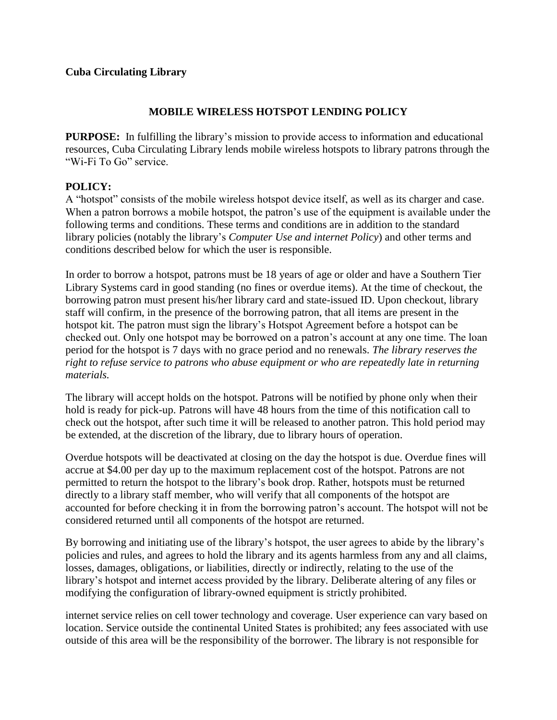## **MOBILE WIRELESS HOTSPOT LENDING POLICY**

**PURPOSE:** In fulfilling the library's mission to provide access to information and educational resources, Cuba Circulating Library lends mobile wireless hotspots to library patrons through the "Wi-Fi To Go" service.

## **POLICY:**

A "hotspot" consists of the mobile wireless hotspot device itself, as well as its charger and case. When a patron borrows a mobile hotspot, the patron's use of the equipment is available under the following terms and conditions. These terms and conditions are in addition to the standard library policies (notably the library's *Computer Use and internet Policy*) and other terms and conditions described below for which the user is responsible.

In order to borrow a hotspot, patrons must be 18 years of age or older and have a Southern Tier Library Systems card in good standing (no fines or overdue items). At the time of checkout, the borrowing patron must present his/her library card and state-issued ID. Upon checkout, library staff will confirm, in the presence of the borrowing patron, that all items are present in the hotspot kit. The patron must sign the library's Hotspot Agreement before a hotspot can be checked out. Only one hotspot may be borrowed on a patron's account at any one time. The loan period for the hotspot is 7 days with no grace period and no renewals. *The library reserves the right to refuse service to patrons who abuse equipment or who are repeatedly late in returning materials.*

The library will accept holds on the hotspot. Patrons will be notified by phone only when their hold is ready for pick-up. Patrons will have 48 hours from the time of this notification call to check out the hotspot, after such time it will be released to another patron. This hold period may be extended, at the discretion of the library, due to library hours of operation.

Overdue hotspots will be deactivated at closing on the day the hotspot is due. Overdue fines will accrue at \$4.00 per day up to the maximum replacement cost of the hotspot. Patrons are not permitted to return the hotspot to the library's book drop. Rather, hotspots must be returned directly to a library staff member, who will verify that all components of the hotspot are accounted for before checking it in from the borrowing patron's account. The hotspot will not be considered returned until all components of the hotspot are returned.

By borrowing and initiating use of the library's hotspot, the user agrees to abide by the library's policies and rules, and agrees to hold the library and its agents harmless from any and all claims, losses, damages, obligations, or liabilities, directly or indirectly, relating to the use of the library's hotspot and internet access provided by the library. Deliberate altering of any files or modifying the configuration of library-owned equipment is strictly prohibited.

internet service relies on cell tower technology and coverage. User experience can vary based on location. Service outside the continental United States is prohibited; any fees associated with use outside of this area will be the responsibility of the borrower. The library is not responsible for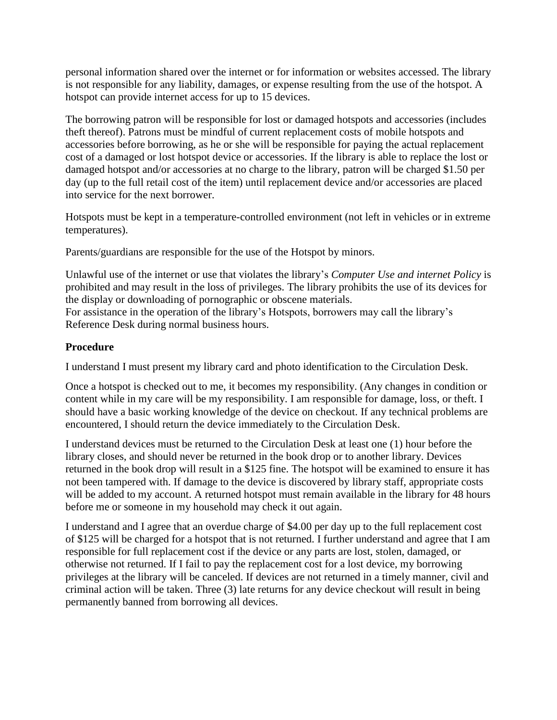personal information shared over the internet or for information or websites accessed. The library is not responsible for any liability, damages, or expense resulting from the use of the hotspot. A hotspot can provide internet access for up to 15 devices.

The borrowing patron will be responsible for lost or damaged hotspots and accessories (includes theft thereof). Patrons must be mindful of current replacement costs of mobile hotspots and accessories before borrowing, as he or she will be responsible for paying the actual replacement cost of a damaged or lost hotspot device or accessories. If the library is able to replace the lost or damaged hotspot and/or accessories at no charge to the library, patron will be charged \$1.50 per day (up to the full retail cost of the item) until replacement device and/or accessories are placed into service for the next borrower.

Hotspots must be kept in a temperature-controlled environment (not left in vehicles or in extreme temperatures).

Parents/guardians are responsible for the use of the Hotspot by minors.

Unlawful use of the internet or use that violates the library's *Computer Use and internet Policy* is prohibited and may result in the loss of privileges. The library prohibits the use of its devices for the display or downloading of pornographic or obscene materials. For assistance in the operation of the library's Hotspots, borrowers may call the library's Reference Desk during normal business hours.

# **Procedure**

I understand I must present my library card and photo identification to the Circulation Desk.

Once a hotspot is checked out to me, it becomes my responsibility. (Any changes in condition or content while in my care will be my responsibility. I am responsible for damage, loss, or theft. I should have a basic working knowledge of the device on checkout. If any technical problems are encountered, I should return the device immediately to the Circulation Desk.

I understand devices must be returned to the Circulation Desk at least one (1) hour before the library closes, and should never be returned in the book drop or to another library. Devices returned in the book drop will result in a \$125 fine. The hotspot will be examined to ensure it has not been tampered with. If damage to the device is discovered by library staff, appropriate costs will be added to my account. A returned hotspot must remain available in the library for 48 hours before me or someone in my household may check it out again.

I understand and I agree that an overdue charge of \$4.00 per day up to the full replacement cost of \$125 will be charged for a hotspot that is not returned. I further understand and agree that I am responsible for full replacement cost if the device or any parts are lost, stolen, damaged, or otherwise not returned. If I fail to pay the replacement cost for a lost device, my borrowing privileges at the library will be canceled. If devices are not returned in a timely manner, civil and criminal action will be taken. Three (3) late returns for any device checkout will result in being permanently banned from borrowing all devices.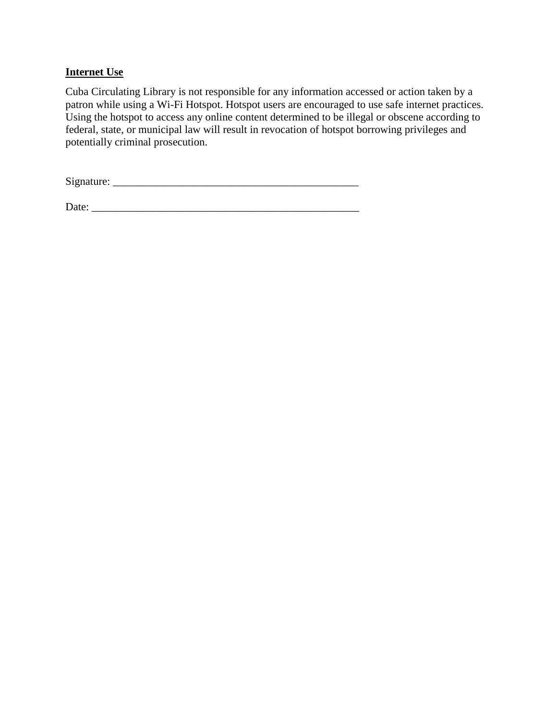# **Internet Use**

Cuba Circulating Library is not responsible for any information accessed or action taken by a patron while using a Wi-Fi Hotspot. Hotspot users are encouraged to use safe internet practices. Using the hotspot to access any online content determined to be illegal or obscene according to federal, state, or municipal law will result in revocation of hotspot borrowing privileges and potentially criminal prosecution.

Signature: \_\_\_\_\_\_\_\_\_\_\_\_\_\_\_\_\_\_\_\_\_\_\_\_\_\_\_\_\_\_\_\_\_\_\_\_\_\_\_\_\_\_\_\_\_

Date: \_\_\_\_\_\_\_\_\_\_\_\_\_\_\_\_\_\_\_\_\_\_\_\_\_\_\_\_\_\_\_\_\_\_\_\_\_\_\_\_\_\_\_\_\_\_\_\_\_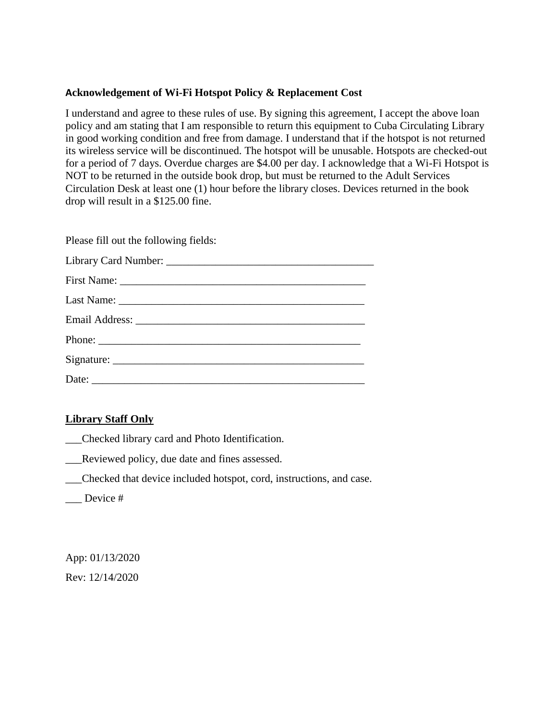## **Acknowledgement of Wi-Fi Hotspot Policy & Replacement Cost**

I understand and agree to these rules of use. By signing this agreement, I accept the above loan policy and am stating that I am responsible to return this equipment to Cuba Circulating Library in good working condition and free from damage. I understand that if the hotspot is not returned its wireless service will be discontinued. The hotspot will be unusable. Hotspots are checked-out for a period of 7 days. Overdue charges are \$4.00 per day. I acknowledge that a Wi-Fi Hotspot is NOT to be returned in the outside book drop, but must be returned to the Adult Services Circulation Desk at least one (1) hour before the library closes. Devices returned in the book drop will result in a \$125.00 fine.

Please fill out the following fields:

| Phone: |
|--------|
|        |
|        |

# **Library Staff Only**

- \_\_\_Checked library card and Photo Identification.
- \_\_\_Reviewed policy, due date and fines assessed.
- \_\_\_Checked that device included hotspot, cord, instructions, and case.
- Device #

App: 01/13/2020 Rev: 12/14/2020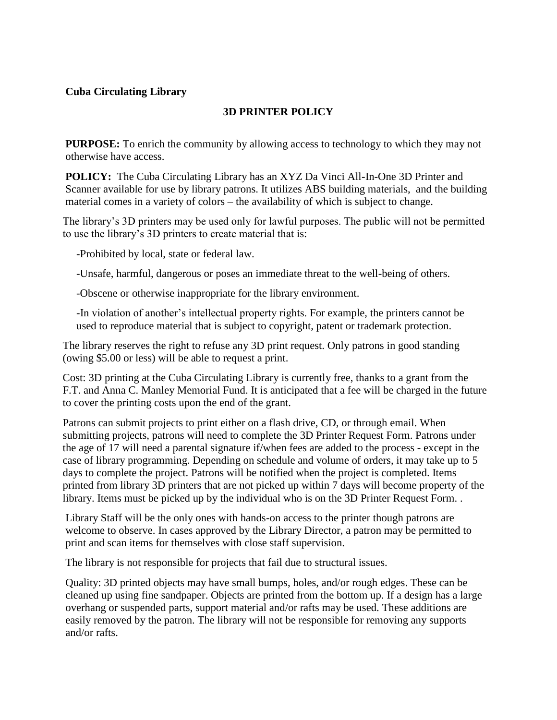# **3D PRINTER POLICY**

**PURPOSE:** To enrich the community by allowing access to technology to which they may not otherwise have access.

**POLICY:** The Cuba Circulating Library has an XYZ Da Vinci All-In-One 3D Printer and Scanner available for use by library patrons. It utilizes ABS building materials, and the building material comes in a variety of colors – the availability of which is subject to change.

The library's 3D printers may be used only for lawful purposes. The public will not be permitted to use the library's 3D printers to create material that is:

-Prohibited by local, state or federal law.

-Unsafe, harmful, dangerous or poses an immediate threat to the well-being of others.

-Obscene or otherwise inappropriate for the library environment.

-In violation of another's intellectual property rights. For example, the printers cannot be used to reproduce material that is subject to copyright, patent or trademark protection.

The library reserves the right to refuse any 3D print request. Only patrons in good standing (owing \$5.00 or less) will be able to request a print.

Cost: 3D printing at the Cuba Circulating Library is currently free, thanks to a grant from the F.T. and Anna C. Manley Memorial Fund. It is anticipated that a fee will be charged in the future to cover the printing costs upon the end of the grant.

Patrons can submit projects to print either on a flash drive, CD, or through email. When submitting projects, patrons will need to complete the 3D Printer Request Form. Patrons under the age of 17 will need a parental signature if/when fees are added to the process - except in the case of library programming. Depending on schedule and volume of orders, it may take up to 5 days to complete the project. Patrons will be notified when the project is completed. Items printed from library 3D printers that are not picked up within 7 days will become property of the library. Items must be picked up by the individual who is on the 3D Printer Request Form. .

Library Staff will be the only ones with hands-on access to the printer though patrons are welcome to observe. In cases approved by the Library Director, a patron may be permitted to print and scan items for themselves with close staff supervision.

The library is not responsible for projects that fail due to structural issues.

Quality: 3D printed objects may have small bumps, holes, and/or rough edges. These can be cleaned up using fine sandpaper. Objects are printed from the bottom up. If a design has a large overhang or suspended parts, support material and/or rafts may be used. These additions are easily removed by the patron. The library will not be responsible for removing any supports and/or rafts.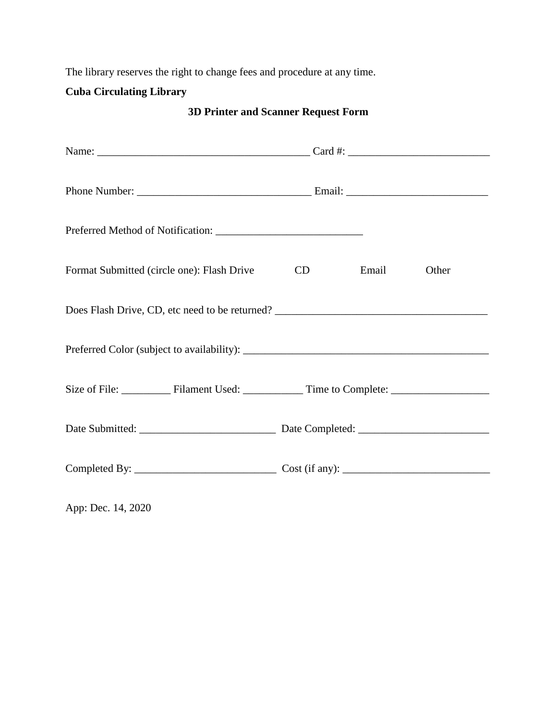The library reserves the right to change fees and procedure at any time.

# **Cuba Circulating Library**

**3D Printer and Scanner Request Form**

| Format Submitted (circle one): Flash Drive          | CD | Email | Other |  |  |
|-----------------------------------------------------|----|-------|-------|--|--|
|                                                     |    |       |       |  |  |
|                                                     |    |       |       |  |  |
| Size of File: Filament Used: Time to Complete: 1991 |    |       |       |  |  |
|                                                     |    |       |       |  |  |
|                                                     |    |       |       |  |  |

App: Dec. 14, 2020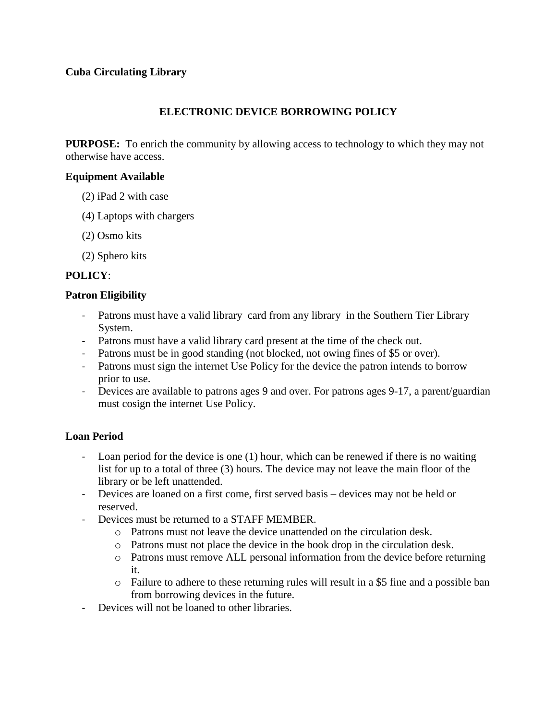## **ELECTRONIC DEVICE BORROWING POLICY**

**PURPOSE:** To enrich the community by allowing access to technology to which they may not otherwise have access.

#### **Equipment Available**

- (2) iPad 2 with case
- (4) Laptops with chargers
- (2) Osmo kits
- (2) Sphero kits

## **POLICY**:

#### **Patron Eligibility**

- Patrons must have a valid library card from any library in the Southern Tier Library System.
- Patrons must have a valid library card present at the time of the check out.
- Patrons must be in good standing (not blocked, not owing fines of \$5 or over).
- Patrons must sign the internet Use Policy for the device the patron intends to borrow prior to use.
- Devices are available to patrons ages 9 and over. For patrons ages 9-17, a parent/guardian must cosign the internet Use Policy.

#### **Loan Period**

- Loan period for the device is one (1) hour, which can be renewed if there is no waiting list for up to a total of three (3) hours. The device may not leave the main floor of the library or be left unattended.
- Devices are loaned on a first come, first served basis devices may not be held or reserved.
- Devices must be returned to a STAFF MEMBER.
	- o Patrons must not leave the device unattended on the circulation desk.
	- o Patrons must not place the device in the book drop in the circulation desk.
	- o Patrons must remove ALL personal information from the device before returning it.
	- o Failure to adhere to these returning rules will result in a \$5 fine and a possible ban from borrowing devices in the future.
- Devices will not be loaned to other libraries.